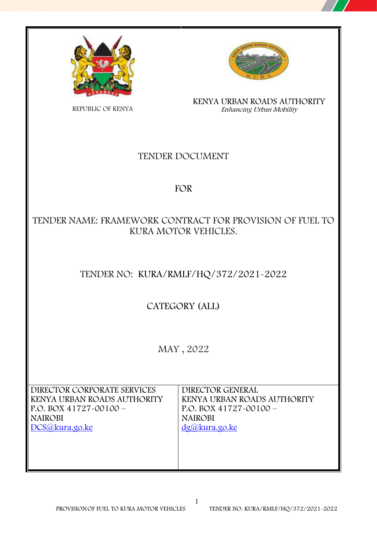



**KENYA URBAN ROADS AUTHORITY** *Enhancing Urban Mobility*

REPUBLIC OF KENYA

## **TENDER DOCUMENT**

## **FOR**

## **TENDER NAME: FRAMEWORK CONTRACT FOR PROVISION OF FUEL TO KURA MOTOR VEHICLES.**

## **TENDER NO: KURA/RMLF/HQ/372/2021-2022**

**CATEGORY (ALL)**

**MAY , 2022**

1

**DIRECTOR CORPORATE SERVICES KENYA URBAN ROADS AUTHORITY P.O. BOX 41727-00100 – NAIROBI DCS@kura.go.ke**

**DIRECTOR GENERAL KENYA URBAN ROADS AUTHORITY P.O. BOX 41727-00100 – NAIROBI dg@kura.go.ke**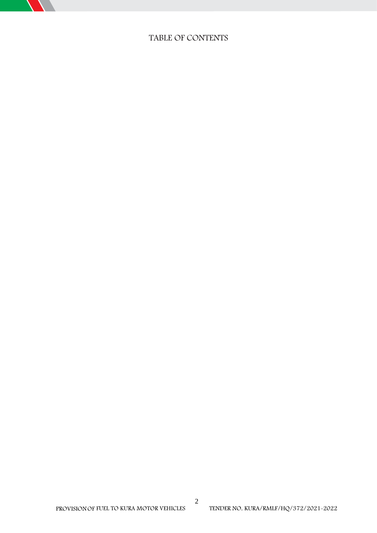

### **TABLE OF CONTENTS**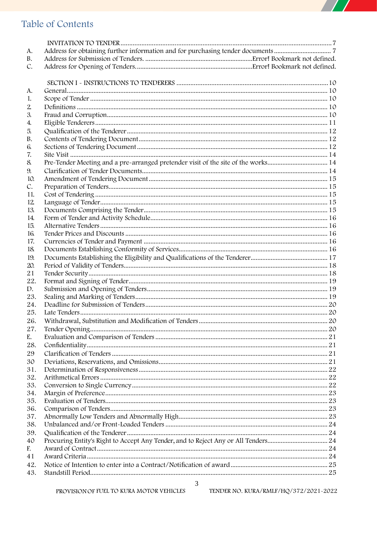## $\overline{\phantom{a}}$

## Table of Contents

| A.           | Address for obtaining further information and for purchasing tender documents7    |  |
|--------------|-----------------------------------------------------------------------------------|--|
| В.           |                                                                                   |  |
| C.           |                                                                                   |  |
|              |                                                                                   |  |
|              |                                                                                   |  |
| A.           |                                                                                   |  |
| 1.           |                                                                                   |  |
| $\mathbf{2}$ |                                                                                   |  |
| 3.           |                                                                                   |  |
| 4.           |                                                                                   |  |
| 5.           |                                                                                   |  |
| В.           |                                                                                   |  |
| 6.           |                                                                                   |  |
| 7.           |                                                                                   |  |
| 8.           | Pre-Tender Meeting and a pre-arranged pretender visit of the site of the works 14 |  |
| 9.           |                                                                                   |  |
| 10.          |                                                                                   |  |
| C.           |                                                                                   |  |
| 11.          |                                                                                   |  |
| 12.          |                                                                                   |  |
| 13.          |                                                                                   |  |
| 14.          |                                                                                   |  |
| 15.          |                                                                                   |  |
| 16.          |                                                                                   |  |
| 17.          |                                                                                   |  |
| 18.          |                                                                                   |  |
| 19.          |                                                                                   |  |
| 20.          |                                                                                   |  |
| 21           |                                                                                   |  |
| 22.          |                                                                                   |  |
| D.           |                                                                                   |  |
| 23.          |                                                                                   |  |
| 24.          |                                                                                   |  |
| 25.          |                                                                                   |  |
| 26.          |                                                                                   |  |
| 27.          |                                                                                   |  |
| E.           |                                                                                   |  |
| 28.          |                                                                                   |  |
| 29           |                                                                                   |  |
| 30           |                                                                                   |  |
| 31.          |                                                                                   |  |
| 32.          |                                                                                   |  |
| 33.          |                                                                                   |  |
| 34.          |                                                                                   |  |
| 35.          |                                                                                   |  |
| 36.          |                                                                                   |  |
| 37.          |                                                                                   |  |
| 38.          |                                                                                   |  |
| 39.          |                                                                                   |  |
| 40           |                                                                                   |  |
| F.           |                                                                                   |  |
| 41           |                                                                                   |  |
| 42.          |                                                                                   |  |
| 43.          |                                                                                   |  |
|              |                                                                                   |  |

 $\mathfrak{Z}$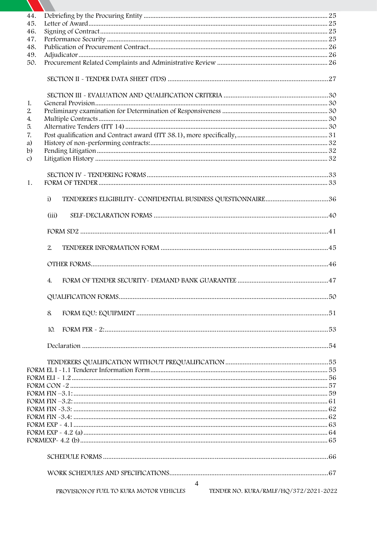| 44.           |                                                                                   |  |
|---------------|-----------------------------------------------------------------------------------|--|
| 45.           |                                                                                   |  |
| 46.           |                                                                                   |  |
| 47.           |                                                                                   |  |
| 48.           |                                                                                   |  |
| 49.           |                                                                                   |  |
| 50.           |                                                                                   |  |
|               |                                                                                   |  |
|               |                                                                                   |  |
| 1.            |                                                                                   |  |
| 2.            |                                                                                   |  |
| 4.            |                                                                                   |  |
| 5.            |                                                                                   |  |
| 7.            |                                                                                   |  |
| a)            |                                                                                   |  |
| b)            |                                                                                   |  |
| $\mathcal{C}$ |                                                                                   |  |
| 1.            |                                                                                   |  |
|               | $\ddot{1}$                                                                        |  |
|               | (iii)                                                                             |  |
|               |                                                                                   |  |
|               | 2.                                                                                |  |
|               |                                                                                   |  |
|               | 4.                                                                                |  |
|               |                                                                                   |  |
|               | 8                                                                                 |  |
|               | 10.                                                                               |  |
|               |                                                                                   |  |
|               |                                                                                   |  |
|               |                                                                                   |  |
|               |                                                                                   |  |
|               |                                                                                   |  |
|               |                                                                                   |  |
|               |                                                                                   |  |
|               |                                                                                   |  |
|               |                                                                                   |  |
|               |                                                                                   |  |
|               |                                                                                   |  |
|               |                                                                                   |  |
|               |                                                                                   |  |
|               |                                                                                   |  |
|               | $\overline{4}$                                                                    |  |
|               | TENDER NO. KURA/RMLF/HQ/372/2021-2022<br>PROVISION OF FUEL TO KURA MOTOR VEHICLES |  |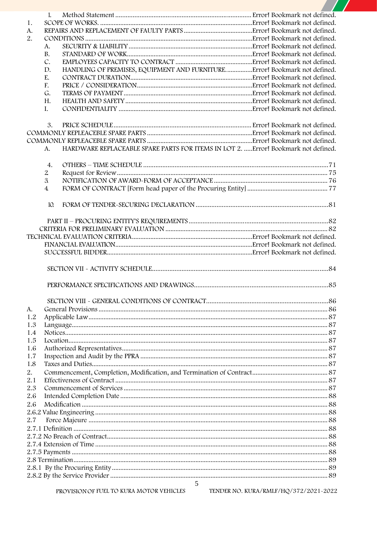|     | 1.             |                                                                                    |  |
|-----|----------------|------------------------------------------------------------------------------------|--|
| 1.  |                |                                                                                    |  |
| A.  |                |                                                                                    |  |
| 2.  |                |                                                                                    |  |
|     | А.             |                                                                                    |  |
|     | В.             |                                                                                    |  |
|     | C.             |                                                                                    |  |
|     | D.             | HANDLING OF PREMISES, EQUIPMENT AND FURNITUREError! Bookmark not defined.          |  |
|     | E.             |                                                                                    |  |
|     | F.             |                                                                                    |  |
|     | G.             |                                                                                    |  |
|     | Н.             |                                                                                    |  |
|     | Ι.             |                                                                                    |  |
|     | 3.             |                                                                                    |  |
|     |                |                                                                                    |  |
|     |                |                                                                                    |  |
|     | А.             | HARDWARE REPLACEABLE SPARE PARTS FOR ITEMS IN LOT 2.  Error! Bookmark not defined. |  |
|     | 4.             |                                                                                    |  |
|     | $\overline{2}$ |                                                                                    |  |
|     | $\mathfrak{L}$ |                                                                                    |  |
|     | $\overline{4}$ |                                                                                    |  |
|     | 10.            |                                                                                    |  |
|     |                |                                                                                    |  |
|     |                |                                                                                    |  |
|     |                |                                                                                    |  |
|     |                |                                                                                    |  |
|     |                |                                                                                    |  |
|     |                |                                                                                    |  |
|     |                |                                                                                    |  |
|     |                |                                                                                    |  |
|     |                |                                                                                    |  |
| А.  |                |                                                                                    |  |
| 1.2 |                |                                                                                    |  |
| 1.3 |                |                                                                                    |  |
| 1.4 |                |                                                                                    |  |
| 1.5 |                |                                                                                    |  |
| 1.6 |                |                                                                                    |  |
| 1.7 |                |                                                                                    |  |
| 1.8 |                |                                                                                    |  |
| 2.  |                |                                                                                    |  |
| 2.1 |                |                                                                                    |  |
| 2.3 |                |                                                                                    |  |
|     |                |                                                                                    |  |
| 2.6 |                |                                                                                    |  |
| 2.6 |                |                                                                                    |  |
|     |                |                                                                                    |  |
| 2.7 |                |                                                                                    |  |
|     |                |                                                                                    |  |
|     |                |                                                                                    |  |
|     |                |                                                                                    |  |
|     |                |                                                                                    |  |
|     |                |                                                                                    |  |
|     |                |                                                                                    |  |

 $\begin{tabular}{c} 5 \\ \hline 5 \\ \hline \end{tabular}$  <br> PROVISION OF FUEL TO KURA MOTOR VEHICLES  $\begin{tabular}{c} 5 \\ \hline \end{tabular}$  TENDER NO. KURA/RMLF/HQ/372/2021-2022

 $\mathbf{Z}$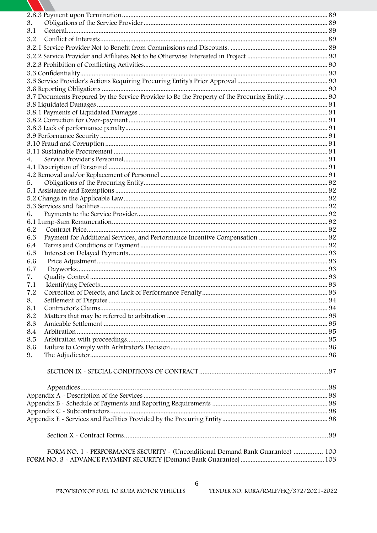| 3.         |                                                                                |  |
|------------|--------------------------------------------------------------------------------|--|
| 3.1        |                                                                                |  |
| 3.2        |                                                                                |  |
|            |                                                                                |  |
|            |                                                                                |  |
|            |                                                                                |  |
|            |                                                                                |  |
|            |                                                                                |  |
|            |                                                                                |  |
|            |                                                                                |  |
|            |                                                                                |  |
|            |                                                                                |  |
|            |                                                                                |  |
|            |                                                                                |  |
|            |                                                                                |  |
|            |                                                                                |  |
|            |                                                                                |  |
| 4.         |                                                                                |  |
|            |                                                                                |  |
|            |                                                                                |  |
| 5.         |                                                                                |  |
|            |                                                                                |  |
|            |                                                                                |  |
|            |                                                                                |  |
| 6.         |                                                                                |  |
|            |                                                                                |  |
| 6.2        |                                                                                |  |
| 6.3        |                                                                                |  |
| 6.4        |                                                                                |  |
| 6.5        |                                                                                |  |
| 6.6        |                                                                                |  |
| 6.7        |                                                                                |  |
| 7.         |                                                                                |  |
| 7.1        |                                                                                |  |
| 7.2        |                                                                                |  |
| 8.         |                                                                                |  |
| 8.1<br>8.2 |                                                                                |  |
| 8.3        |                                                                                |  |
| 8.4        |                                                                                |  |
| 8.5        |                                                                                |  |
| 8.6        |                                                                                |  |
| 9.         |                                                                                |  |
|            |                                                                                |  |
|            |                                                                                |  |
|            |                                                                                |  |
|            |                                                                                |  |
|            |                                                                                |  |
|            |                                                                                |  |
|            |                                                                                |  |
|            |                                                                                |  |
|            |                                                                                |  |
|            |                                                                                |  |
|            |                                                                                |  |
|            | FORM NO. 1 - PERFORMANCE SECURITY - (Unconditional Demand Bank Guarantee)  100 |  |
|            |                                                                                |  |

A

6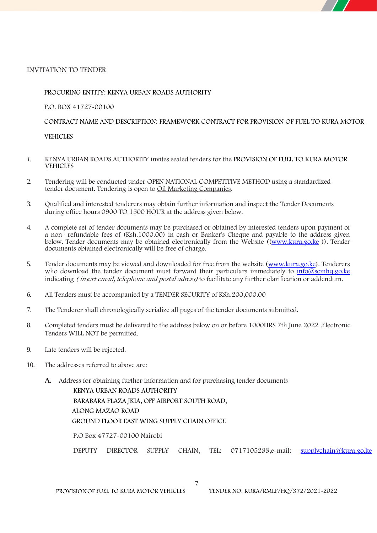

#### **PROCURING ENTITY:** KENYA URBAN ROADS AUTHORITY

P.O. BOX 41727-00100

**CONTRACT NAME AND DESCRIPTION: FRAMEWORK CONTRACT FOR** PROVISION **OF FUEL TO KURA MOTOR**

**VEHICLES**

- *1.* KENYA URBAN ROADS AUTHORITY invites sealed tenders for the **PROVISION OF FUEL TO KURA MOTOR VEHICLES**
- 2. Tendering will be conducted under OPEN NATIONAL COMPETITIVE METHOD using a standardized tender document. Tendering is open to Oil Marketing Companies.
- 3. Qualified and interested tenderers may obtain further information and inspect the Tender Documents during office hours **0900 TO 1500 HOUR** at the address given below.
- 4. A complete set of tender documents may be purchased or obtained by interested tenders upon payment of a non- refundable fees of (Ksh.1000.00) in cash or Banker's Cheque and payable to the address given below. Tender documents may be obtained electronically from the Website ((www.kura.go.ke ))*.* Tender documents obtained electronically will be free of charge.
- 5. Tender documents may be viewed and downloaded for free from the website (www.kura.go.ke). Tenderers who download the tender document must forward their particulars immediately to  $\frac{info(0)$ scmhq.go.ke indicating *( insert email, telephone and postal adress)* to facilitate any further clarification oraddendum.
- *6.* All Tenders must be accompanied by a TENDER SECURITY of KSh.200,000.00
- 7. The Tenderer shall chronologically serialize all pages of the tender documents submitted.
- 8. Completed tenders must be delivered to the address below on or before 1000HRS 7th June 2022 .Electronic Tenders WILL NOT be permitted.
- 9. Late tenders will be rejected.
- 10. The addresses referred to above are:
	- **A. Address for obtaining further information and for purchasing tender documents**

KENYA URBAN ROADS AUTHORITY BARABARA PLAZA JKIA, OFF AIRPORT SOUTH ROAD, ALONG MAZAO ROAD GROUND FLOOR EAST WING SUPPLY CHAIN OFFICE

P.O Box 47727-00100 Nairobi

DEPUTY DIRECTOR SUPPLY CHAIN, TEL: 0717105233,e-mail: supplychain@kura.go.ke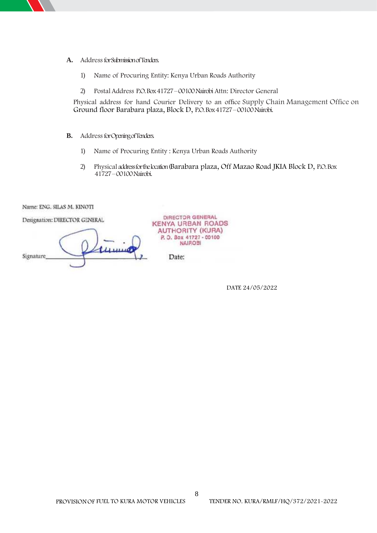- - **A. AddressforSubmissionofTenders.**
		- 1) Name of Procuring Entity: Kenya Urban Roads Authority
		- 2) Postal Address P.O. Box 41727–00100 Nairobi Attn: Director General

Physical address for hand Courier Delivery to an office **Supply Chain Management Office on Ground floor Barabara plaza, Block D,** P.O. Box 41727–00100 Nairobi.

- **B. AddressforOpeningofTenders.**
	- 1) Name of Procuring Entity : Kenya Urban Roads Authority
	- 2) Physical addressforthelocation (**Barabara plaza, Off Mazao Road JKIA Block D,** P.O. Box 41727–00100 Nairobi.

Name: ENG. SILAS M. KINOTI

Designation: DIRECTOR GENERAL

 $\mu$ Signature,

DIRECTOR GENERAL **KENYA URBAN ROADS AUTHORITY (KURA)** P.O. Box 41727 - 00100 **NAIROBI** 

Date:

**DATE 24/05/2022**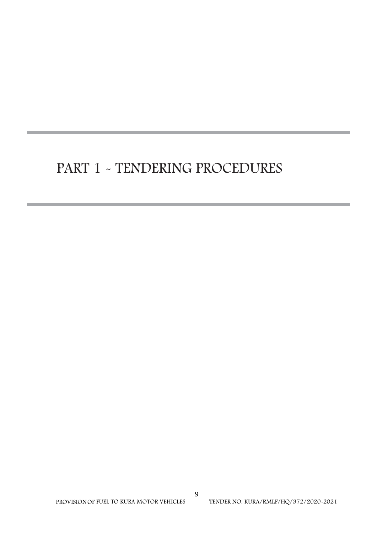# **PART 1 - TENDERING PROCEDURES**

**PROVISION OF FUEL TO KURA MOTOR VEHICLES**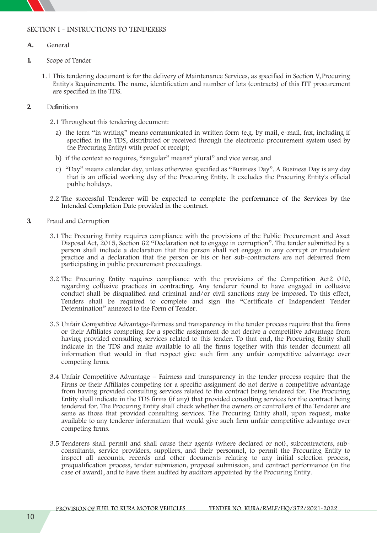

#### **SECTION I - INSTRUCTIONS TO TENDERERS**

- **A. General**
- **1. Scope of Tender**
	- 1.1 This tendering document is for the delivery of Maintenance Services, as specified in Section V, Procuring Entity's Requirements. The name, identification and number of lots (contracts) of this ITT procurement are specified in the TDS.
- **2. Definitions**
	- 2.1 Throughout this tendering document:
		- a) the term "in writing" means communicated in written form (e.g. by mail, e-mail, fax, including if specified in the **TDS**, distributed or received through the electronic-procurement system used by the Procuring Entity) with proof of receipt;
		- b) if the context so requires, "singular" means" plural" and vice versa; and
		- c) "Day" means calendar day, unless otherwise specified as "Business Day". A Business Day is any day that is an official working day of the Procuring Entity. It excludes the Procuring Entity's official public holidays.
	- 2.2 The successful Tenderer will be expected to complete the performance of the Services by the Intended Completion Date provided in the contract.
- **3. Fraud and Corruption**
	- 3.1 The Procuring Entity requires compliance with the provisions of the Public Procurement and Asset Disposal Act, 2015, Section 62 "Declaration not to engage in corruption". The tender submitted by a person shall include a declaration that the person shall not engage in any corrupt or fraudulent practice and a declaration that the person or his or her sub-contractors are not debarred from participating in public procurement proceedings.
	- 3.2 The Procuring Entity requires compliance with the provisions of the Competition Act2 010, regarding collusive practices in contracting. Any tenderer found to have engaged in collusive conduct shall be disqualified and criminal and/or civil sanctions may be imposed. To this effect, Tenders shall be required to complete and sign the "Certificate of Independent Tender Determination" annexed to the Form of Tender.
	- 3.3 Unfair Competitive Advantage-Fairness and transparency in the tender process require that the firms or their Affiliates competing for a specific assignment do not derive a competitive advantage from having provided consulting services related to this tender. To that end, the Procuring Entity shall indicate in the TDS and make available to all the firms together with this tender document all information that would in that respect give such firm any unfair competitive advantage over competing firms.
	- 3.4 Unfair Competitive Advantage Fairness and transparency in the tender process require that the Firms or their Affiliates competing for a specific assignment do not derive a competitive advantage from having provided consulting services related to the contract being tendered for. The Procuring Entity shall indicate in the TDS firms (if any) that provided consulting services for the contract being tendered for. The Procuring Entity shall check whether the owners or controllers of the Tenderer are same as those that provided consulting services. The Procuring Entity shall, upon request, make available to any tenderer information that would give such firm unfair competitive advantage over competing firms.
	- 3.5 Tenderers shall permit and shall cause their agents (where declared or not), subcontractors, sub consultants, service providers, suppliers, and their personnel, to permit the Procuring Entity to inspect all accounts, records and other documents relating to any initial selection process, prequalification process, tender submission, proposal submission, and contract performance (in the case of award), and to have them audited by auditors appointed by the Procuring Entity.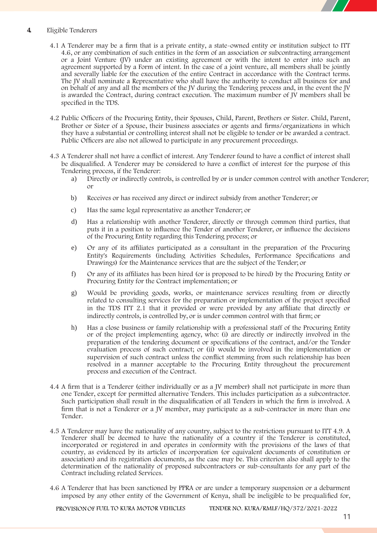

#### **4. Eligible Tenderers**

- 4.1 A Tenderer may be a firm that is a private entity, a state-owned entity or institution subject to ITT 4.6, or any combination of such entities in the form of an association or subcontracting arrangement or a Joint Venture (JV) under an existing agreement or with the intent to enter into such an agreement supported by a Form of intent. In the case of a joint venture, all members shall be jointly and severally liable for the execution of the entire Contract in accordance with the Contract terms. The JV shall nominate a Representative who shall have the authority to conduct all business for and on behalf of any and all the members of the JV during the Tendering process and, in the event the JV is awarded the Contract, during contract execution. The maximum number of JV members shall be specified in the **TDS.**
- 4.2 Public Officers of the Procuring Entity, their Spouses, Child, Parent, Brothers or Sister. Child, Parent, Brother or Sister of a Spouse, their business associates or agents and firms/organizations in which they have a substantial or controlling interest shall not be eligible to tender or be awarded a contract. Public Officers are also not allowed to participate in any procurement proceedings.
- 4.3 A Tenderer shall not have a conflict of interest. Any Tenderer found to have a conflict of interest shall be disqualified. A Tenderer may be considered to have a conflict of interest for the purpose of this Tendering process, if the Tenderer:
	- a) Directly or indirectly controls, is controlled by or is under common control with another Tenderer; or
	- b) Receives or has received any direct or indirect subsidy from another Tenderer; or
	- c) Has the same legal representative as another Tenderer; or
	- d) Has a relationship with another Tenderer, directly or through common third parties, that puts it in a position to influence the Tender of another Tenderer, or influence the decisions of the Procuring Entity regarding this Tendering process; or
	- e) Or any of its affiliates participated as a consultant in the preparation of the Procuring Entity's Requirements (including Activities Schedules, Performance Specifications and Drawings) for the Maintenance services that are the subject of the Tender; or
	- f) Or any ofits affiliates has been hired (or is proposed to be hired) by the Procuring Entity or Procuring Entity for the Contract implementation; or
	- g) Would be providing goods, works, or maintenance services resulting from or directly related to consulting services for the preparation orimplementation of the project specified in the TDS ITT 2.1 that it provided or were provided by any affiliate that directly or indirectly controls, is controlled by, or is under common control with that firm; or
	- h) Has a close business or family relationship with a professional staff of the Procuring Entity or of the project implementing agency, who: (i) are directly or indirectly involved in the preparation of the tendering document or specifications of the contract, and/or the Tender evaluation process of such contract; or (ii) would be involved in the implementation or supervision of such contract unless the conflict stemming from such relationship has been resolved in a manner acceptable to the Procuring Entity throughout the procurement process and execution of the Contract.
- 4.4 A firm that is a Tenderer (either individually or as a JV member) shall not participate in more than one Tender, except for permitted alternative Tenders. This includes participation as a subcontractor. Such participation shall result in the disqualification of all Tenders in which the firm is involved. A firm that is not a Tenderer or a JV member, may participate as a sub-contractor in more than one Tender.
- 4.5 A Tenderer may have the nationality of any country, subject to the restrictions pursuant to ITT 4.9. A Tenderer shall be deemed to have the nationality of a country if the Tenderer is constituted, incorporated or registered in and operates in conformity with the provisions of the laws of that country, as evidenced by its articles of incorporation (or equivalent documents of constitution or association) and its registration documents, as the case may be. This criterion also shall apply to the determination of the nationality of proposed subcontractors or sub-consultants for any part of the Contract including related Services.
- 4.6 A Tenderer that has been sanctioned by PPRA or are under a temporary suspension or a debarment imposed by any other entity of the Government of Kenya, shall be ineligible to be prequalified for,

**PROVISIONOF FUEL TO KURA MOTOR VEHICLES TENDER NO. KURA/RMLF/HQ/372/2021-2022**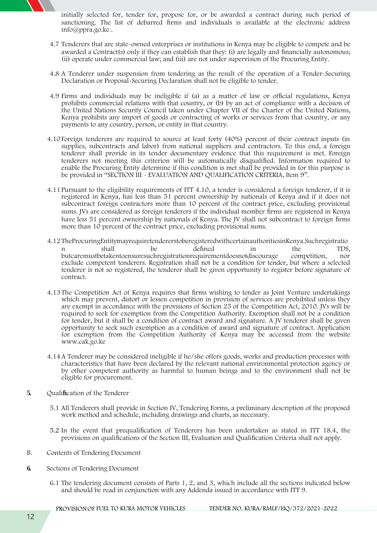initially selected for, tender for, propose for, or be awarded a contract during such period of sanctioning. The list of debarred firms and individuals is available at the electronic address info@ppra.go.ke .

- 4.7 Tenderers that are state-owned enterprises or institutions in Kenya may be eligible to compete and be awarded a Contract(s) only if they can establish that they: (i) are legally and financially autonomous; (ii) operate under commercial law; and (iii) are not under supervision of the Procuring Entity.
- 4.8 A Tenderer under suspension from tendering as the result of the operation of a Tender-Securing Declaration or Proposal-Securing Declaration shall not be eligible to tender.
- 4.9 Firms and individuals may be ineligible if (a) as a matter of law or official regulations, Kenya prohibits commercial relations with that country, or (b) by an act of compliance with a decision of the United Nations Security Council taken under Chapter VII of the Charter of the United Nations, Kenya prohibits any import of goods or contracting of works or services from that country, or any payments to any country, person, or entity in that country.
- 4.10Foreign tenderers are required to source at least forty (40%) percent of their contract inputs (in supplies, subcontracts and labor) from national suppliers and contractors. To this end, a foreign tenderer shall provide in its tender documentary evidence that this requirement is met. Foreign tenderers not meeting this criterion will be automatically disqualified. Information required to enable the Procuring Entity determine if this condition is met shall be provided in for this purpose is be provided in "SECTION III - EVALUATION AND QUALIFICATION CRITERIA, Item 9".
- 4.11Pursuant to the eligibility requirements of ITT 4.10, a tender is considered a foreign tenderer, if it is registered in Kenya, has less than 51 percent ownership by nationals of Kenya and if it does not subcontract foreign contractors more than 10 percent of the contract price, excluding provisional sums. JVs are considered as foreign tenderers if the individual member firms are registered in Kenya have less 51 percent ownership by nationals of Kenya. The JV shall not subcontract to foreign firms more than 10 percent of the contract price, excluding provisional sums.
- 4.12TheProcuringEntitymayrequiretendererstoberegisteredwithcertainauthoritiesinKenya.Suchregistratio n shall be defined in the TDS, butcaremustbetakentoensuresuchregistrationrequirementdoesnotdiscourage competition, nor exclude competent tenderers. Registration shall not be a condition for tender, but where a selected tenderer is not so registered, the tenderer shall be given opportunity to register before signature of contract.
- 4.13The Competition Act of Kenya requires that firms wishing to tender as Joint Venture undertakings which may prevent, distort or lessen competition in provision of services are prohibited unless they are exempt in accordance with the provisions of Section 25 of the Competition Act, 2010. JVs will be required to seek for exemption from the Competition Authority. Exemption shall not be a condition for tender, but it shall be a condition of contract award and signature. A JV tenderer shall be given opportunity to seek such exemption as a condition of award and signature of contract. Application for exemption from the Competition Authority of Kenya may be accessed from the website www.cak.go.ke
- 4.14A Tenderer may be considered ineligible if he/she offers goods, works and production processes with characteristics that have been declared by the relevant national environmental protection agency or by other competent authority as harmful to human beings and to the environment shall not be eligible for procurement.
- **5. Qualification of the Tenderer**
	- 5.1 All Tenderers shall provide in Section IV, Tendering Forms, a preliminary description of the proposed work method and schedule, including drawings and charts, as necessary.
	- 5.2 In the event that prequalification of Tenderers has been undertaken as stated in ITT 18.4, the provisions on qualifications of the Section III, Evaluation and Qualification Criteria shall not apply.
- **B. Contents of Tendering Document**
- **6. Sections of Tendering Document**
	- 6.1 The tendering document consists of Parts 1, 2, and 3, which include all the sections indicated below and should be read in conjunction with any Addenda issued in accordance with ITT 9.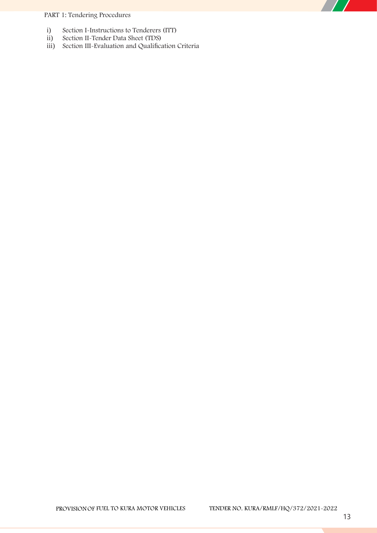### **PART 1: Tendering Procedures**

- i) Section I-Instructions to Tenderers (ITT)<br>ii) Section II-Tender Data Sheet (TDS)
- Section II-Tender Data Sheet (TDS)
- iii) Section III-Evaluation and Qualification Criteria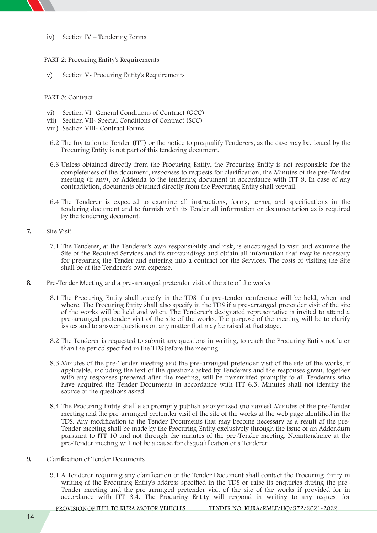- - iv) Section IV Tendering Forms

#### **PART 2: Procuring Entity's Requirements**

v) Section V- Procuring Entity's Requirements

**PART 3: Contract**

- vi) Section VI- General Conditions of Contract (GCC)
- vii) Section VII- Special Conditions of Contract (SCC)
- viii) Section VIII- Contract Forms
- 6.2 The Invitation to Tender (ITT) or the notice to prequalify Tenderers, as the case may be, issued by the Procuring Entity is not part of this tendering document.
- 6.3 Unless obtained directly from the Procuring Entity, the Procuring Entity is not responsible for the completeness of the document, responses to requests for clarification, the Minutes of the pre-Tender meeting (if any), or Addenda to the tendering document in accordance with ITT 9. In case of any contradiction, documents obtained directly from the Procuring Entity shall prevail.
- 6.4 The Tenderer is expected to examine all instructions, forms, terms, and specifications in the tendering document and to furnish with its Tender all information or documentation as is required by the tendering document.
- **7. Site Visit**
	- 7.1 The Tenderer, at the Tenderer's own responsibility and risk, is encouraged to visit and examine the Site of the Required Services and its surroundings and obtain all information that may be necessary for preparing the Tender and entering into a contract for the Services. The costs of visiting the Site shall be at the Tenderer's own expense.
- **8. Pre-Tender Meeting and a pre-arranged pretender visit of the site of the works**
	- 8.1 The Procuring Entity shall specify in the TDS if a pre-tender conference will be held, when and where. The Procuring Entity shall also specify in the TDS if a pre-arranged pretender visit of the site of the works will be held and when. The Tenderer's designated representative is invited to attend a pre-arranged pretender visit of the site of the works. The purpose of the meeting will be to clarify issues and to answer questions on any matter that may be raised at that stage.
	- 8.2 The Tenderer is requested to submit any questions in writing, to reach the Procuring Entity not later than the period specified in the TDS before the meeting.
	- 8.3 Minutes of the pre-Tender meeting and the pre-arranged pretender visit of the site of the works, if applicable, including the text of the questions asked by Tenderers and the responses given, together with any responses prepared after the meeting, will be transmitted promptly to all Tenderers who have acquired the Tender Documents in accordance with ITT 6.3. Minutes shall not identify the source of the questions asked.
	- 8.4 The Procuring Entity shall also promptly publish anonymized (no names) Minutes of the pre-Tender meeting and the pre-arranged pretender visit of the site of the works at the web page identified in the TDS. Any modification to the Tender Documents that may become necessary as <sup>a</sup> result of the pre- Tender meeting shall be made by the Procuring Entity exclusively through the issue of an Addendum pursuant to ITT 10 and not through the minutes of the pre-Tender meeting. Nonattendance at the pre-Tender meeting will not be a cause for disqualification of a Tenderer.
- **9. Clarification of Tender Documents**
	- 9.1 A Tenderer requiring any clarification of the Tender Document shall contact the Procuring Entity in writing at the Procuring Entity's address specified in the TDS or raise its enquiries during the pre- Tender meeting and the pre-arranged pretender visit of the site of the works if provided for in accordance with ITT 8.4. The Procuring Entity will respond in writing to any request for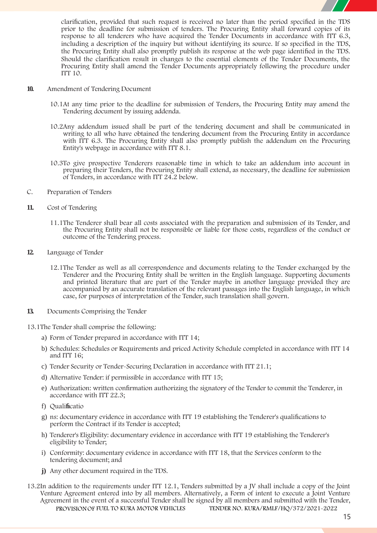

clarification, provided that such request is received no later than the period specified in the TDS prior to the deadline for submission of tenders. The Procuring Entity shall forward copies of its response to all tenderers who have acquired the Tender Documents in accordance with ITT 6.3, including a description of the inquiry but without identifying its source. If so specified in the **TDS**, the Procuring Entity shall also promptly publish its response at the web page identified in the **TDS**. Should the clarification result in changes to the essential elements of the Tender Documents, the Procuring Entity shall amend the Tender Documents appropriately following the procedure under ITT 10.

- **10. Amendment of Tendering Document**
	- 10.1At any time prior to the deadline for submission of Tenders, the Procuring Entity may amend the Tendering document by issuing addenda.
	- 10.2Any addendum issued shall be part of the tendering document and shall be communicated in writing to all who have obtained the tendering document from the Procuring Entity in accordance with ITT 6.3. The Procuring Entity shall also promptly publish the addendum on the Procuring Entity's webpage in accordance with ITT 8.1.
	- 10.3To give prospective Tenderers reasonable time in which to take an addendum into account in preparing their Tenders, the Procuring Entity shall extend, as necessary, the deadline for submission of Tenders, in accordance with ITT 24.2 below.
- **C. Preparation of Tenders**
- **11. Cost of Tendering**
	- 11.1The Tenderer shall bear all costs associated with the preparation and submission of its Tender, and the Procuring Entity shall not be responsible or liable for those costs, regardless of the conduct or outcome of the Tendering process.
- **12. Language of Tender**
	- 12.1The Tender as well as all correspondence and documents relating to the Tender exchanged by the Tenderer and the Procuring Entity shall be written in the English language. Supporting documents and printed literature that are part of the Tender maybe in another language provided they are accompanied by an accurate translation of the relevant passages into the English language, in which case, for purposes of interpretation of the Tender, such translation shall govern.
- **13. Documents Comprising the Tender**

13.1The Tender shall comprise the following:

- a) **Form of Tender** prepared in accordance with ITT 14;
- b) **Schedules:** Schedules or Requirements and priced Activity Schedule completed in accordance with ITT 14 and ITT 16;
- c) **Tender Security or Tender-Securing Declaration** in accordance with ITT 21.1;
- d) **Alternative Tender**: if permissible in accordance with ITT 15;
- e) **Authorization:** written confirmation authorizing the signatory of the Tender to commit the Tenderer, in accordance with ITT 22.3;
- f) **Qualificatio**
- g) **ns:** documentary evidence in accordance with ITT 19 establishing the Tenderer's qualifications to perform the Contract if its Tender is accepted;
- h) **Tenderer's Eligibility**: documentary evidence in accordance with ITT 19 establishing the Tenderer's eligibility to Tender;
- i) **Conformity**: documentary evidence in accordance with ITT 18, that the Services conform to the tendering document; and
- **j)** Any other document required **in the TDS.**
- **PROVISIONOF FUEL TO KURA MOTOR VEHICLES TENDER NO. KURA/RMLF/HQ/372/2021-2022** 13.2In addition to the requirements under ITT 12.1, Tenders submitted by a JV shall include a copy of the Joint Venture Agreement entered into by all members. Alternatively, a Form of intent to execute a Joint Venture Agreement in the event of a successful Tender shall be signed by all members and submitted with the Tender,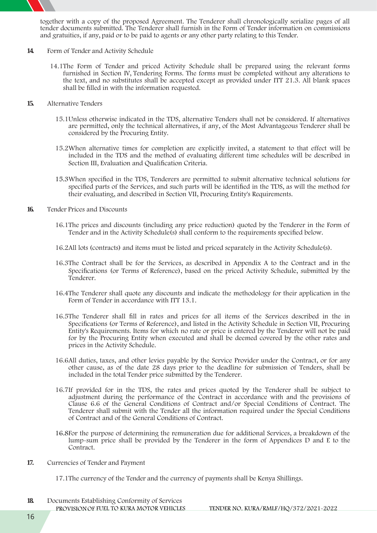

together with a copy of the proposed Agreement. The Tenderer shall chronologically serialize pages of all tender documents submitted. The Tenderer shall furnish in the Form of Tender information on commissions and gratuities, if any, paid or to be paid to agents or any other party relating to this Tender.

- **14. Form of Tender and Activity Schedule**
	- 14.1The Form of Tender and priced Activity Schedule shall be prepared using the relevant forms furnished in Section IV, Tendering Forms. The forms must be completed without any alterations to the text, and no substitutes shall be accepted except as provided under ITT 21.3. All blank spaces shall be filled in with the information requested.
- **15. Alternative Tenders**
	- 15.1Unless otherwise indicated in the TDS, alternative Tenders shall not be considered. If alternatives are permitted, only the technical alternatives, if any, of the Most Advantageous Tenderer shall be considered by the Procuring Entity.
	- 15.2When alternative times for completion are explicitly invited, a statement to that effect will be included in the TDS and the method of evaluating different time schedules will be described in Section III, Evaluation and Qualification Criteria.
	- 15.3When specified in the TDS, Tenderers are permitted to submit alternative technical solutions for specified parts of the Services, and such parts will be identified in the TDS, as will the method for their evaluating, and described in Section VII, Procuring Entity's Requirements.
- **16. Tender Prices and Discounts**
	- 16.1The prices and discounts (including any price reduction) quoted by the Tenderer in the Form of Tender and in the Activity Schedule(s) shall conform to the requirements specified below.
	- 16.2All lots (contracts) and items must be listed and priced separately in the Activity Schedule(s).
	- 16.3The Contract shall be for the Services, as described in Appendix A to the Contract and in the Specifications (or Terms of Reference), based on the priced Activity Schedule, submitted by the Tenderer.
	- 16.4The Tenderer shall quote any discounts and indicate the methodology for their application in the Form of Tender in accordance with ITT 13.1.
	- 16.5The Tenderer shall fill in rates and prices for all items of the Services described in the in Specifications (or Terms of Reference), and listed in the Activity Schedule in Section VII, Procuring Entity's Requirements. Items for which no rate or price is entered by the Tenderer will not be paid for by the Procuring Entity when executed and shall be deemed covered by the other rates and prices in the Activity Schedule.
	- 16.6All duties, taxes, and other levies payable by the Service Provider under the Contract, or for any other cause, as of the date 28 days prior to the deadline for submission of Tenders, shall be included in the total Tender price submitted by the Tenderer.
	- 16.7If provided for in the TDS, the rates and prices quoted by the Tenderer shall be subject to adjustment during the performance of the Contract in accordance with and the provisions of Clause 6.6 of the General Conditions of Contract and/or Special Conditions of Contract. The Tenderer shall submit with the Tender all the information required under the Special Conditions of Contract and of the General Conditions of Contract.
	- 16.8For the purpose of determining the remuneration due for additional Services, a breakdown of the lump-sum price shall be provided by the Tenderer in the form of Appendices D and E to the Contract.
- **17. Currencies of Tender and Payment**
	- 17.1The currency of the Tender and the currency of payments shall be Kenya Shillings.
- **18. Documents Establishing Conformity of Services**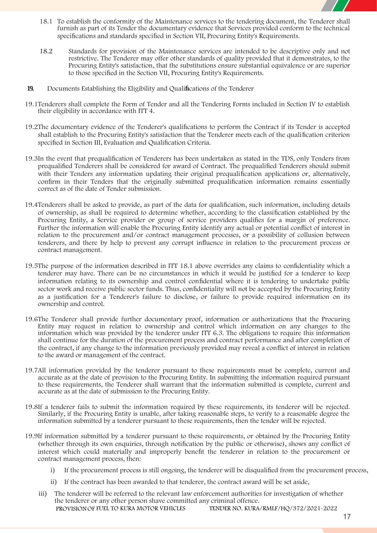

- 18.1 To establish the conformity of the Maintenance services to the tendering document, the Tenderer shall furnish as part of its Tender the documentary evidence that Services provided conform to the technical specifications and standards specified in Section VII, Procuring Entity's Requirements.
- 18.2 Standards for provision of the Maintenance services are intended to be descriptive only and not restrictive. The Tenderer may offer other standards of quality provided that it demonstrates, to the Procuring Entity's satisfaction, that the substitutions ensure substantial equivalence or are superior to those specified in the Section VII, Procuring Entity's Requirements.
- **19. Documents Establishing the Eligibility and Qualifications of the Tenderer**
- 19.1Tenderers shall complete the Form of Tender and all the Tendering Forms included in Section IV to establish their eligibility in accordance with ITT 4.
- 19.2The documentary evidence of the Tenderer's qualifications to perform the Contract if its Tender is accepted shall establish to the Procuring Entity's satisfaction that the Tenderer meets each of the qualification criterion specified in Section III, Evaluation and Qualification Criteria.
- 19.3In the event that prequalification of Tenderers has been undertaken as stated in the TDS, only Tenders from prequalified Tenderers shall be considered for award of Contract. The prequalified Tenderers should submit with their Tenders any information updating their original prequalification applications or, alternatively, confirm in their Tenders that the originally submitted prequalification information remains essentially correct as of the date of Tender submission.
- 19.4Tenderers shall be asked to provide, as part of the data for qualification, such information, including details of ownership, as shall be required to determine whether, according to the classification established by the Procuring Entity, a Service provider or group of service providers qualifies for a margin of preference. Further the information will enable the Procuring Entity identify any actual or potential conflict of interest in relation to the procurement and/or contract management processes, or a possibility of collusion between tenderers, and there by help to prevent any corrupt influence in relation to the procurement process or contract management.
- 19.5The purpose of the information described in ITT 18.1 above overrides any claims to confidentiality which a tenderer may have. There can be no circumstances in which it would be justified for a tenderer to keep information relating to its ownership and control confidential where it is tendering to undertake public sector work and receive public sector funds. Thus, confidentiality will not be accepted by the Procuring Entity as a justification for a Tenderer's failure to disclose, or failure to provide required information on its ownership and control.
- 19.6The Tenderer shall provide further documentary proof, information or authorizations that the Procuring Entity may request in relation to ownership and control which information on any changes to the information which was provided by the tenderer under ITT 6.3. The obligations to require this information shall continue for the duration of the procurement process and contract performance and after completion of the contract, if any change to the information previously provided may reveal a conflict of interest in relation to the award or management of the contract.
- 19.7All information provided by the tenderer pursuant to these requirements must be complete, current and accurate as at the date of provision to the Procuring Entity. In submitting the information required pursuant to these requirements, the Tenderer shall warrant that the information submitted is complete, current and accurate as at the date of submission to the Procuring Entity.
- 19.8If a tenderer fails to submit the information required by these requirements, its tenderer will be rejected. Similarly, if the Procuring Entity is unable, after taking reasonable steps, to verify to a reasonable degree the information submitted by a tenderer pursuant to these requirements, then the tender will be rejected.
- 19.9If information submitted by a tenderer pursuant to these requirements, or obtained by the Procuring Entity (whether through its own enquiries, through notification by the public or otherwise), shows any conflict of interest which could materially and improperly benefit the tenderer in relation to the procurement or contract management process, then:
	- i) If the procurement process is still ongoing, the tenderer will be disqualified from the procurement process,
	- ii) If the contract has been awarded to that tenderer, the contract award will be set aside,
	- **PROVISIONOF FUEL TO KURA MOTOR VEHICLES TENDER NO. KURA/RMLF/HQ/372/2021-2022** iii) The tenderer will be referred to the relevant law enforcement authorities for investigation of whether the tenderer or any other person shave committed any criminal offence.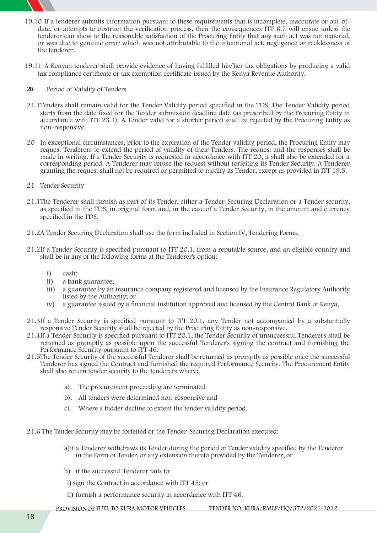

- 19.10 If a tenderer submits information pursuant to these requirements that is incomplete, inaccurate or out-of date, or attempts to obstruct the verification process, then the consequences ITT 6.7 will ensue unless the tenderer can show to the reasonable satisfaction of the Procuring Entity that any such act was not material, or was due to genuine error which was not attributable to the intentional act, negligence or recklessness of the tenderer.
- 19.11 A Kenyan tenderer shall provide evidence of having fulfilled his/her tax obligations by producing a valid tax compliance certificate or tax exemption certificate issued by the Kenya Revenue Authority.

#### **20. Period of Validity of Tenders**

- 21.1Tenders shall remain valid for the Tender Validity period specified in the TDS. The Tender Validity period starts from the date fixed for the Tender submission deadline date (as prescribed by the Procuring Entity in accordance with ITT 23.1). A Tender valid for a shorter period shall be rejected by the Procuring Entity as non-responsive.
- 20 In exceptional circumstances, prior to the expiration of the Tender validity period, the Procuring Entity may request Tenderers to extend the period of validity of their Tenders. The request and the responses shall be made in writing. If a Tender Security is requested in accordance with ITT 20, it shall also be extended for a corresponding period. A Tenderer may refuse the request without forfeiting its Tender Security. A Tenderer granting the request shall not be required or permitted to modify its Tender, except as provided in ITT 19.3.
- **21 Tender Security**
- 21.1The Tenderer shall furnish as part of its Tender, either a Tender-Securing Declaration or a Tender security, as specified in the TDS, in original form and, in the case of a Tender Security, in the amount and currency specified in the TDS.
- 21.2A Tender Securing Declaration shall use the form included in Section IV, Tendering Forms.
- 21.2If a Tender Security is specified pursuant to ITT 20.1, from a reputable source, and an eligible country and shall be in any of the following forms at the Tenderer's option:
	- i) cash;
	- ii) a bank guarantee;
	- iii) a guarantee by an insurance company registered and licensed by the Insurance Regulatory Authority listed by the Authority; or
	- iv) a guarantee issued by a financial institution approved and licensed by the Central Bank of Kenya,
- 21.3If a Tender Security is specified pursuant to ITT 20.1, any Tender not accompanied by a substantially responsive Tender Security shall be rejected by the Procuring Entity as non-responsive.
- 21.4If a Tender Security is specified pursuant to ITT 20.1, the Tender Security of unsuccessful Tenderers shall be returned as promptly as possible upon the successful Tenderer's signing the contract and furnishing the Performance Security pursuant to ITT 46.
- 21.5The Tender Security of the successful Tenderer shall be returned as promptly as possible once the successful Tenderer has signed the Contract and furnished the required Performance Security. The Procurement Entity shall also return tender security to the tenderers where:
	- a). The procurement proceeding are terminated
	- b). All tenders were determined non-responsive and
	- c). Where a bidder decline to extent the tender validity period.
- 21.6 The Tender Security may be forfeited or the Tender-Securing Declaration executed:
	- a)if a Tenderer withdraws its Tender during the period of Tender validity specified by the Tenderer in the Form of Tender, or any extension thereto provided by the Tenderer; or
	- b) if the successful Tenderer fails to:
	- i) sign the Contract in accordance with ITT 45; or
	- ii) furnish a performance security in accordance with ITT 46.
	- **PROVISIONOF FUEL TO KURA MOTOR VEHICLES TENDER NO. KURA/RMLF/HQ/372/2021-2022**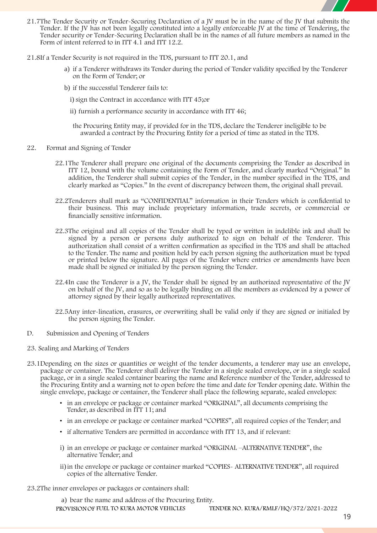

- 21.7The Tender Security or Tender-Securing Declaration of a JV must be in the name of the JV that submits the Tender. If the JV has not been legally constituted into a legally enforceable JV at the time of Tendering, the Tender security or Tender-Securing Declaration shall be in the names of all future members as named in the Form of intent referred to in ITT 4.1 and ITT 12.2.
- 21.8If a Tender Security is not required in the TDS, pursuant to ITT 20.1, and
	- a) if a Tenderer withdraws its Tender during the period of Tender validity specified by the Tenderer on the Form of Tender; or
	- b) if the successful Tenderer fails to:
		- i) sign the Contract in accordance with ITT 45;or
		- ii) furnish a performance security in accordance with ITT 46;
		- the Procuring Entity may**,** if provided for **in the TDS**, declare the Tenderer ineligible to be awarded a contract by the Procuring Entity for a period of time as stated **in the TDS**.
- **22. Format and Signing of Tender**
	- 22.1The Tenderer shall prepare one original of the documents comprising the Tender as described in ITT 12, bound with the volume containing the Form of Tender, and clearly marked "Original." In addition, the Tenderer shall submit copies of the Tender, in the number specified in the TDS, and clearly marked as "Copies." In the event of discrepancy between them, the original shall prevail.
	- 22.2Tenderers shall mark as "CONFIDENTIAL" information in their Tenders which is confidential to their business. This may include proprietary information, trade secrets, or commercial or financially sensitive information.
	- 22.3The original and all copies of the Tender shall be typed or written in indelible ink and shall be signed by a person or persons duly authorized to sign on behalf of the Tenderer. This authorization shall consist of a written confirmation as specified in the TDS and shall be attached to the Tender. The name and position held by each person signing the authorization must be typed or printed below the signature. All pages of the Tender where entries or amendments have been made shall be signed or initialed by the person signing the Tender.
	- 22.4In case the Tenderer is a JV, the Tender shall be signed by an authorized representative of the JV on behalf of the JV, and so as to be legally binding on all the members as evidenced by a power of attorney signed by their legally authorized representatives.
	- 22.5Any inter-lineation, erasures, or overwriting shall be valid only if they are signed or initialed by the person signing the Tender.
- **D. Submission and Opening of Tenders**
- **23. Sealing and Marking of Tenders**
- 23.1Depending on the sizes or quantities or weight of the tender documents, a tenderer may use an envelope, package or container. The Tenderer shall deliver the Tender in a single sealed envelope, or in a single sealed package, or in a single sealed container bearing the name and Reference number of the Tender, addressed to the Procuring Entity and a warning not to open before the time and date for Tender opening date. Within the single envelope, package or container, the Tenderer shall place the following separate, sealed envelopes:
	- in an envelope or package or container marked "ORIGINAL", all documents comprising the Tender, as described in ITT 11; and
	- in an envelope or package or container marked "COPIES", all required copies of the Tender; and
	- if alternative Tenders are permitted in accordance with ITT 13, and if relevant:
	- i) in an envelope or package or container marked "ORIGINAL –ALTERNATIVE TENDER", the alternative Tender; and
	- ii)in the envelope or package or container marked "COPIES- ALTERNATIVE TENDER", all required copies of the alternative Tender.
- 23.2The inner envelopes or packages or containers shall:

a) bear the name and address of the Procuring Entity.

**PROVISIONOF FUEL TO KURA MOTOR VEHICLES TENDER NO. KURA/RMLF/HQ/372/2021-2022**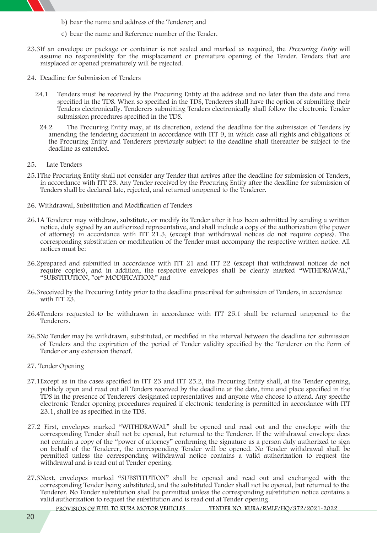

- b) bear the name and address of the Tenderer; and
- c) bear the name and Reference number of the Tender.
- 23.3If an envelope or package or container is not sealed and marked as required, the *Procuring Entity* will assume no responsibility for the misplacement or premature opening of the Tender. Tenders that are misplaced or opened prematurely will be rejected.
- **24. Deadline for Submission of Tenders**
	- 24.1 Tenders must be received by the Procuring Entity at the address and no later than the date and time specified in the TDS. When so specified in the TDS, Tenderers shall have the option of submitting their Tenders electronically. Tenderers submitting Tenders electronically shall follow the electronic Tender submission procedures specified in the TDS.
	- 24.2 The Procuring Entity may, at its discretion, extend the deadline for the submission of Tenders by amending the tendering document in accordance with ITT 9, in which case all rights and obligations of the Procuring Entity and Tenderers previously subject to the deadline shall thereafter be subject to the deadline as extended.
- **25. Late Tenders**
- 25.1The Procuring Entity shall not consider any Tender that arrives after the deadline for submission of Tenders, in accordance with ITT 23. Any Tender received by the Procuring Entity after the deadline for submission of Tenders shall be declared late, rejected, and returned unopened to the Tenderer.
- **26. Withdrawal, Substitution and Modification of Tenders**
- 26.1A Tenderer may withdraw, substitute, or modify its Tender after it has been submitted by sending a written notice, duly signed by an authorized representative, and shall include a copy of the authorization (the power of attorney) in accordance with ITT 21.3, (except that withdrawal notices do not require copies). The corresponding substitution or modification of the Tender must accompany the respective written notice. All notices must be:
- 26.2prepared and submitted in accordance with ITT 21 and ITT 22 (except that withdrawal notices do not require copies), and in addition, the respective envelopes shall be clearly marked "WITHDRAWAL," "SUBSTITUTION, "or" MODIFICATION;" and
- 26.3received by the Procuring Entity prior to the deadline prescribed for submission of Tenders, in accordance with ITT 23.
- 26.4Tenders requested to be withdrawn in accordance with ITT 25.1 shall be returned unopened to the Tenderers.
- 26.5No Tender may be withdrawn, substituted, or modified in the interval between the deadline for submission of Tenders and the expiration of the period of Tender validity specified by the Tenderer on the Form of Tender or any extension thereof.
- **27. Tender Opening**
- **27.1**Except as in the cases specified in ITT 23 and ITT 25.2, the Procuring Entity shall, at the Tender opening, publicly open and read out all Tenders received by the deadline atthe date, time and place specified **in the TDS** in the presence of Tenderers' designated representatives and anyone who choose to attend. Any specific electronic Tender opening procedures required if electronic tendering is permitted in accordance with ITT 23.1, shall be as specified **in the TDS.**
- 27.2 First, envelopes marked "WITHDRAWAL" shall be opened and read out and the envelope with the corresponding Tender shall not be opened, but returned to the Tenderer. If the withdrawal envelope does not contain a copy of the "power of attorney" confirming the signature as a person duly authorized to sign on behalf of the Tenderer, the corresponding Tender will be opened. No Tender withdrawal shall be permitted unless the corresponding withdrawal notice contains a valid authorization to request the withdrawal and is read out at Tender opening.
- 27.3Next, envelopes marked "SUBSTITUTION" shall be opened and read out and exchanged with the corresponding Tender being substituted, and the substituted Tender shall not be opened, but returned to the Tenderer. No Tender substitution shall be permitted unless the corresponding substitution notice contains a valid authorization to request the substitution and is read out at Tender opening.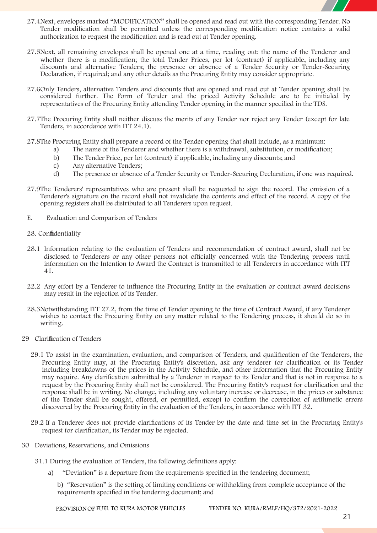

- 27.4Next, envelopes marked "MODIFICATION" shall be opened and read out with the corresponding Tender. No Tender modification shall be permitted unless the corresponding modification notice contains a valid authorization to request the modification and is read out at Tender opening.
- 27.5Next, all remaining envelopes shall be opened one at a time, reading out: the name of the Tenderer and whether there is a modification; the total Tender Prices, per lot (contract) if applicable, including any discounts and alternative Tenders; the presence or absence of a Tender Security or Tender-Securing Declaration, if required; and any other details as the Procuring Entity may consider appropriate.
- 27.6Only Tenders, alternative Tenders and discounts that are opened and read out at Tender opening shall be considered further. The Form of Tender and the priced Activity Schedule are to be initialed by representatives of the Procuring Entity attending Tender opening in the manner specified in the TDS.
- 27.7The Procuring Entity shall neither discuss the merits of any Tender nor reject any Tender (except for late Tenders, in accordance with ITT 24.1).
- 27.8The Procuring Entity shall prepare a record of the Tender opening that shall include, as a minimum:
	- a) The name of the Tenderer and whether there is a withdrawal, substitution, or modification;
	- b) The Tender Price, per lot (contract) if applicable, including any discounts; and
	- c) Any alternative Tenders;
	- d) The presence or absence of a Tender Security or Tender-Securing Declaration, if one was required.
- 27.9The Tenderers' representatives who are present shall be requested to sign the record. The omission of a Tenderer's signature on the record shall not invalidate the contents and effect of the record. A copy of the opening registers shall be distributed to all Tenderers upon request.
- **E. Evaluation and Comparison of Tenders**
- **28. Confidentiality**
- 28.1 Information relating to the evaluation of Tenders and recommendation of contract award, shall not be disclosed to Tenderers or any other persons not officially concerned with the Tendering process until information on the Intention to Award the Contract is transmitted to all Tenderers in accordance with ITT 41.
- 22.2 Any effort by a Tenderer to influence the Procuring Entity in the evaluation or contract award decisions may result in the rejection of its Tender.
- 28.3Notwithstanding ITT 27.2, from the time of Tender opening to the time of Contract Award, if any Tenderer wishes to contact the Procuring Entity on any matter related to the Tendering process, it should do so in writing.
- **29 Clarification of Tenders**
	- 29.1 To assist in the examination, evaluation, and comparison of Tenders, and qualification of the Tenderers, the Procuring Entity may, at the Procuring Entity's discretion, ask any tenderer for clarification of its Tender including breakdowns of the prices in the Activity Schedule, and other information that the Procuring Entity may require. Any clarification submitted by a Tenderer in respect to its Tender and that is not in response to a request by the Procuring Entity shall not be considered. The Procuring Entity's request for clarification and the response shall be in writing. No change, including any voluntary increase or decrease, in the prices or substance of the Tender shall be sought, offered, or permitted, except to confirm the correction of arithmetic errors discovered by the Procuring Entity in the evaluation of the Tenders, in accordance with ITT 32.
	- 29.2 If a Tenderer does not provide clarifications of its Tender by the date and time set in the Procuring Entity's request for clarification, its Tender may be rejected.
- **30 Deviations, Reservations, and Omissions**
	- 31.1 During the evaluation of Tenders, the following definitions apply:
		- a) "Deviation" is a departure from the requirements specified in the tendering document;

b) "Reservation" is the setting of limiting conditions or withholding from complete acceptance of the requirements specified in the tendering document; and

**PROVISIONOF FUEL TO KURA MOTOR VEHICLES TENDER NO. KURA/RMLF/HQ/372/2021-2022**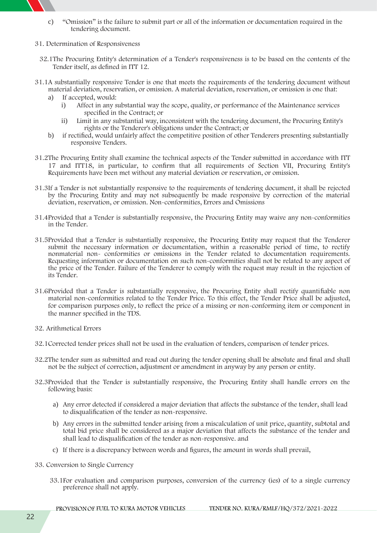

- c) "Omission" is the failure to submit part or all of the information or documentation required in the tendering document.
- **31. Determination of Responsiveness**
	- 32.1The Procuring Entity's determination of a Tender's responsiveness is to be based on the contents of the Tender itself, as defined in ITT 12.
- 31.1A substantially responsive Tender is one that meets the requirements of the tendering document without material deviation, reservation, or omission. A material deviation, reservation, or omission is one that:
	- a) If accepted, would:
		- i) Affect in any substantial way the scope, quality, or performance of the Maintenance services specified in the Contract; or
		- ii) Limit in any substantial way, inconsistent with the tendering document, the Procuring Entity's rights or the Tenderer's obligations under the Contract; or
	- b) if rectified, would unfairly affect the competitive position of other Tenderers presenting substantially responsive Tenders.
- 31.2The Procuring Entity shall examine the technical aspects of the Tender submitted in accordance with ITT 17 and ITT18, in particular, to confirm that all requirements of Section VII, Procuring Entity's Requirements have been met without any material deviation or reservation, or omission.
- 31.3If a Tender is not substantially responsive to the requirements of tendering document, it shall be rejected by the Procuring Entity and may not subsequently be made responsive by correction of the material deviation, reservation, or omission. Non-conformities, Errors and Omissions
- 31.4Provided that a Tender is substantially responsive, the Procuring Entity may waive any non-conformities in the Tender.
- 31.5Provided that a Tender is substantially responsive, the Procuring Entity may request that the Tenderer submit the necessary information or documentation, within a reasonable period of time, to rectify nonmaterial non- conformities or omissions in the Tender related to documentation requirements. Requesting information or documentation on such non-conformities shall not be related to any aspect of the price of the Tender. Failure of the Tenderer to comply with the request may result in the rejection of its Tender.
- 31.6Provided that a Tender is substantially responsive, the Procuring Entity shall rectify quantifiable non material non-conformities related to the Tender Price. To this effect, the Tender Price shall be adjusted, for comparison purposes only, to reflect the price of a missing or non-conforming item or component in the manner specified in the TDS.
- **32. Arithmetical Errors**
- 32.1Corrected tender prices shall not be used in the evaluation of tenders, comparison of tender prices.
- 32.2The tender sum as submitted and read out during the tender opening shall be absolute and final and shall not be the subject of correction, adjustment or amendment in anyway by any person or entity.
- 32.3Provided that the Tender is substantially responsive, the Procuring Entity shall handle errors on the following basis:
	- a) Any error detected if considered a major deviation that affects the substance of the tender, shall lead to disqualification of the tender as non-responsive.
	- b) Any errors in the submitted tender arising from a miscalculation of unit price, quantity, subtotal and total bid price shall be considered asa major deviation thataffects the substance of the tender and shall lead to disqualification of the tender as non-responsive. and
	- c) If there is a discrepancy between words and figures, the amount in words shall prevail,
- **33. Conversion to Single Currency**
	- 33.1For evaluation and comparison purposes, conversion of the currency (ies) of to a single currency preference shall not apply.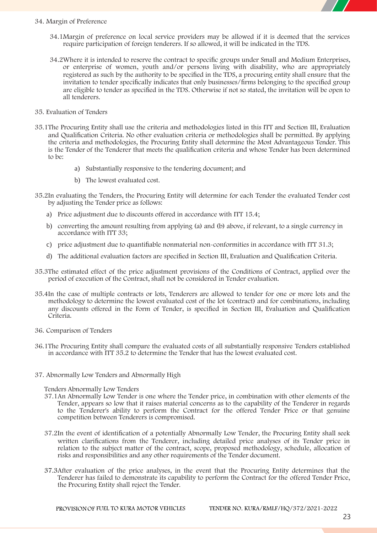

#### **34. Margin of Preference**

- 34.1Margin of preference on local service providers may be allowed if it is deemed that the services require participation of foreign tenderers. If so allowed, it will be indicated in the **TDS.**
- 34.2Where it is intended to reserve the contract to specific groups under Small and Medium Enterprises, or enterprise of women, youth and/or persons living with disability, who are appropriately registered assuch by the authority to be specified in the **TDS**, a procuring entity shall ensure that the invitation to tender specifically indicates that only businesses/firms belonging to the specified group are eligible to tender as specified in the **TDS**. Otherwise if not so stated, the invitation will be open to all tenderers.
- **35. Evaluation of Tenders**
- 35.1The Procuring Entity shall use the criteria and methodologies listed in this ITT and Section III, Evaluation and Qualification Criteria. No other evaluation criteria or methodologies shall be permitted. By applying the criteria and methodologies, the Procuring Entity shall determine the Most Advantageous Tender. This is the Tender of the Tenderer that meets the qualification criteria and whose Tender has been determined to be:
	- a) Substantially responsive to the tendering document; and
	- b) The lowest evaluated cost.
- 35.2In evaluating the Tenders, the Procuring Entity will determine for each Tender the evaluated Tender cost by adjusting the Tender price as follows:
	- a) Price adjustment due to discounts offered in accordance with ITT 15.4;
	- b) converting the amount resulting from applying (a) and (b) above, if relevant, to a single currency in accordance with ITT 33;
	- c) price adjustment due to quantifiable nonmaterial non-conformities in accordance with ITT 31.3;
	- d) The additional evaluation factors are specified in Section III, Evaluation and Qualification Criteria.
- 35.3The estimated effect of the price adjustment provisions of the Conditions of Contract, applied over the period of execution of the Contract, shall not be considered in Tender evaluation.
- 35.4In the case of multiple contracts or lots, Tenderers are allowed to tender for one or more lots and the methodology to determine the lowest evaluated cost of the lot (contract) and for combinations, including any discounts offered in the Form of Tender, is specified in Section III, Evaluation and Qualification Criteria.
- **36. Comparison of Tenders**
- 36.1The Procuring Entity shall compare the evaluated costs of all substantially responsive Tenders established in accordance with ITT 35.2 to determine the Tender that has the lowest evaluated cost.
- **37. Abnormally Low Tenders and Abnormally High**

**Tenders Abnormally Low Tenders**

- 37.1An Abnormally Low Tender is one where the Tender price, in combination with other elements of the Tender, appears so low that it raises material concerns as to the capability of the Tenderer in regards to the Tenderer's ability to perform the Contract for the offered Tender Price or that genuine competition between Tenderers is compromised.
- 37.2In the event of identification of a potentially Abnormally Low Tender, the Procuring Entity shall seek written clarifications from the Tenderer, including detailed price analyses of its Tender price in relation to the subject matter of the contract, scope, proposed methodology, schedule, allocation of risks and responsibilities and any other requirements of the Tender document.
- 37.3After evaluation of the price analyses, in the event that the Procuring Entity determines that the Tenderer has failed to demonstrate its capability to perform the Contract for the offered Tender Price, the Procuring Entity shall reject the Tender.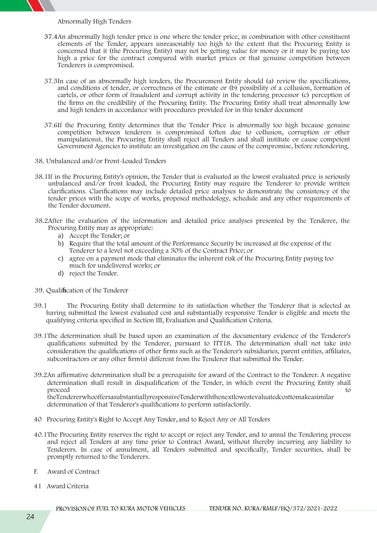**Abnormally High Tenders**

- 37.4An abnormally high tender price is one where the tender price, in combination with other constituent elements of the Tender, appears unreasonably too high to the extent that the Procuring Entity is concerned that it (the Procuring Entity) may not be getting value for money or it may be paying too high a price for the contract compared with market prices or that genuine competition between Tenderers is compromised.
- 37.5In case of an abnormally high tenders, the Procurement Entity should (a) review the specifications, and conditions of tender, or correctness of the estimate or (b) possibility of a collusion, formation of cartels, or other form of fraudulent and corrupt activity in the tendering processor (c) perception of the firms on the credibility of the Procuring Entity. The Procuring Entity shall treat abnormally low and high tenders in accordance with procedures provided for in this tender document
- 37.6If the Procuring Entity determines that the Tender Price is abnormally too high because genuine competition between tenderers is compromised (often due to collusion, corruption or other manipulations), the Procuring Entity shall reject all Tenders and shall institute or cause competent Government Agencies to institute an investigation on the cause of the compromise, before retendering.
- **38. Unbalanced and/or Front-Loaded Tenders**
- 38.1If in the Procuring Entity's opinion, the Tender that is evaluated as the lowest evaluated price is seriously unbalanced and/or front loaded, the Procuring Entity may require the Tenderer to provide written clarifications. Clarifications may include detailed price analyses to demonstrate the consistency of the tender prices with the scope of works, proposed methodology, schedule and any other requirements of the Tender document.
- 38.2After the evaluation of the information and detailed price analyses presented by the Tenderer, the Procuring Entity may as appropriate:
	- a) Accept the Tender; or
	- b) Require that the total amount of the Performance Security be increased at the expense of the Tenderer to a level not exceeding a 30% of the Contract Price; or
	- c) agree on a payment mode that eliminates the inherent risk of the Procuring Entity paying too much for undelivered works; or
	- d) reject the Tender.
- **39. Qualification of the Tenderer**
- 39.1 The Procuring Entity shall determine to its satisfaction whether the Tenderer that is selected as having submitted the lowest evaluated cost and substantially responsive Tender is eligible and meets the qualifying criteria specified in Section III, Evaluation and Qualification Criteria.
- 39.1The determination shall be based upon an examination of the documentary evidence of the Tenderer's qualifications submitted by the Tenderer, pursuant to ITT18. The determination shall not take into consideration the qualifications of other firms such as the Tenderer's subsidiaries, parent entities, affiliates, subcontractors or any other firm(s) different from the Tenderer that submitted the Tender.
- 39.2An affirmative determination shall be a prerequisite for award of the Contract to the Tenderer. A negative determination shall result in disqualification of the Tender, in which event the Procuring Entity shall proceed to the contract of the contract of the contract of the contract of the contract of the contract of the contract of the contract of the contract of the contract of the contract of the contract of the contract of the theTendererwhooffersasubstantiallyresponsiveTenderwiththenextlowestevaluatedcosttomakeasimilar

determination of that Tenderer's qualifications to perform satisfactorily.

- **40 Procuring Entity's Right to Accept Any Tender, and to Reject Any or All Tenders**
- 40.1The Procuring Entity reserves the right to accept or reject any Tender, and to annul the Tendering process and reject all Tenders at any time prior to Contract Award, without thereby incurring any liability to Tenderers. In case of annulment, all Tenders submitted and specifically, Tender securities, shall be promptly returned to the Tenderers.
- **F. Award of Contract**
- **41 Award Criteria**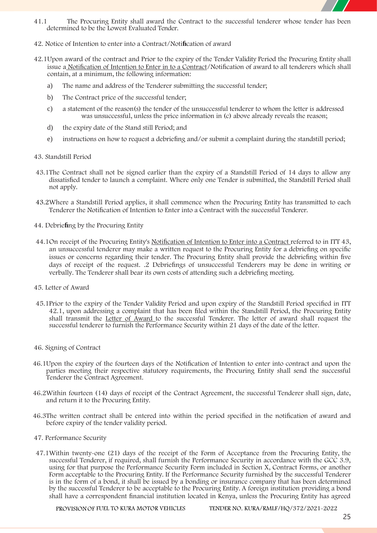

- 41.1 The Procuring Entity shall award the Contract to the successful tenderer whose tender has been determined to be the Lowest Evaluated Tender.
- **42. Notice of Intention to enter into a Contract/Notification of award**
- 42.1Upon award of the contract and Prior to the expiry of the Tender Validity Period the Procuring Entity shall issue a Notification of Intention to Enter in to a Contract/Notification of award to all tenderers which shall contain, at a minimum, the following information:
	- a) The name and address of the Tenderer submitting the successful tender;
	- b) The Contract price of the successful tender;
	- c) a statement of the reason(s) the tender of the unsuccessful tenderer to whom the letter is addressed was unsuccessful, unless the price information in (c) above already reveals the reason;
	- d) the expiry date of the Stand still Period; and
	- e) instructions on how to request a debriefing and/or submit a complaint during the standstill period;
- **43. Standstill Period**
- 43.1The Contract shall not be signed earlier than the expiry of a Standstill Period of 14 days to allow any dissatisfied tender to launch a complaint. Where only one Tender is submitted, the Standstill Period shall not apply.
- 43.2Where a Standstill Period applies, it shall commence when the Procuring Entity has transmitted to each Tenderer the Notification of Intention to Enter into a Contract with the successful Tenderer.
- **44. Debriefing by the Procuring Entity**
- 44.1On receipt of the Procuring Entity's Notification of Intention to Enter into a Contract referred to in ITT 43, an unsuccessful tenderer may make a written request to the Procuring Entity for a debriefing on specific issues or concerns regarding their tender. The Procuring Entity shall provide the debriefing within five days of receipt of the request. .2 Debriefings of unsuccessful Tenderers may be done in writing or verbally. The Tenderer shall bear its own costs of attending such a debriefing meeting.
- **45. Letter of Award**
- 45.1Prior to the expiry of the Tender Validity Period and upon expiry of the Standstill Period specified in ITT 42.1, upon addressing a complaint that has been filed within the Standstill Period, the Procuring Entity shall transmit the Letter of Award to the successful Tenderer. The letter of award shall request the successful tenderer to furnish the Performance Security within 21 days of the date of the letter.
- **46. Signing of Contract**
- 46.1Upon the expiry of the fourteen days of the Notification of Intention to enter into contract and upon the parties meeting their respective statutory requirements, the Procuring Entity shall send the successful Tenderer the Contract Agreement.
- 46.2Within fourteen (14) days of receipt of the Contract Agreement, the successful Tenderer shall sign, date, and return it to the Procuring Entity.
- 46.3The written contract shall be entered into within the period specified in the notification of award and before expiry of the tender validity period.
- **47. Performance Security**
- 47.1Within twenty-one (21) days of the receipt of the Form of Acceptance from the Procuring Entity, the successful Tenderer, if required, shall furnish the Performance Security in accordance with the GCC 3.9, using for that purpose the Performance Security Form included in Section X, Contract Forms, or another Form acceptable to the Procuring Entity. If the Performance Security furnished by the successful Tenderer is in the form of a bond, it shall be issued by a bonding or insurance company that has been determined by the successful Tenderer to be acceptable to the Procuring Entity. A foreign institution providing a bond shall have a correspondent financial institution located in Kenya, unless the Procuring Entity has agreed

**PROVISIONOF FUEL TO KURA MOTOR VEHICLES TENDER NO. KURA/RMLF/HQ/372/2021-2022**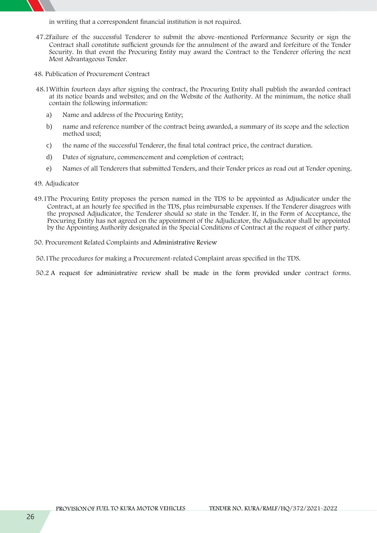in writing that a correspondent financial institution is not required.

- 47.2Failure of the successful Tenderer to submit the above-mentioned Performance Security or sign the Contract shall constitute sufficient grounds for the annulment of the award and forfeiture of the Tender Security. In that event the Procuring Entity may award the Contract to the Tenderer offering the next Most Advantageous Tender.
- **48. Publication of Procurement Contract**
- 48.1Within fourteen days after signing the contract, the Procuring Entity shall publish the awarded contract at its notice boards and websites; and on the Website of the Authority. At the minimum, the notice shall contain the following information:
	- a) Name and address of the Procuring Entity;
	- b) name and reference number of the contract being awarded, a summary of its scope and the selection method used;
	- c) the name of the successful Tenderer, the final total contract price, the contract duration.
	- d) Dates of signature, commencement and completion of contract;
	- e) Names of all Tenderers that submitted Tenders, and their Tender prices as read out at Tender opening.
- **49. Adjudicator**
- 49.1The Procuring Entity proposes the person named **in the TDS** to be appointed as Adjudicator under the Contract, at an hourly fee specified **in the TDS**, plus reimbursable expenses. If the Tenderer disagrees with the proposed Adjudicator, the Tenderer should so state in the Tender. If, in the Form of Acceptance, the Procuring Entity has not agreed on the appointment of the Adjudicator, the Adjudicator shall be appointed by the Appointing Authority designated in the Special Conditions of Contract at the request of either party.
- **50. Procurement Related Complaints and Administrative Review**

50.1The procedures for making a Procurement-related Complaint areas specified in the **TDS.**

50.2 A request for administrative review shall be made in the form provided under contract forms.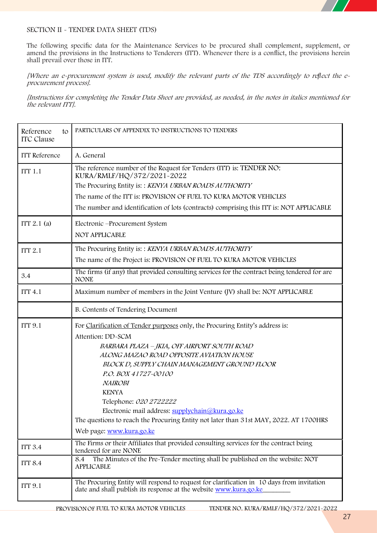

#### **SECTION II - TENDER DATA SHEET (TDS)**

The following specific data for the Maintenance Services to be procured shall complement, supplement, or amend the provisions in the Instructions to Tenderers (ITT). Whenever there is a conflict, the provisions herein shall prevail over those in ITT.

[Where an e-procurement system is used, modify the relevant parts of the TDS accordingly to reflect the e*procurement process].*

*[Instructions for completing the Tender Data Sheet are provided, as needed, in the notes in italics mentioned for the relevant ITT].*

| Reference<br>to<br><b>ITC</b> Clause | PARTICULARS OF APPENDIX TO INSTRUCTIONS TO TENDERS                                                                                                                                                                                                                                                                                                                                                                                                                                                   |
|--------------------------------------|------------------------------------------------------------------------------------------------------------------------------------------------------------------------------------------------------------------------------------------------------------------------------------------------------------------------------------------------------------------------------------------------------------------------------------------------------------------------------------------------------|
| <b>ITT</b> Reference                 | A. General                                                                                                                                                                                                                                                                                                                                                                                                                                                                                           |
| <b>ITT 1.1</b>                       | The reference number of the Request for Tenders (ITT) is: TENDER NO:<br>KURA/RMLF/HQ/372/2021-2022<br>The Procuring Entity is:: KENYA URBAN ROADS AUTHORITY<br>The name of the ITT is: PROVISION OF FUEL TO KURA MOTOR VEHICLES<br>The number and identification of lots (contracts) comprising this ITT is: NOT APPLICABLE                                                                                                                                                                          |
| ITT $2.1$ (a)                        | Electronic -Procurement System<br>NOT APPLICABLE                                                                                                                                                                                                                                                                                                                                                                                                                                                     |
| <b>ITT 2.1</b>                       | The Procuring Entity is:: KENYA URBAN ROADS AUTHORITY                                                                                                                                                                                                                                                                                                                                                                                                                                                |
|                                      | The name of the Project is: PROVISION OF FUEL TO KURA MOTOR VEHICLES                                                                                                                                                                                                                                                                                                                                                                                                                                 |
| 3.4                                  | The firms (if any) that provided consulting services for the contract being tendered for are<br><b>NONE</b>                                                                                                                                                                                                                                                                                                                                                                                          |
| <b>ITT 4.1</b>                       | Maximum number of members in the Joint Venture (JV) shall be: NOT APPLICABLE                                                                                                                                                                                                                                                                                                                                                                                                                         |
|                                      | B. Contents of Tendering Document                                                                                                                                                                                                                                                                                                                                                                                                                                                                    |
| <b>ITT 9.1</b>                       | For Clarification of Tender purposes only, the Procuring Entity's address is:<br>Attention: DD-SCM<br>BARBARA PLAZA - JKIA, OFF AIRPORT SOUTH ROAD<br>ALONG MAZAO ROAD OPPOSITE AVIATION HOUSE<br>BLOCK D, SUPPLY CHAIN MANAGEMENT GROUND FLOOR<br>P.O. BOX 41727-00100<br>NAIROBI<br><b>KENYA</b><br>Telephone: 020 2722222<br>Electronic mail address: supplychain@kura.go.ke<br>The questions to reach the Procuring Entity not later than 31st MAY, 2022. AT 1700HRS<br>Web page: www.kura.go.ke |
| <b>ITT 3.4</b>                       | The Firms or their Affiliates that provided consulting services for the contract being<br>tendered for are NONE                                                                                                                                                                                                                                                                                                                                                                                      |
| <b>ITT 8.4</b>                       | The Minutes of the Pre-Tender meeting shall be published on the website: NOT<br>8.4<br><b>APPLICABLE</b>                                                                                                                                                                                                                                                                                                                                                                                             |
| <b>ITT 9.1</b>                       | The Procuring Entity will respond to request for clarification in 10 days from invitation<br>date and shall publish its response at the website www.kura.go.ke                                                                                                                                                                                                                                                                                                                                       |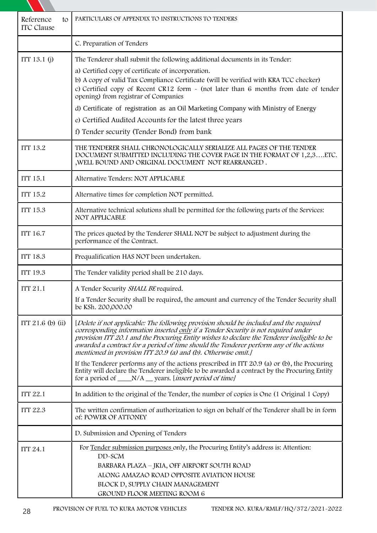| Reference<br>to<br><b>ITC</b> Clause | PARTICULARS OF APPENDIX TO INSTRUCTIONS TO TENDERS                                                                                                                                                                                                                                                                                                                                                                                                                                                                                                                                                                                                                                                  |
|--------------------------------------|-----------------------------------------------------------------------------------------------------------------------------------------------------------------------------------------------------------------------------------------------------------------------------------------------------------------------------------------------------------------------------------------------------------------------------------------------------------------------------------------------------------------------------------------------------------------------------------------------------------------------------------------------------------------------------------------------------|
|                                      | C. Preparation of Tenders                                                                                                                                                                                                                                                                                                                                                                                                                                                                                                                                                                                                                                                                           |
| ITT 13.1 (j)                         | The Tenderer shall submit the following additional documents in its Tender:<br>a) Certified copy of certificate of incorporation.<br>b) A copy of valid Tax Compliance Certificate (will be verified with KRA TCC checker)<br>c) Certified copy of Recent CR12 form - (not later than 6 months from date of tender<br>opening) from registrar of Companies<br>d) Certificate of registration as an Oil Marketing Company with Ministry of Energy<br>e) Certified Audited Accounts for the latest three years<br>f) Tender security (Tender Bond) from bank                                                                                                                                          |
| <b>ITT 13.2</b>                      | THE TENDERER SHALL CHRONOLOGICALLY SERIALIZE ALL PAGES OF THE TENDER<br>DOCUMENT SUBMITTED INCLUDING THE COVER PAGE IN THE FORMAT OF 1,2,3ETC.<br>, WELL BOUND AND ORIGINAL DOCUMENT NOT REARRANGED.                                                                                                                                                                                                                                                                                                                                                                                                                                                                                                |
| <b>ITT 15.1</b>                      | Alternative Tenders: NOT APPLICABLE                                                                                                                                                                                                                                                                                                                                                                                                                                                                                                                                                                                                                                                                 |
| <b>ITT 15.2</b>                      | Alternative times for completion NOT permitted.                                                                                                                                                                                                                                                                                                                                                                                                                                                                                                                                                                                                                                                     |
| <b>ITT 15.3</b>                      | Alternative technical solutions shall be permitted for the following parts of the Services:<br>NOT APPLICABLE                                                                                                                                                                                                                                                                                                                                                                                                                                                                                                                                                                                       |
| <b>ITT 16.7</b>                      | The prices quoted by the Tenderer SHALL NOT be subject to adjustment during the<br>performance of the Contract.                                                                                                                                                                                                                                                                                                                                                                                                                                                                                                                                                                                     |
| <b>ITT 18.3</b>                      | Prequalification HAS NOT been undertaken.                                                                                                                                                                                                                                                                                                                                                                                                                                                                                                                                                                                                                                                           |
| <b>ITT 19.3</b>                      | The Tender validity period shall be 210 days.                                                                                                                                                                                                                                                                                                                                                                                                                                                                                                                                                                                                                                                       |
| <b>ITT 21.1</b>                      | A Tender Security SHALL BE required.<br>If a Tender Security shall be required, the amount and currency of the Tender Security shall<br>be KSh. 200,000.00                                                                                                                                                                                                                                                                                                                                                                                                                                                                                                                                          |
| ITT $21.6$ (b) (ii)                  | [Delete if not applicable: The following provision should be included and the required<br>corresponding information inserted only if a Tender Security is not required under<br>provision ITT 20.1 and the Procuring Entity wishes to declare the Tenderer ineligible to be<br>awarded a contract for a period of time should the Tenderer perform any of the actions<br>mentioned in provision ITT 20.9 (a) and (b). Otherwise omit.]<br>If the Tenderer performs any of the actions prescribed in ITT 20.9 (a) or (b), the Procuring<br>Entity will declare the Tenderer ineligible to be awarded a contract by the Procuring Entity<br>for a period of ____N/A __ years. [insert period of time] |
| <b>ITT 22.1</b>                      | In addition to the original of the Tender, the number of copies is One (1 Original 1 Copy)                                                                                                                                                                                                                                                                                                                                                                                                                                                                                                                                                                                                          |
| <b>ITT 22.3</b>                      | The written confirmation of authorization to sign on behalf of the Tenderer shall be in form<br>of: POWER OF ATTONEY                                                                                                                                                                                                                                                                                                                                                                                                                                                                                                                                                                                |
|                                      | D. Submission and Opening of Tenders                                                                                                                                                                                                                                                                                                                                                                                                                                                                                                                                                                                                                                                                |
| <b>ITT 24.1</b>                      | For Tender submission purposes only, the Procuring Entity's address is: Attention:<br>DD-SCM<br>BARBARA PLAZA – JKIA, OFF AIRPORT SOUTH ROAD<br>ALONG AMAZAO ROAD OPPOSITE AVIATION HOUSE<br>BLOCK D, SUPPLY CHAIN MANAGEMENT<br><b>GROUND FLOOR MEETING ROOM 6</b>                                                                                                                                                                                                                                                                                                                                                                                                                                 |

N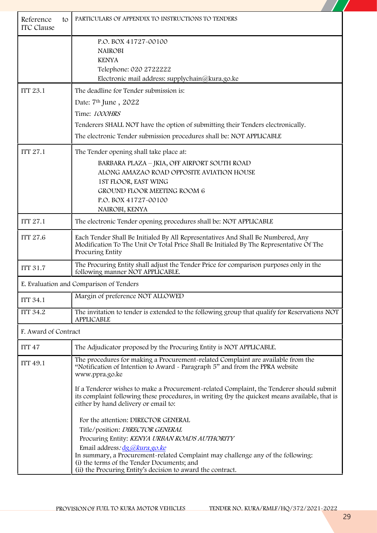| Reference<br>to<br><b>ITC</b> Clause | PARTICULARS OF APPENDIX TO INSTRUCTIONS TO TENDERS                                                                                                                                                                                                                                                                                                                                                                                                                                                                                                                                             |
|--------------------------------------|------------------------------------------------------------------------------------------------------------------------------------------------------------------------------------------------------------------------------------------------------------------------------------------------------------------------------------------------------------------------------------------------------------------------------------------------------------------------------------------------------------------------------------------------------------------------------------------------|
|                                      | P.O. BOX 41727-00100<br><b>NAIROBI</b><br><b>KENYA</b><br>Telephone: 020 2722222<br>Electronic mail address: supplychain@kura.go.ke                                                                                                                                                                                                                                                                                                                                                                                                                                                            |
| <b>ITT 23.1</b>                      | The deadline for Tender submission is:<br>Date: 7 <sup>th</sup> June, 2022<br>Time: 1000HRS<br>Tenderers SHALL NOT have the option of submitting their Tenders electronically.<br>The electronic Tender submission procedures shall be: NOT APPLICABLE                                                                                                                                                                                                                                                                                                                                         |
| <b>ITT 27.1</b>                      | The Tender opening shall take place at:<br>BARBARA PLAZA - JKIA, OFF AIRPORT SOUTH ROAD<br>ALONG AMAZAO ROAD OPPOSITE AVIATION HOUSE<br>1ST FLOOR, EAST WING<br><b>GROUND FLOOR MEETING ROOM 6</b><br>P.O. BOX 41727-00100<br>NAIROBI, KENYA                                                                                                                                                                                                                                                                                                                                                   |
| <b>ITT 27.1</b>                      | The electronic Tender opening procedures shall be: NOT APPLICABLE                                                                                                                                                                                                                                                                                                                                                                                                                                                                                                                              |
| <b>ITT 27.6</b>                      | Each Tender Shall Be Initialed By All Representatives And Shall Be Numbered, Any<br>Modification To The Unit Or Total Price Shall Be Initialed By The Representative Of The<br>Procuring Entity                                                                                                                                                                                                                                                                                                                                                                                                |
| <b>ITT 31.7</b>                      | The Procuring Entity shall adjust the Tender Price for comparison purposes only in the<br>following manner NOT APPLICABLE.                                                                                                                                                                                                                                                                                                                                                                                                                                                                     |
|                                      | E. Evaluation and Comparison of Tenders                                                                                                                                                                                                                                                                                                                                                                                                                                                                                                                                                        |
| <b>ITT 34.1</b>                      | Margin of preference NOT ALLOWED                                                                                                                                                                                                                                                                                                                                                                                                                                                                                                                                                               |
| <b>ITT 34.2</b>                      | The invitation to tender is extended to the following group that qualify for Reservations NOT<br><b>APPLICABLE</b>                                                                                                                                                                                                                                                                                                                                                                                                                                                                             |
| F. Award of Contract                 |                                                                                                                                                                                                                                                                                                                                                                                                                                                                                                                                                                                                |
| ITT <sub>47</sub>                    | The Adjudicator proposed by the Procuring Entity is NOT APPLICABLE.                                                                                                                                                                                                                                                                                                                                                                                                                                                                                                                            |
| <b>ITT 49.1</b>                      | The procedures for making a Procurement-related Complaint are available from the<br>"Notification of Intention to Award - Paragraph 5" and from the PPRA website<br>www.ppra.go.ke                                                                                                                                                                                                                                                                                                                                                                                                             |
|                                      | If a Tenderer wishes to make a Procurement-related Complaint, the Tenderer should submit<br>its complaint following these procedures, in writing (by the quickest means available, that is<br>either by hand delivery or email to:<br>For the attention: DIRECTOR GENERAL<br>Title/position: DIRECTOR GENERAL<br>Procuring Entity: KENYA URBAN ROADS AUTHORITY<br>Email address: dg@kura.go.ke<br>In summary, a Procurement-related Complaint may challenge any of the following:<br>(i) the terms of the Tender Documents; and<br>(ii) the Procuring Entity's decision to award the contract. |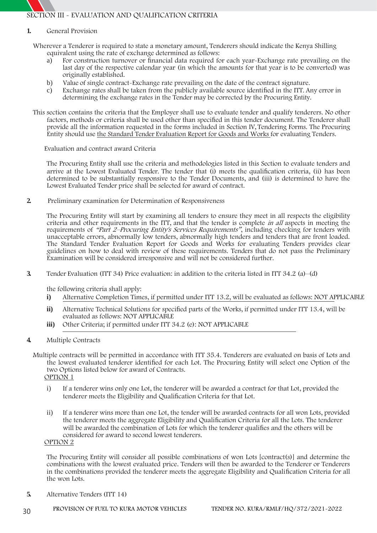**SECTION III - EVALUATION AND QUALIFICATION CRITERIA**

#### **1. General Provision**

Wherever a Tenderer is required to state a monetary amount, Tenderers should indicate the Kenya Shilling equivalent using the rate of exchange determined as follows:

- a) For construction turnover or financial data required for each year-Exchange rate prevailing on the last day of the respective calendar year (in which the amounts for that year is to be converted) was originally established.
- b) Value of single contract-Exchange rate prevailing on the date of the contract signature.
- c) Exchange rates shall be taken from the publicly available source identified in the ITT. Any error in determining the exchange rates in the Tender may be corrected by the Procuring Entity.
- This section contains the criteria that the Employer shall use to evaluate tender and qualify tenderers. No other factors, methods or criteria shall be used other than specified in this tender document. The Tenderer shall provide all the information requested in the forms included in Section IV, Tendering Forms. The Procuring Entity should use **the Standard Tender Evaluation Report for Goods and Works** for evaluating Tenders.

**Evaluation and contract award Criteria**

The Procuring Entity shall use the criteria and methodologies listed in this Section to evaluate tenders and arrive at the Lowest Evaluated Tender. The tender that (i) meets the qualification criteria, (ii) has been determined to be substantially responsive to the Tender Documents, and (iii) is determined to have the Lowest Evaluated Tender price shall be selected for award of contract.

**2. Preliminary examination for Determination of Responsiveness**

The Procuring Entity will start by examining all tenders to ensure they meet in all respects the eligibility criteria and other requirements in the ITT, and that the tender is complete *in all* aspects in meeting the requirements of *"Part 2–Procuring Entity's Services Requirements"*, including checking for tenders with unacceptable errors, abnormally low tenders, abnormally high tenders and tenders that are front loaded. The Standard Tender Evaluation Report for Goods and Works for evaluating Tenders provides clear guidelines on how to deal with review of these requirements. Tenders that do not pass the Preliminary Examination will be considered irresponsive and will not be considered further.

**3. Tender Evaluation (ITT 34) Price evaluation**: in addition to the criteria listed in ITT 34.2 (a)–(d)

the following criteria shall apply:

- **i) Alternative Completion Times, i**f permitted under ITT 13.2, will be evaluated as follows: NOT APPLICABLE
- **ii) Alternative Technical Solutions** for specified parts of the Works, if permitted under ITT 13.4, will be evaluated as follows: NOT APPLICABLE
- **iii) Other Criteria; i**f permitted under ITT 34.2 (e): NOT APPLICABLE
- **4. Multiple Contracts**
	- Multiple contracts will be permitted in accordance with ITT 35.4. Tenderers are evaluated on basis of Lots and the lowest evaluated tenderer identified for each Lot. The Procuring Entity will select one Option of the two Options listed below for award of Contracts. **OPTION 1**
		- i) If a tenderer wins only one Lot, the tenderer will be awarded a contract for that Lot, provided the tenderer meets the Eligibility and Qualification Criteria for that Lot.
		- ii) If a tenderer wins more than one Lot, the tender will be awarded contracts for all won Lots, provided the tenderer meets the aggregate Eligibility and Qualification Criteria for all the Lots. The tenderer will be awarded the combination of Lots for which the tenderer qualifies and the others will be considered for award to second lowest tenderers.

**OPTION 2**

The Procuring Entity will consider all possible combinations of won Lots [contract(s)] and determine the combinations with the lowest evaluated price. Tenders will then be awarded to the Tenderer or Tenderers in the combinations provided the tenderer meets the aggregate Eligibility and Qualification Criteria for all the won Lots.

**5. Alternative Tenders (ITT 14)**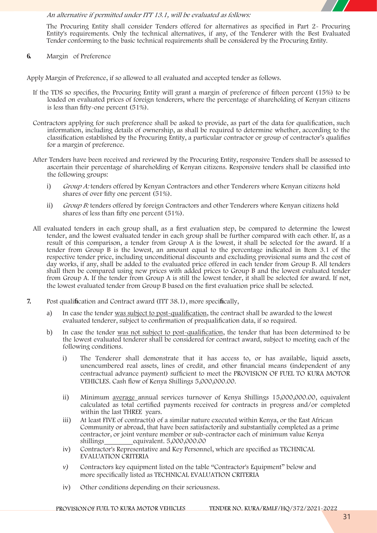

#### *An alternative if permitted under ITT 13.1, will be evaluated as follows:*

The Procuring Entity shall consider Tenders offered for alternatives as specified in Part 2- Procuring Entity's requirements. Only the technical alternatives, if any, of the Tenderer with the Best Evaluated Tender conforming to the basic technical requirements shall be considered by the Procuring Entity.

**6. Margin of Preference**

**Apply Margin of Preference**, if so allowed to all evaluated and accepted tender as follows.

- If the TDS so specifies, the Procuring Entity will grant a margin of preference of fifteen percent (15%) to be loaded on evaluated prices of foreign tenderers, where the percentage of shareholding of Kenyan citizens is less than fifty-one percent (51%).
- Contractors applying for such preference shall be asked to provide, as part of the data for qualification, such information, including details of ownership, as shall be required to determine whether, according to the classification established by the Procuring Entity, a particular contractor or group of contractor's qualifies for a margin of preference.
- After Tenders have been received and reviewed by the Procuring Entity, responsive Tenders shall be assessed to ascertain their percentage of shareholding of Kenyan citizens. Responsive tenders shall be classified into the following groups:
	- i) *Group A:* tenders offered by Kenyan Contractors and other Tenderers where Kenyan citizens hold shares of over fifty one percent (51%).
	- ii) *Group B:* tenders offered by foreign Contractors and other Tenderers where Kenyan citizens hold shares of less than fifty one percent (51%).
- All evaluated tenders in each group shall, as a first evaluation step, be compared to determine the lowest tender, and the lowest evaluated tender in each group shall be further compared with each other. If, as a result of this comparison, a tender from Group A is the lowest, it shall be selected for the award. If a tender from Group B is the lowest, an amount equal to the percentage indicated in Item 3.1 of the respective tender price, including unconditional discounts and excluding provisional sums and the cost of day works, if any, shall be added to the evaluated price offered in each tender from Group B. All tenders shall then be compared using new prices with added prices to Group B and the lowest evaluated tender from Group A. If the tender from Group A is still the lowest tender, it shall be selected for award. If not, the lowest evaluated tender from Group B based on the first evaluation price shall be selected.
- **7. Post qualification and Contract award (ITT 38.1), more specifically,**
	- a) In case the tender was subject to post-qualification, the contract shall be awarded to the lowest evaluated tenderer, subject to confirmation of prequalification data, if so required.
	- b) In case the tender was not subject to post-qualification, the tender that has been determined to be the lowest evaluated tenderer shall be considered for contract award, subject to meeting each of the following conditions.
		- i) The Tenderer shall demonstrate that it has access to, or has available, liquid assets, unencumbered real assets, lines of credit, and other financial means (independent of any contractual advance payment) sufficient to meet the **PROVISION OF FUEL TO KURA MOTOR VEHICLES**. Cash flow of Kenya Shillings 5,000,000.00.
		- ii) Minimum average annual services turnover of Kenya Shillings 15,000,000.00, equivalent calculated as total certified payments received for contracts in progress and/or completed within the last THREE years.
		- iii) At least FIVE of contract(s) of a similar nature executed within Kenya, or the East African Community or abroad, that have been satisfactorily and substantially completed as a prime contractor, or joint venture member or sub-contractor each of minimum value Kenya shillings equivalent. 5,000,000.00
		- iv) Contractor's Representative and Key Personnel, which are specified as TECHNICAL EVALUATION CRITERIA
		- *v)* Contractors key equipment listed on the table "Contractor's Equipment" below and more specifically listed as TECHNICAL EVALUATION CRITERIA
		- iv) Other conditions depending on their seriousness.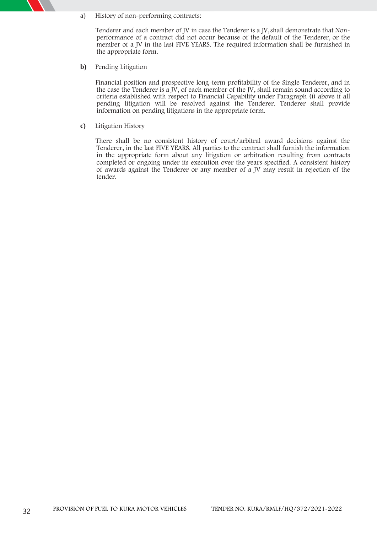a) **History of non-performing contracts**:

Tenderer and each member of JV in case the Tenderer is a JV, shall demonstrate that Nonperformance of a contract did not occur because of the default of the Tenderer, or the member of a JV in the last FIVE YEARS. The required information shall be furnished in the appropriate form.

**b) Pending Litigation**

Financial position and prospective long-term profitability of the Single Tenderer, and in the case the Tenderer is a  $\bar{N}$ , of each member of the  $\bar{N}$ , shall remain sound according to criteria established with respect to Financial Capability under Paragraph (i) above if all pending litigation will be resolved against the Tenderer. Tenderer shall provide information on pending litigations in the appropriate form.

**c) Litigation History**

There shall be no consistent history of court/arbitral award decisions against the Tenderer, in the last FIVE YEARS. All parties to the contract shall furnish the information in the appropriate form about any litigation or arbitration resulting from contracts completed or ongoing under its execution over the years specified. A consistent history of awards against the Tenderer or any member of a JV may result in rejection of the tender.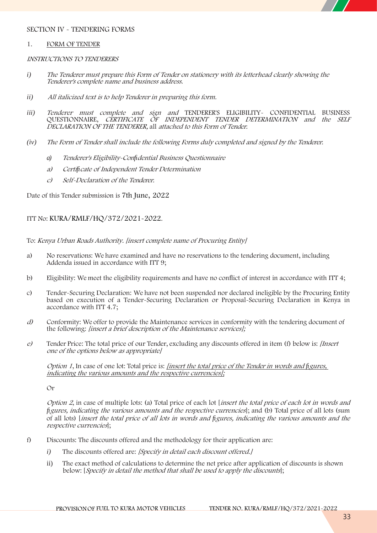

#### **SECTION IV - TENDERING FORMS**

#### **1. FORM OF TENDER**

#### *INSTRUCTIONS TO TENDERERS*

- *i) The Tenderer must prepare this Form of Tender on stationery with its letterhead clearly showing the Tenderer's complete name and business address.*
- *ii) All italicized text is to help Tenderer in preparing this form.*
- *iii) Tenderer must complete and sign and* TENDERER'S ELIGIBILITY- CONFIDENTIAL BUSINESS QUESTIONNAIRE, *CERTIFICATE OF INDEPENDENT TENDER DETERMINATION and the SELF DECLARATION OF THE TENDERER,* all *attached to this Form of Tender.*
- *(iv) The Form of Tender shall include the following Forms duly completed and signed by the Tenderer.*
	- *a) Tenderer's Eligibility-Confidential Business Questionnaire*
	- *a) Certificate of Independent Tender Determination*
	- *c) Self-Declaration of the Tenderer.*

**Date of this Tender submission is 7th June,2022**

#### **ITT No: KURA/RMLF/HQ/372/2021-2022.**

To: *Kenya Urban Roads Authority. [insert complete name of Procuring Entity]*

- a) **No reservations:** We have examined and have no reservations to the tendering document, including Addenda issued in accordance with ITT 9;
- b) **Eligibility**: We meet the eligibility requirements and have no conflict of interest in accordance with ITT 4;
- c) **Tender-Securing Declaration:** We have not been suspended nor declared ineligible by the Procuring Entity based on execution of a Tender-Securing Declaration or Proposal-Securing Declaration in Kenya in accordance with ITT 4.7;
- *d)* **Conformity:** We offer to provide the Maintenance services in conformity with the tendering document of the following: *[insert <sup>a</sup> brief description of the Maintenance services];*
- *e)* **Tender Price:** The total price of our Tender, excluding any discounts offered in item (f) below is: *[Insert one of the options below as appropriate]*

*Option <sup>1</sup>*, In case of one lot:Total price is: *[insert the total price of the Tender in words and figures, indicating the various amounts and the respective currencies];*

Or

*Option <sup>2</sup>*, in case of multiple lots: (a) Total price of each lot [*insert the total price of each lot in words and figures, indicating the various amounts and the respective currencies*]; and (b) Total price of all lots (sum of all lots) [*insert the total price of all lots in words and figures, indicating the various amounts and the respective currencies*];

- f) **Discounts:** The discounts offered and the methodology for their application are:
	- *i)* The discounts offered are: *[Specify in detail each discount offered.]*
	- ii) The exact method of calculations to determine the net price after application of discounts is shown below: [*Specify in detail the method that shall be used to apply the discounts*];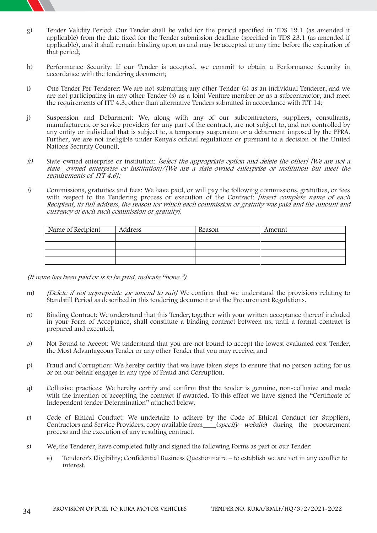

- g) **Tender Validity Period:** Our Tender shall be valid for the period specified in TDS 19.1 (as amended if applicable) from the date fixed for the Tender submission deadline (specified in TDS 23.1 (as amended if applicable), and it shall remain binding upon us and may be accepted at any time before the expiration of that period;
- h) **Performance Security:** If our Tender is accepted, we commit to obtain a Performance Security in accordance with the tendering document;
- i) **One Tender Per Tenderer:** We are not submitting any other Tender (s) as an individual Tenderer, and we are not participating in any other Tender (s) as a Joint Venture member or as a subcontractor, and meet the requirements of ITT 4.3, other than alternative Tenders submitted in accordance with ITT 14;
- j) **Suspension and Debarment**: We, along with any of our subcontractors, suppliers, consultants, manufacturers, or service providers for any part of the contract, are not subject to, and not controlled by any entity or individual that is subject to, a temporary suspension or a debarment imposed by the PPRA. Further, we are not ineligible under Kenya's official regulations or pursuant to a decision of the United Nations Security Council;
- k) State-owned enterprise or institution: *[select the appropriate option and delete the other]* [We are not a *state- owned enterprise or institution]/[We are <sup>a</sup> state-owned enterprise or institution but meet the requirements of ITT 4.6];*
- *l)* **Commissions, gratuities and fees**: We have paid, or will pay the following commissions, gratuities, or fees with respect to the Tendering process or execution of the Contract: *[insert complete name of each Recipient, its full address, the reason for which each commission or gratuity was paid and the amount and currency of each such commission or gratuity].*

| Name of Recipient | Address | Reason | Amount |
|-------------------|---------|--------|--------|
|                   |         |        |        |
|                   |         |        |        |
|                   |         |        |        |
|                   |         |        |        |

*(If none has been paid or is to be paid, indicate "none.")*

- m) *[Delete if not appropriate ,or amend to suit]* We confirm that we understand the provisions relating to Standstill Period as described in this tendering document and the Procurement Regulations.
- n) **Binding Contract**: We understand that this Tender, together with your written acceptance thereof included in your Form of Acceptance, shall constitute a binding contract between us, until a formal contract is prepared and executed;
- o) **Not Bound to Accept:** We understand that you are not bound to accept the lowest evaluated cost Tender, the Most Advantageous Tender or any other Tender that you may receive; and
- p) **Fraud and Corruption:** We hereby certify that we have taken steps to ensure that no person acting for us or on our behalf engages in any type of Fraud and Corruption.
- q) **Collusive practices**: We hereby certify and confirm that the tender is genuine, non-collusive and made with the intention of accepting the contract if awarded. To this effect we have signed the "Certificate of Independent tender Determination" attached below.
- r) **Code of Ethical Conduct:** We undertake to adhere by the Code of Ethical Conduct for Suppliers, Contractors and Service Providers, copy available from (*specify website*) during the procurement process and the execution of any resulting contract.
- s) We, the Tenderer, have completed fully and signed the following Forms as part of our Tender:
	- a) Tenderer's Eligibility; Confidential Business Questionnaire to establish we are not in any conflict to interest.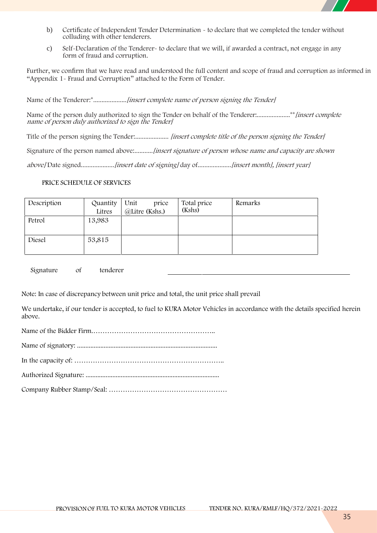

- b) Certificate of Independent Tender Determination  $\sim$  to declare that we completed the tender without colluding with other tenderers.
- c) Self-Declaration of the Tenderer- to declare that we will, if awarded a contract, not engage in any form of fraud and corruption.

Further, we confirm that we have read and understood the full content and scope of fraud and corruption as informed in **"Appendix 1- Fraud and Corruption**" attached to the Form of Tender.

**Name of the Tenderer**:\*....................*[insert complete name of person signing the Tender]*

**Name of the person duly authorized to sign the Tender on behalf of the Tenderer**:....................\*\**[insert complete name of person duly authorized to sign the Tender]*

**Title of the person signing the Tender**:.................... *[insert complete title of the person signing the Tender]*

**Signature of the person named above**:...........*[insert signature of person whose name and capacity are shown*

*above]* **Date signed**....................*[insert date of signing]* **day of**....................*[insert month], [insert year]*

#### **PRICE SCHEDULE OF SERVICES**

| Description | Quantity<br>Litres | Unit<br>price<br>@Litre (Kshs.) | Total price<br>(Kshs) | Remarks |
|-------------|--------------------|---------------------------------|-----------------------|---------|
| Petrol      | 13,983             |                                 |                       |         |
| Diesel      | 53,815             |                                 |                       |         |

Signature of tenderer

Note: In case of discrepancy between unit price and total, the unit price shall prevail

We undertake, if our tender is accepted, to **fuel to KURA Motor Vehicles** in accordance with the details specified herein above.

Name of the Bidder Firm.……………………………………………..

Name of signatory: ....................................................................................

In the capacity of: ………………………………………………………..

Authorized Signature: ................................................................................

Company Rubber Stamp/Seal: ……………………………………………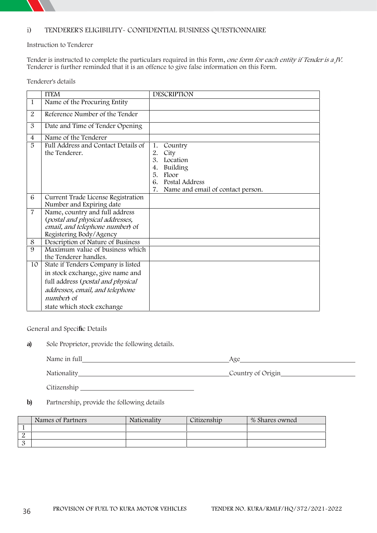

#### **i) TENDERER'S ELIGIBILITY- CONFIDENTIAL BUSINESS QUESTIONNAIRE**

#### **Instruction to Tenderer**

Tender is instructed to complete the particulars required in this Form, *one form for each entity if Tender is <sup>a</sup> JV.* Tenderer is further reminded that it is an offence to give false information on this Form.

**Tenderer's details**

|                     | <b>ITEM</b>                                                                                                                                                                                      | <b>DESCRIPTION</b>                                                                                                                                |
|---------------------|--------------------------------------------------------------------------------------------------------------------------------------------------------------------------------------------------|---------------------------------------------------------------------------------------------------------------------------------------------------|
| $\mathbf{1}$        | Name of the Procuring Entity                                                                                                                                                                     |                                                                                                                                                   |
| 2                   | Reference Number of the Tender                                                                                                                                                                   |                                                                                                                                                   |
| 3                   | Date and Time of Tender Opening                                                                                                                                                                  |                                                                                                                                                   |
| $\overline{4}$      | Name of the Tenderer                                                                                                                                                                             |                                                                                                                                                   |
| 5                   | Full Address and Contact Details of<br>the Tenderer.                                                                                                                                             | 1.<br>Country<br>2.<br>City<br>3.<br>Location<br>Building<br>4.<br>5.<br>Floor<br>Postal Address<br>6.<br>7.<br>Name and email of contact person. |
| 6                   | Current Trade License Registration<br>Number and Expiring date                                                                                                                                   |                                                                                                                                                   |
| $\overline{7}$<br>8 | Name, country and full address<br>(postal and physical addresses,<br>email, and telephone number) of<br>Registering Body/Agency<br>Description of Nature of Business                             |                                                                                                                                                   |
| 9                   | Maximum value of business which<br>the Tenderer handles.                                                                                                                                         |                                                                                                                                                   |
| 10                  | State if Tenders Company is listed<br>in stock exchange, give name and<br>full address (postal and physical<br>addresses, email, and telephone<br><i>number</i> of<br>state which stock exchange |                                                                                                                                                   |

**General and Specific Details**

**a) Sole Proprietor,** provide the following details.

Name in full Age

Nationality Country of Origin

Citizenship

**b) Partnership,** provide the following details

| Names of Partners | Nationality | Citizenship | % Shares owned |
|-------------------|-------------|-------------|----------------|
|                   |             |             |                |
|                   |             |             |                |
|                   |             |             |                |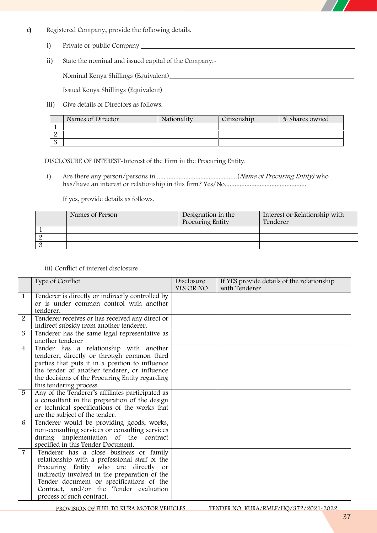

- **c) Registered Company,** provide the following details.
	- i) Private or public Company
	- ii) State the nominal and issued capital of the Company:-

Nominal Kenya Shillings (Equivalent)

Issued Kenya Shillings (Equivalent)

iii) Give details of Directors as follows.

|          | Names of Director | Nationality | Citizenshin | % Shares owned |
|----------|-------------------|-------------|-------------|----------------|
|          |                   |             |             |                |
|          |                   |             |             |                |
| $\Omega$ |                   |             |             |                |

**DISCLOSURE OF INTEREST-Interest of the Firm in the Procuring Entity.** 

i) Are there any person/persons in.................................................(*Name of Procuring Entity)* who has/have an interest or relationship in this firm? Yes/No.................................................

If yes, provide details as follows.

| Names of Person | Designation in the | Interest or Relationship with |
|-----------------|--------------------|-------------------------------|
|                 | Procuring Entity   | Tenderer                      |
|                 |                    |                               |
|                 |                    |                               |
|                 |                    |                               |

**(ii) Conflict of interest disclosure**

|                | Type of Conflict                                                                                                                                                                                                                                                                                     | Disclosure<br>YES OR NO | If YES provide details of the relationship<br>with Tenderer |
|----------------|------------------------------------------------------------------------------------------------------------------------------------------------------------------------------------------------------------------------------------------------------------------------------------------------------|-------------------------|-------------------------------------------------------------|
| $\mathbf{1}$   | Tenderer is directly or indirectly controlled by<br>or is under common control with another<br>tenderer.                                                                                                                                                                                             |                         |                                                             |
| 2              | Tenderer receives or has received any direct or<br>indirect subsidy from another tenderer.                                                                                                                                                                                                           |                         |                                                             |
| 3              | Tenderer has the same legal representative as<br>another tenderer                                                                                                                                                                                                                                    |                         |                                                             |
| $\overline{4}$ | Tender has a relationship with another<br>tenderer, directly or through common third<br>parties that puts it in a position to influence<br>the tender of another tenderer, or influence<br>the decisions of the Procuring Entity regarding<br>this tendering process.                                |                         |                                                             |
| 5              | Any of the Tenderer's affiliates participated as<br>a consultant in the preparation of the design<br>or technical specifications of the works that<br>are the subject of the tender.                                                                                                                 |                         |                                                             |
| 6              | Tenderer would be providing goods, works,<br>non-consulting services or consulting services<br>during implementation of the contract<br>specified in this Tender Document.                                                                                                                           |                         |                                                             |
| $\overline{7}$ | Tenderer has a close business or family<br>relationship with a professional staff of the<br>Procuring Entity who are directly or<br>indirectly involved in the preparation of the<br>Tender document or specifications of the<br>Contract, and/or the Tender evaluation<br>process of such contract. |                         |                                                             |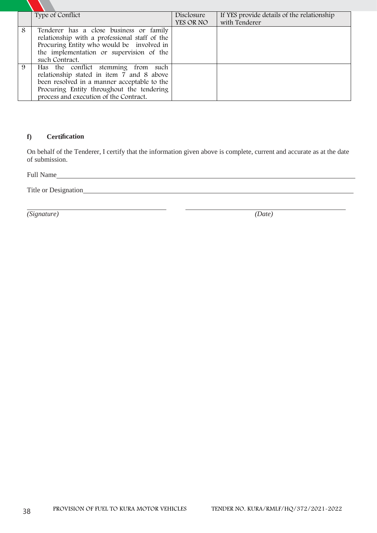|   | Type of Conflict                                                                                                                                                                                                       | Disclosure<br>YES OR NO | If YES provide details of the relationship<br>with Tenderer |
|---|------------------------------------------------------------------------------------------------------------------------------------------------------------------------------------------------------------------------|-------------------------|-------------------------------------------------------------|
| 8 | Tenderer has a close business or family<br>relationship with a professional staff of the<br>Procuring Entity who would be involved in<br>the implementation or supervision of the<br>such Contract.                    |                         |                                                             |
| 9 | Has the conflict stemming from such<br>relationship stated in item 7 and 8 above<br>been resolved in a manner acceptable to the<br>Procuring Entity throughout the tendering<br>process and execution of the Contract. |                         |                                                             |

## **f) Certification**

On behalf of the Tenderer, I certify that the information given above is complete, current and accurate as at the date of submission.

Full Name

Title or Designation

*(Signature) (Date)*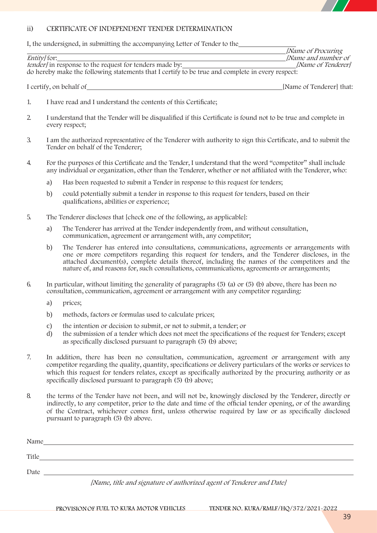

## **ii) CERTIFICATE OF INDEPENDENT TENDER DETERMINATION**

I, the undersigned, in submitting the accompanying Letter of Tender to the

|                                                                                                  | <i>Name of Procuring</i>  |
|--------------------------------------------------------------------------------------------------|---------------------------|
| <i>Entity</i> for:                                                                               | <i>Name and number of</i> |
| <i>tender</i> / in response to the request for tenders made by:                                  | [Name of Tenderer]        |
| do hereby make the following statements that I certify to be true and complete in every respect: |                           |
|                                                                                                  |                           |

I certify, on behalf of **I** certify, on behalf of **I** certify, on behalf of **I** certify, on behalf of **I** certify, on  $\theta$  is a set of  $\theta$  is a set of  $\theta$  is a set of  $\theta$  is a set of  $\theta$  is a set of  $\theta$  is a set of  $\$ 

- 1. I have read and I understand the contents of this Certificate;
- 2. I understand that the Tender will be disqualified if this Certificate is found not to be true and complete in every respect;
- 3. I am the authorized representative of the Tenderer with authority to sign this Certificate, and to submit the Tender on behalf of the Tenderer;
- 4. For the purposes of this Certificate and the Tender, I understand that the word "competitor" shall include any individual or organization, other than the Tenderer, whether or not affiliated with the Tenderer, who:
	- a) Has been requested to submit a Tender in response to this request for tenders;
	- b) could potentially submit a tender in response to this request for tenders, based on their qualifications, abilities or experience;
- 5. The Tenderer discloses that [check one of the following, as applicable]:
	- a) The Tenderer has arrived at the Tender independently from, and without consultation, communication, agreement or arrangement with, any competitor;
	- b) The Tenderer has entered into consultations, communications, agreements or arrangements with one or more competitors regarding this request for tenders, and the Tenderer discloses, in the attached document(s), complete details thereof, including the names of the competitors and the nature of, and reasons for, such consultations, communications, agreements or arrangements;
- 6. In particular, without limiting the generality of paragraphs (5) (a) or (5) (b) above, there has been no consultation, communication, agreement or arrangement with any competitor regarding:
	- a) prices;
	- b) methods, factors or formulas used to calculate prices;
	- c) the intention or decision to submit, or not to submit, a tender; or
	- d) the submission of a tender which does not meet the specifications of the request for Tenders; except as specifically disclosed pursuant to paragraph (5) (b) above;
- 7. In addition, there has been no consultation, communication, agreement or arrangement with any competitor regarding the quality, quantity, specifications or delivery particulars of the works or services to which this request for tenders relates, except as specifically authorized by the procuring authority or as specifically disclosed pursuant to paragraph (5) (b) above;
- 8. the terms of the Tender have not been, and will not be, knowingly disclosed by the Tenderer, directly or indirectly, to any competitor, prior to the date and time of the official tender opening, or of the awarding of the Contract, whichever comes first, unless otherwise required by law or as specifically disclosed pursuant to paragraph (5) (b) above.

| Name  |                                                                      |  |
|-------|----------------------------------------------------------------------|--|
| Title |                                                                      |  |
| Date  |                                                                      |  |
|       | [Name, title and signature of authorized agent of Tenderer and Date] |  |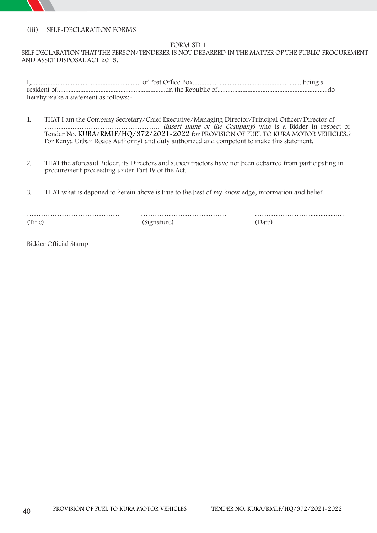## **(iii) SELF-DECLARATION FORMS**

### **FORM SD 1**

### **SELF DECLARATION THAT THE PERSON/TENDERER IS NOT DEBARRED IN THE MATTER OF THE PUBLIC PROCUREMENT AND ASSET DISPOSAL ACT 2015**.

| hereby make a statement as follows:- |  |
|--------------------------------------|--|

- 1. THAT <sup>I</sup> am the Company Secretary/Chief Executive/Managing Director/Principal Officer/Director of ………....……………………………….. *(insert name of the Company)* who is a Bidder in respect of **Tender No. KURA/RMLF/HQ/372/2021-2022** for**PROVISION OF FUEL TO KURA MOTOR VEHICLES.***)* For **Kenya Urban Roads Authority**) and duly authorized and competent to make this statement.
- 2. THAT the aforesaid Bidder, its Directors and subcontractors have not been debarred from participating in procurement proceeding under Part IV of the Act.
- 3. THAT what is deponed to herein above is true to the best of my knowledge, information and belief.

| (Title) | Signafure) | (Date) |
|---------|------------|--------|

Bidder Official Stamp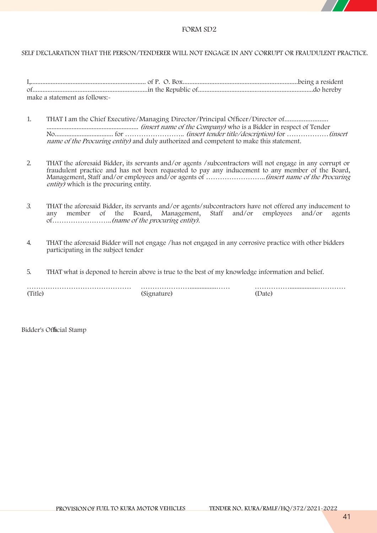

### **SELF DECLARATION THAT THE PERSON/TENDERER WILL NOT ENGAGE IN ANY CORRUPT OR FRAUDULENT PRACTICE.**

| make a statement as follows:- |  |
|-------------------------------|--|

- 1. THAT I am the Chief Executive/Managing Director/Principal Officer/Director of......................... ....................................................... *(insert name of the Company)* who is a Bidder in respect of **Tender No**................................... for …………………….. *(insert tender title/description)* for ………………*(insert name of the Procuring entity)* and duly authorized and competent to make this statement.
- 2. THAT the aforesaid Bidder, its servants and/or agents /subcontractors will not engage in any corrupt or fraudulent practice and has not been requested to pay any inducement to any member of the Board, Management, Staff and/or employees and/or agents of ……………………..*(insert name of the Procuring entity)* which is the procuring entity.
- *3.* THAT the aforesaid Bidder, its servants and/or agents/subcontractors have not offered any inducement to any member of the Board, Management, Staff and/or employees of……………………..*(name of the procuring entity).*
- 4. THAT the aforesaid Bidder will not engage /has not engaged in any corrosive practice with other bidders participating in the subject tender
- 5. THAT what is deponed to herein above is true to the best of my knowledge information and belief.

| ™ifler | 'atr |
|--------|------|

**Bidder's Official Stamp**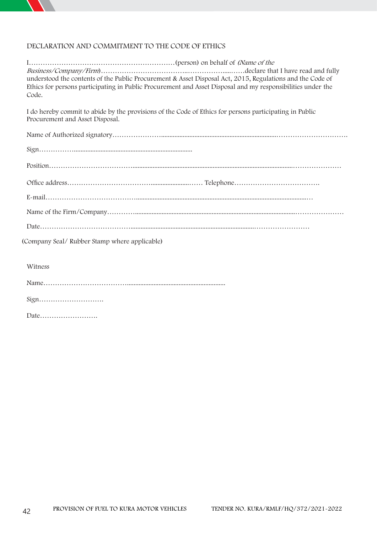

# **DECLARATION AND COMMITMENT TO THE CODE OF ETHICS**

| understood the contents of the Public Procurement & Asset Disposal Act, 2015, Regulations and the Code of<br>Ethics for persons participating in Public Procurement and Asset Disposal and my responsibilities under the<br>Code. |
|-----------------------------------------------------------------------------------------------------------------------------------------------------------------------------------------------------------------------------------|
| I do hereby commit to abide by the provisions of the Code of Ethics for persons participating in Public<br>Procurement and Asset Disposal.                                                                                        |
|                                                                                                                                                                                                                                   |
|                                                                                                                                                                                                                                   |
|                                                                                                                                                                                                                                   |
|                                                                                                                                                                                                                                   |
|                                                                                                                                                                                                                                   |
|                                                                                                                                                                                                                                   |
|                                                                                                                                                                                                                                   |
| (Company Seal/Rubber Stamp where applicable)                                                                                                                                                                                      |
|                                                                                                                                                                                                                                   |
| Witness                                                                                                                                                                                                                           |

Name………………………………...........................................................

Sign……………………….

Date…………………….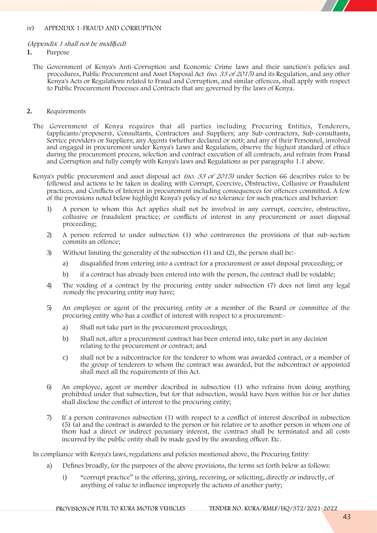#### **iv) APPENDIX 1-FRAUD AND CORRUPTION**

#### *(Appendix 1 shall not be modified)*

#### **1. Purpose**

The Government of Kenya's Anti-Corruption and Economic Crime laws and their sanction's policies and procedures, Public Procurement and Asset Disposal Act *(no. 33 of 2015)* and its Regulation, and any other Kenya's Acts or Regulations related to Fraud and Corruption, and similar offences, shall apply with respect to Public Procurement Processes and Contracts that are governed by the laws of Kenya.

### **2. Requirements**

- The Government of Kenya requires that all parties including Procuring Entities, Tenderers, (applicants/proposers), Consultants, Contractors and Suppliers; any Sub-contractors, Sub-consultants, Service providers or Suppliers; any Agents (whether declared or not); and any of their Personnel, involved and engaged in procurement under Kenya's Laws and Regulation, observe the highest standard of ethics during the procurement process, selection and contract execution of all contracts, and refrain from Fraud and Corruption and fully comply with Kenya's laws and Regulations as per paragraphs 1.1 above.
- Kenya's public procurement and asset disposal act *(no. 33 of 2015)* under Section 66 describes rules to be followed and actions to be taken in dealing with Corrupt, Coercive, Obstructive, Collusive or Fraudulent practices, and Conflicts of Interest in procurement including consequences for offences committed. A few of the provisions noted below highlight Kenya's policy of no tolerance for such practices and behavior:
	- 1) A person to whom this Actapplies shall not be involved in any corrupt, coercive, obstructive, collusive or fraudulent practice; or conflicts of interest in any procurement or asset disposal proceeding;
	- 2) A person referred to under subsection (1) who contravenes the provisions of that sub-section commits an offence;
	- 3) Without limiting the generality of the subsection (1) and (2), the person shall be:
		- a) disqualified from entering into a contract for a procurement or asset disposal proceeding; or
		- b) if a contract has already been entered into with the person, the contract shall be voidable;
	- 4) The voiding of a contract by the procuring entity under subsection (7) does not limit any legal remedy the procuring entity may have;
	- 5) An employee or agent of the procuring entity or a member of the Board or committee of the procuring entity who has a conflict of interest with respect to a procurement:
		- a) Shall not take part in the procurement proceedings;
		- b) Shall not, after a procurement contract has been entered into, take part in any decision relating to the procurement or contract; and
		- c) shall not be a subcontractor for the tenderer to whom was awarded contract, or a member of the group of tenderers to whom the contract was awarded, but the subcontract or appointed shall meet all the requirements of this Act.
	- 6) An employee, agent or member described in subsection (1) who refrains from doing anything prohibited under that subsection, but for that subsection, would have been within his or her duties shall disclose the conflict of interest to the procuring entity;
	- 7) If a person contravenes subsection (1) with respect to a conflict of interest described in subsection (5) (a) and the contract is awarded to the person orhis relative or to another person in whom one of them had a direct or indirect pecuniary interest, the contract shall be terminated and all costs incurred by the public entity shall be made good by the awarding officer. Etc.

In compliance with Kenya's laws, regulations and policies mentioned above, the Procuring Entity:

- a) Defines broadly, for the purposes of the above provisions, the terms set forth below as follows:
	- i) "corrupt practice" is the offering, giving, receiving, or soliciting, directly or indirectly, of anything of value to influence improperly the actions of another party;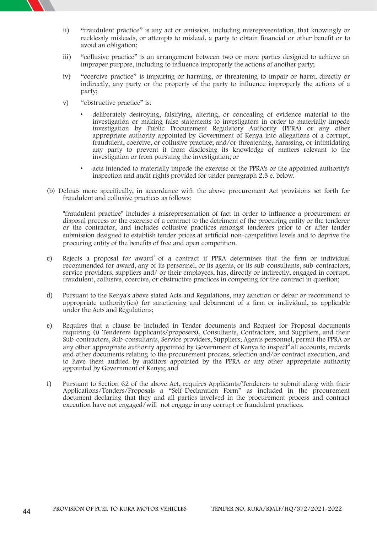

- ii) "fraudulent practice" is any act or omission, including misrepresentation, that knowingly or recklessly misleads, or attempts to mislead, a party to obtain financial or other benefit or to avoid an obligation;
- iii) "collusive practice" is an arrangement between two or more parties designed to achieve an improper purpose, including to influence improperly the actions of another party;
- iv) "coercive practice" is impairing or harming, or threatening to impair or harm, directly or indirectly, any party or the property of the party to influence improperly the actions of a party;
- v) "obstructive practice" is:
	- deliberately destroying, falsifying, altering, or concealing of evidence material to the investigation or making false statements to investigators in order to materially impede investigation by Public Procurement Regulatory Authority (PPRA) or any other appropriate authority appointed by Government of Kenya into allegations of a corrupt, fraudulent, coercive, or collusive practice; and/or threatening, harassing, or intimidating any party to prevent it from disclosing its knowledge of matters relevant to the investigation or from pursuing the investigation; or
	- acts intended to materially impede the exercise of the PPRA's or the appointed authority's inspection and audit rights provided for under paragraph 2.3 e. below.
- (b) Defines more specifically, in accordance with the above procurement Act provisions set forth for fraudulent and collusive practices as follows:

"fraudulent practice" includes a misrepresentation of fact in order to influence a procurement or disposal process or the exercise of a contract to the detriment of the procuring entity or the tenderer or the contractor, and includes collusive practices amongst tenderers prior to or after tender submission designed to establish tender prices at artificial non-competitive levels and to deprive the procuring entity of the benefits of free and open competition.

- c) Rejects a proposal for award of a contract if PPRA determines that the firm or individual recommended for award, any of its personnel, or its agents, or its sub-consultants, sub-contractors, service providers, suppliers and/ or their employees, has, directly or indirectly, engaged in corrupt, fraudulent, collusive, coercive, or obstructive practices in competing for the contract in question;
- d) Pursuant to the Kenya's above stated Acts and Regulations, may sanction or debar or recommend to appropriate authority(ies) for sanctioning and debarment of a firm or individual, as applicable under the Acts and Regulations;
- e) Requires that a clause be included in Tender documents and Request for Proposal documents requiring (i) Tenderers (applicants/proposers), Consultants, Contractors, and Suppliers, and their Sub-contractors, Sub-consultants, Service providers, Suppliers, Agents personnel, permit the PPRA or any other appropriate authority appointed by Government of Kenya to inspect<sup>2</sup> all accounts, records and other documents relating to the procurement process, selection and/or contract execution, and to have them audited by auditors appointed by the PPRA or any other appropriate authority appointed by Government of Kenya; and
- f) Pursuant to Section 62 of the above Act, requires Applicants/Tenderers to submit along with their Applications/Tenders/Proposals a "Self-Declaration Form" as included in the procurement document declaring that they and all parties involved in the procurement process and contract execution have not engaged/will not engage in any corrupt or fraudulent practices.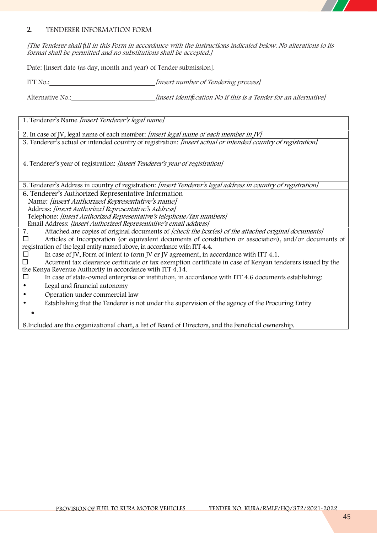## **2. TENDERER INFORMATION FORM**

*[The Tenderer shall fill in this Form in accordance with the instructions indicated below. No alterations to its format shall be permitted and no substitutions shall be accepted.]*

Date: [insert date (as day, month and year) of Tender submission].

ITT No.: *[insert number of Tendering process]*

Alternative No.: *[insert identification No if this is <sup>a</sup> Tender for an alternative]*

1. Tenderer's Name *[insert Tenderer's legal name]*

2. In case of JV, legal name of each member: *[insert legal name of each member in JV]*

3. Tenderer's actual or intended country of registration: *[insert actual or intended country of registration]*

4. Tenderer's year of registration: *[insert Tenderer's year of registration]*

5. Tenderer's Address in country of registration: *[insert Tenderer's legal address in country of registration]*

6. Tenderer's Authorized Representative Information Name: *[insert Authorized Representative's name]* Address: *[insert Authorized Representative's Address]* Telephone: *[insert Authorized Representative's telephone/fax numbers]* Email Address: *[insert Authorized Representative's email address]*

7. Attached are copies of original documents of *[check the box(es) of the attached original documents]*

 Articles of Incorporation (or equivalent documents of constitution or association), and/or documents of registration of the legal entity named above, in accordance with ITT 4.4.

In case of JV, Form of intent to form JV or JV agreement, in accordance with ITT 4.1.<br>  $\Box$  Acurrent tax clearance certificate or tax exemption certificate in case of Kenvan term

 Acurrent tax clearance certificate or tax exemption certificate in case of Kenyan tenderers issued by the the Kenya Revenue Authority in accordance with ITT 4.14.

- $\Box$  In case of state-owned enterprise or institution, in accordance with ITT 4.6 documents establishing:
- Legal and financial autonomy
- Operation under commercial law
- Establishing that the Tenderer is not under the supervision of the agency of the Procuring Entity
	-

8.Included are the organizational chart, a list of Board of Directors, and the beneficial ownership.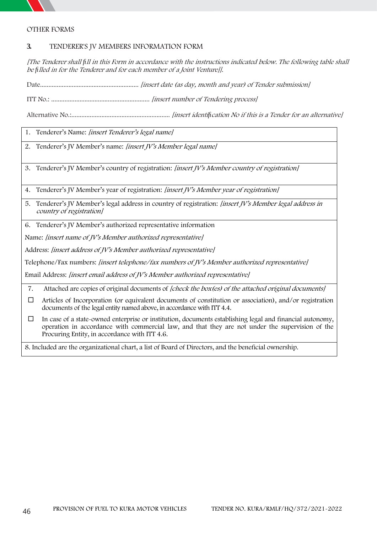

## **OTHER FORMS**

## **3. TENDERER'S JV MEMBERS INFORMATION FORM**

[The Tenderer shall fill in this Form in accordance with the instructions indicated below. The following table shall *be filled in for the Tenderer and for each member of <sup>a</sup> Joint Venture]].*

Date........................................................... *[insert date (as day, month and year) of Tender submission]*

ITT No.: ........................................................... *[insert number of Tendering process]*

Alternative No.:........................................................... *[insert identification No if this is a Tender for an alternative]*

## 1. Tenderer's Name: *[insert Tenderer's legal name]*

2. Tenderer's JV Member's name: *[insert JV's Member legal name]*

3. Tenderer's JV Member's country of registration: *[insert JV's Member country of registration]*

4. Tenderer's JV Member's year of registration: *[insert JV's Member year of registration]*

5. Tenderer's JV Member's legal address in country of registration: *[insert JV's Member legal address in country of registration]*

6. Tenderer's JV Member's authorized representative information

Name: *[insert name of JV's Member authorized representative]*

Address: *[insert address of JV's Member authorized representative]*

Telephone/Fax numbers: *[insert telephone/fax numbers of JV's Member authorized representative]*

Email Address: *[insert email address of JV's Member authorized representative]*

7. Attached are copies of original documents of *[check the box(es) of the attached original documents]*

- $\Box$  Articles of Incorporation (or equivalent documents of constitution or association), and/or registration documents of the legal entity named above, in accordance with ITT 4.4.
- $\Box$  In case of a state-owned enterprise or institution, documents establishing legal and financial autonomy, operation in accordance with commercial law, and that they are not under the supervision of the Procuring Entity, in accordance with ITT 4.6.

8. Included are the organizational chart, a list of Board of Directors, and the beneficial ownership.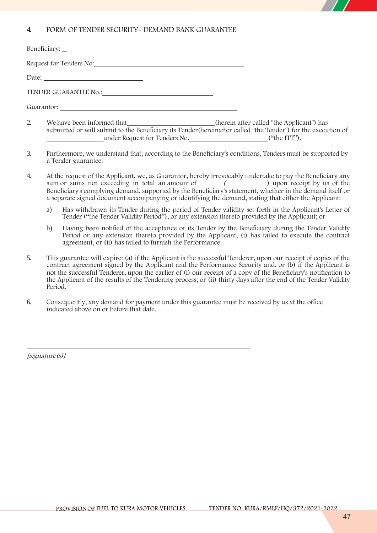## **4. FORM OF TENDER SECURITY- DEMAND BANK GUARANTEE**

| Beneficiary:            |
|-------------------------|
| Request for Tenders No: |
|                         |
| TENDER GUARANTEE No.:   |

**Guarantor:**

- 2. We have been informed that (herein after called "the Applicant") has submitted or will submit to the Beneficiary its Tender(hereinafter called "the Tender") for the execution of under Request for Tenders No. ("the ITT").
- 3. Furthermore, we understand that, according to the Beneficiary's conditions, Tenders must be supported by a Tender guarantee.
- 4. At the request of the Applicant, we, as Guarantor, hereby irrevocably undertake to pay the Beneficiary any sum or sums not exceeding in total an amount of <u>contained and the set of the sum</u> and the *sum or sums* not exceeding in total an amount of **(b)**  $\frac{1}{2}$  (c) upon receipt by us of the Beneficiary's complying demand, supported by the Beneficiary's statement, whether in the demand itself or a separate signed document accompanying or identifying the demand, stating that either the Applicant:
	- a) Has withdrawn its Tender during the period of Tender validity set forth in the Applicant's Letter of Tender ("the Tender Validity Period"), or any extension thereto provided by the Applicant; or
	- b) Having been notified of the acceptance of its Tender by the Beneficiary during the Tender Validity Period or any extension thereto provided by the Applicant, (i) has failed to execute the contract agreement, or (ii) has failed to furnish the Performance.
- 5. This guarantee will expire: (a) if the Applicant is the successful Tenderer, upon our receipt of copies of the contract agreement signed by the Applicant and the Performance Security and, or (b) if the Applicant is not the successful Tenderer, upon the earlier of (i) our receipt of a copy of the Beneficiary's notification to the Applicant of the results of the Tendering process; or (ii) thirty days after the end of the Tender Validity Period.
- 6. Consequently, any demand for payment under this guarantee must be received by us at the office indicated above on or before that date.

*[signature(s)]*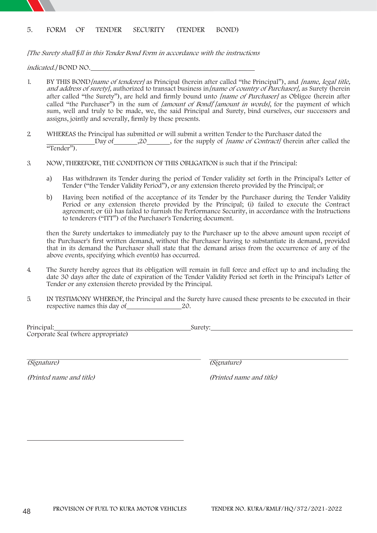## **5. FORM OF TENDER SECURITY (TENDER BOND)**

*[The Surety shall fill in this Tender Bond Form in accordance with the instructions*

*indicated.]* BOND NO.

- 1. BY THIS BOND*[name of tenderer]* as Principal (herein after called "the Principal"), and *[name, legal title, and address of surety],* **authorized to transact business in***[name of country of Purchaser],* as Surety (herein after called "the Surety"), are held and firmly bound unto *[name of Purchaser]* as Obligee (herein after called "the Purchaser") in the sum of *[amount of Bond]<sup>†</sup> [amount in words]*, for the payment of which sum, well and truly to be made, we, the said Principal and Surety, bind ourselves, our successors and assigns, jointly and severally, firmly by these presents.
- 2. WHEREAS the Principal has submitted or will submit a written Tender to the Purchaser dated the Day of 20 , for the supply of *[name of Contract]* (herein after called the "Tender").
- 3. NOW, THEREFORE, THE CONDITION OF THIS OBLIGATION is such that if the Principal:
	- a) Has withdrawn its Tender during the period of Tender validity set forth in the Principal's Letter of Tender ("the Tender Validity Period"), or any extension thereto provided by the Principal; or
	- b) Having been notified of the acceptance of its Tender by the Purchaser during the Tender Validity Period or any extension thereto provided by the Principal; (i) failed to execute the Contract agreement; or (ii) has failed to furnish the Performance Security, in accordance with the Instructions to tenderers ("ITT") of the Purchaser's Tendering document.

then the Surety undertakes to immediately pay to the Purchaser up to the above amount upon receipt of the Purchaser's first written demand, without the Purchaser having to substantiate its demand, provided that in its demand the Purchaser shall state that the demand arises from the occurrence of any of the above events, specifying which event(s) has occurred.

- 4. The Surety hereby agrees that its obligation will remain in full force and effect up to and including the date 30 days after the date of expiration of the Tender Validity Period set forth in the Principal's Letter of Tender or any extension thereto provided by the Principal.
- 5. IN TESTIMONY WHEREOF, the Principal and the Surety have caused these presents to be executed in their respective names this day of 20.

Principal: Surety: Corporate Seal (where appropriate)

*(Signature) (Signature)*

*(Printed name and title) (Printed name and title)*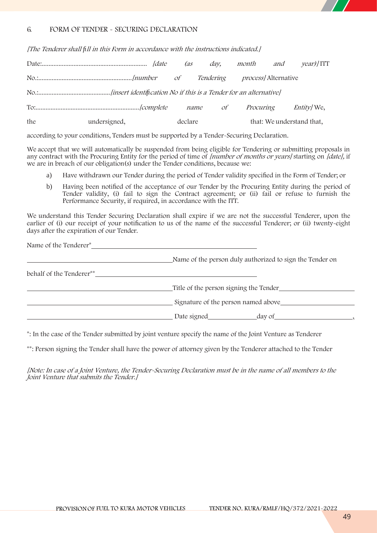

## 6. **FORM OF TENDER - SECURING DECLARATION**

*[The Tenderer shall fill in this Form in accordance with the instructions indicated.]*

|     |              | (as     | day,      | month                       | and | $\gamma$ ear)/ITT         |  |
|-----|--------------|---------|-----------|-----------------------------|-----|---------------------------|--|
|     |              |         | Tendering | <i>process</i> /Alternative |     |                           |  |
|     |              |         |           |                             |     |                           |  |
|     |              |         | name of   | Procuring                   |     | <i>Entity</i> We,         |  |
| the | undersigned, | declare |           |                             |     | that: We understand that, |  |

according to your conditions, Tenders must be supported by a Tender-Securing Declaration.

We accept that we will automatically be suspended from being eligible for Tendering or submitting proposals in any contract with the Procuring Entity for the period of time of *[number of months or years]* starting on *[date],* if we are in breach of our obligation(s) under the Tender conditions, because we:

- a) Have withdrawn our Tender during the period of Tender validity specified in the Form of Tender; or
- b) Having been notified of the acceptance of our Tender by the Procuring Entity during the period of Tender validity, (i) fail to sign the Contract agreement; or (ii) fail or refuse to furnish the Performance Security, if required, in accordance with the ITT.

We understand this Tender Securing Declaration shall expire if we are not the successful Tenderer, upon the earlier of (i) our receipt of your notification to us of the name of the successful Tenderer; or (ii) twenty-eight days after the expiration of our Tender.

| Name of the Tenderer <sup>*</sup> |                                                          |
|-----------------------------------|----------------------------------------------------------|
|                                   | Name of the person duly authorized to sign the Tender on |
| behalf of the Tenderer**          |                                                          |
|                                   | Title of the person signing the Tender                   |
|                                   | Signature of the person named above                      |
|                                   |                                                          |

**\***: In the case of the Tender submitted by joint venture specify the name of the Joint Venture as Tenderer

\*\*: Person signing the Tender shall have the power of attorney given by the Tenderer attached to the Tender

*[Note: In case of a Joint Venture, the Tender-Securing Declaration must be in the name of all members to the Joint Venture that submits the Tender.]*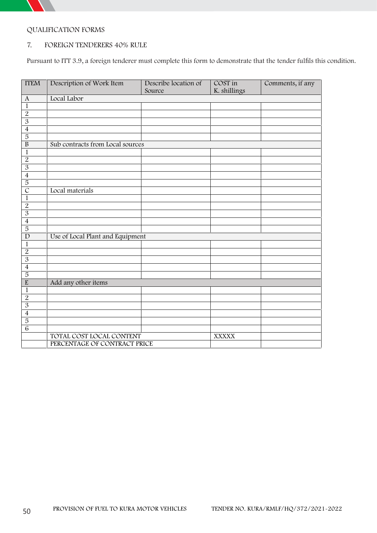

# **QUALIFICATION FORMS**

## **7. FOREIGN TENDERERS 40% RULE**

Pursuant to ITT 3.9, a foreign tenderer must complete this form to demonstrate that the tender fulfils this condition.

| <b>ITEM</b>              | Description of Work Item         | Describe location of | COST in      | Comments, if any |
|--------------------------|----------------------------------|----------------------|--------------|------------------|
|                          |                                  | Source               | K. shillings |                  |
| $\mathbf{A}$             | Local Labor                      |                      |              |                  |
| $\overline{1}$           |                                  |                      |              |                  |
| $\overline{2}$           |                                  |                      |              |                  |
| $\overline{3}$           |                                  |                      |              |                  |
| $\overline{4}$           |                                  |                      |              |                  |
| $\overline{5}$           |                                  |                      |              |                  |
| $\overline{B}$           | Sub contracts from Local sources |                      |              |                  |
| $\mathbf{1}$             |                                  |                      |              |                  |
| $\overline{2}$           |                                  |                      |              |                  |
| $\overline{3}$           |                                  |                      |              |                  |
| $\overline{4}$           |                                  |                      |              |                  |
| $\overline{5}$           |                                  |                      |              |                  |
| $\overline{C}$           | Local materials                  |                      |              |                  |
| $\overline{1}$           |                                  |                      |              |                  |
| $\overline{2}$           |                                  |                      |              |                  |
| $\overline{3}$           |                                  |                      |              |                  |
| $\overline{4}$           |                                  |                      |              |                  |
| $\overline{5}$           |                                  |                      |              |                  |
| $\overline{D}$           | Use of Local Plant and Equipment |                      |              |                  |
| $\overline{1}$           |                                  |                      |              |                  |
| $\overline{2}$           |                                  |                      |              |                  |
| $\overline{\mathcal{S}}$ |                                  |                      |              |                  |
| $\overline{4}$           |                                  |                      |              |                  |
| $\overline{5}$           |                                  |                      |              |                  |
| $\overline{\mathrm{E}}$  | Add any other items              |                      |              |                  |
| $\overline{1}$           |                                  |                      |              |                  |
| $\overline{2}$           |                                  |                      |              |                  |
| $\overline{3}$           |                                  |                      |              |                  |
| $\overline{4}$           |                                  |                      |              |                  |
| $\overline{5}$           |                                  |                      |              |                  |
| $\overline{6}$           |                                  |                      |              |                  |
|                          | TOTAL COST LOCAL CONTENT         |                      |              |                  |
|                          |                                  |                      | <b>XXXXX</b> |                  |
|                          | PERCENTAGE OF CONTRACT PRICE     |                      |              |                  |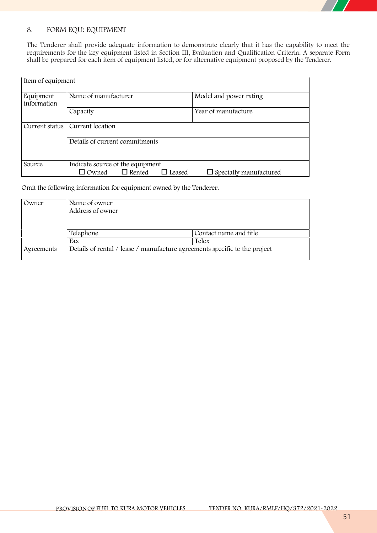# **8. FORM EQU: EQUIPMENT**

The Tenderer shall provide adequate information to demonstrate clearly that it has the capability to meet the requirements for the key equipment listed in Section III, Evaluation and Qualification Criteria. A separate Form shall be prepared for each item of equipment listed, or for alternative equipment proposed by the Tenderer.

| Item of equipment        |                                                |                               |
|--------------------------|------------------------------------------------|-------------------------------|
| Equipment<br>information | Name of manufacturer                           | Model and power rating        |
|                          | Capacity                                       | Year of manufacture           |
| Current status           | Current location                               |                               |
|                          | Details of current commitments                 |                               |
| Source                   | Indicate source of the equipment               |                               |
|                          | $\Box$ Rented<br>$\Box$ Owned<br>$\Box$ Leased | $\Box$ Specially manufactured |

Omit the following information for equipment owned by the Tenderer.

| Owner      | Name of owner    |                                                                            |
|------------|------------------|----------------------------------------------------------------------------|
|            | Address of owner |                                                                            |
|            |                  |                                                                            |
|            |                  |                                                                            |
|            | Telephone        | Contact name and title                                                     |
|            | Fax              | Telex                                                                      |
| Agreements |                  | Details of rental / lease / manufacture agreements specific to the project |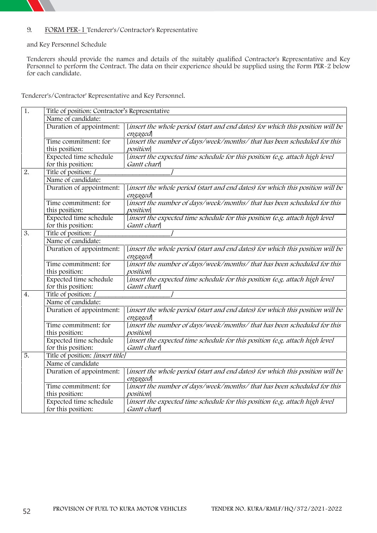

## **9. FORM PER-1 Tenderer's/Contractor's Representative**

### **and Key Personnel Schedule**

Tenderers should provide the names and details of the suitably qualified Contractor's Representative and Key Personnel to perform the Contract. The data on their experience should be supplied using the Form PER-2 below for each candidate.

**Tenderer's/Contractor' Representative and Key Personnel.**

| 1.               | Title of position: Contractor's Representative |                                                                                             |  |  |
|------------------|------------------------------------------------|---------------------------------------------------------------------------------------------|--|--|
|                  | Name of candidate:                             |                                                                                             |  |  |
|                  | Duration of appointment:                       | [insert the whole period (start and end dates) for which this position will be<br>engaged   |  |  |
|                  | Time commitment: for<br>this position:         | [insert the number of days/week/months/ that has been scheduled for this<br>position        |  |  |
|                  | Expected time schedule<br>for this position:   | [insert the expected time schedule for this position (e.g. attach high level<br>Gantt chart |  |  |
| $\overline{2}$ . | Title of position: /                           |                                                                                             |  |  |
|                  | Name of candidate:                             |                                                                                             |  |  |
|                  | Duration of appointment:                       | [insert the whole period (start and end dates) for which this position will be<br>engaged   |  |  |
|                  | Time commitment: for<br>this position:         | [insert the number of days/week/months/ that has been scheduled for this<br>position        |  |  |
|                  | Expected time schedule<br>for this position:   | [insert the expected time schedule for this position (e.g. attach high level<br>Gantt chart |  |  |
| $\overline{3}$ . | Title of position: [                           |                                                                                             |  |  |
|                  | Name of candidate:                             |                                                                                             |  |  |
|                  | Duration of appointment:                       | [insert the whole period (start and end dates) for which this position will be<br>engaged   |  |  |
|                  | Time commitment: for                           | [insert the number of days/week/months/ that has been scheduled for this                    |  |  |
|                  | this position:                                 | position                                                                                    |  |  |
|                  | Expected time schedule<br>for this position:   | [insert the expected time schedule for this position (e.g. attach high level<br>Gantt chart |  |  |
| 4.               | Title of position: [                           |                                                                                             |  |  |
|                  | Name of candidate:                             |                                                                                             |  |  |
|                  | Duration of appointment:                       | [insert the whole period (start and end dates) for which this position will be<br>engaged   |  |  |
|                  | Time commitment: for<br>this position:         | [insert the number of days/week/months/ that has been scheduled for this<br>position        |  |  |
|                  | Expected time schedule                         | [insert the expected time schedule for this position (e.g. attach high level                |  |  |
|                  | for this position:                             | Gantt chart                                                                                 |  |  |
| 5.               | Title of position: [insert title]              |                                                                                             |  |  |
|                  | Name of candidate                              |                                                                                             |  |  |
|                  | Duration of appointment:                       | [insert the whole period (start and end dates) for which this position will be<br>engaged   |  |  |
|                  | Time commitment: for<br>this position:         | [insert the number of days/week/months/ that has been scheduled for this<br>position        |  |  |
|                  | Expected time schedule<br>for this position:   | [insert the expected time schedule for this position (e.g. attach high level<br>Gantt chart |  |  |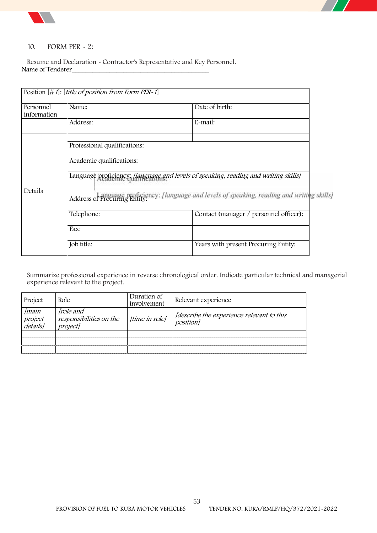

#### **10. FORM PER - 2:**

Resume and Declaration - Contractor's Representative and Key Personnel. Name of Tenderer\_\_\_\_\_\_\_\_\_\_\_\_\_\_\_\_\_\_\_\_\_\_\_\_\_\_\_\_\_\_\_\_\_\_\_\_\_\_\_\_

|                          | Position $[\# I]$ : [ <i>title of position from Form PER-1</i> ]                    |                                                                                            |
|--------------------------|-------------------------------------------------------------------------------------|--------------------------------------------------------------------------------------------|
| Personnel<br>information | Name:                                                                               | Date of birth:                                                                             |
|                          | Address:                                                                            | E-mail:                                                                                    |
|                          | Professional qualifications:                                                        |                                                                                            |
|                          | Academic qualifications:                                                            |                                                                                            |
|                          | Language proficiency: [language and levels of speaking, reading and writing skills] |                                                                                            |
| Details                  |                                                                                     | Address of Procuring Entity: [language and levels of speaking, reading and writing skills] |
|                          | Telephone:                                                                          | Contact (manager / personnel officer):                                                     |
|                          | Fax:                                                                                |                                                                                            |
|                          | Job title:                                                                          | Years with present Procuring Entity:                                                       |

Summarize professional experience in reverse chronological order. Indicate particular technical and managerial experience relevant to the project.

| Project                             | Role                                                    | Duration of<br>involvement | Relevant experience                                          |
|-------------------------------------|---------------------------------------------------------|----------------------------|--------------------------------------------------------------|
| [main<br><i>project</i><br>details] | <i>frole and</i><br>responsibilities on the<br>projectl | [time in role]             | [describe the experience relevant to this<br><i>position</i> |
|                                     |                                                         |                            |                                                              |
|                                     |                                                         |                            |                                                              |
|                                     |                                                         |                            |                                                              |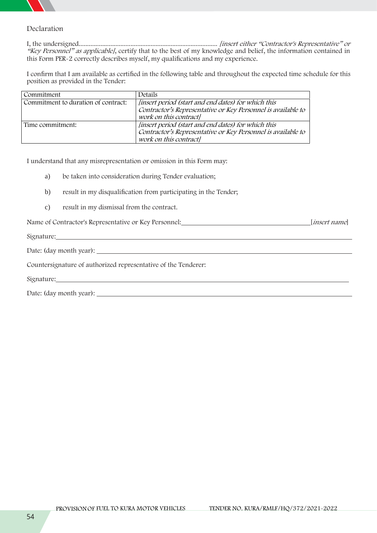

## **Declaration**

I, the undersigned................................................................................... *[insert either "Contractor's Representative" or "Key Personnel" as applicable]*, certify that to the best of my knowledge and belief, the information contained in this Form PER-2 correctly describes myself, my qualifications and my experience.

I confirm that I am available as certified in the following table and throughout the expected time schedule for this position as provided in the Tender:

| Commitment                          | Details                                                      |
|-------------------------------------|--------------------------------------------------------------|
| Commitment to duration of contract: | [insert period (start and end dates) for which this          |
|                                     | Contractor's Representative or Key Personnel is available to |
|                                     | work on this contract]                                       |
| Time commitment:                    | [insert period (start and end dates) for which this          |
|                                     | Contractor's Representative or Key Personnel is available to |
|                                     | work on this contract]                                       |

I understand that any misrepresentation or omission in this Form may:

- a) be taken into consideration during Tender evaluation;
- b) result in my disqualification from participating in the Tender;
- c) result in my dismissal from the contract.

Name of Contractor's Representative or Key Personnel: [*insert name*]

Signature:

Date: (day month year):

Countersignature of authorized representative of the Tenderer:

Signature:

Date: (day month year):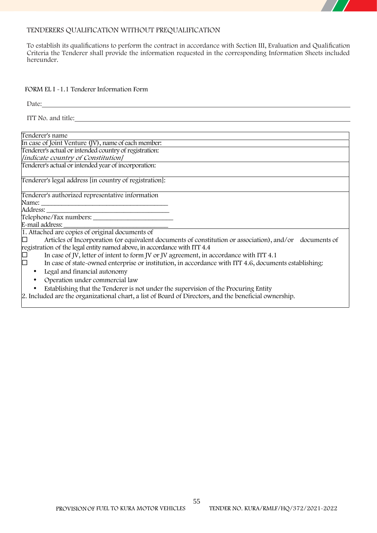

To establish its qualifications to perform the contract in accordance with Section III, Evaluation and Qualification Criteria the Tenderer shall provide the information requested in the corresponding Information Sheets included hereunder.

### **FORM EL I -1.1 Tenderer Information Form**

| ITT No. and title:                                                                                      |
|---------------------------------------------------------------------------------------------------------|
|                                                                                                         |
| Tenderer's name                                                                                         |
| In case of Joint Venture (JV), name of each member:                                                     |
| Tenderer's actual or intended country of registration:                                                  |
| [indicate country of Constitution]                                                                      |
| Tenderer's actual or intended year of incorporation:                                                    |
| Tenderer's legal address [in country of registration]:                                                  |
| Tenderer's authorized representative information                                                        |
| Name:                                                                                                   |
|                                                                                                         |
| Telephone/Fax numbers:                                                                                  |
| E-mail address:                                                                                         |
| 1. Attached are copies of original documents of                                                         |
| Articles of Incorporation (or equivalent documents of constitution or association), and/or documents of |
| registration of the legal entity named above, in accordance with ITT 4.4                                |
| In case of JV, letter of intent to form JV or JV agreement, in accordance with ITT 4.1                  |
| In case of state-owned enterprise or institution, in accordance with ITT 4.6, documents establishing:   |
| Legal and financial autonomy<br>$\bullet$                                                               |
| Operation under commercial law<br>$\bullet$                                                             |
| Establishing that the Tenderer is not under the supervision of the Procuring Entity<br>$\bullet$        |
| 2. Included are the organizational chart, a list of Board of Directors, and the beneficial ownership.   |
|                                                                                                         |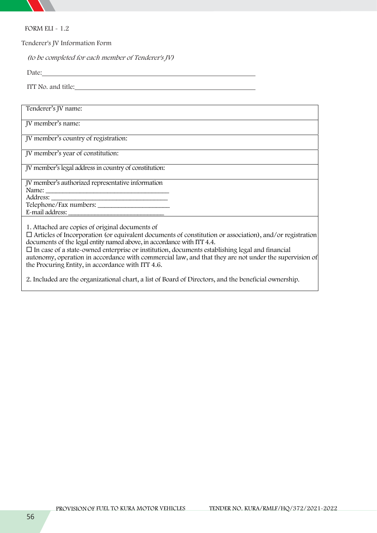

**FORM ELI - 1.2**

**Tenderer's JV Information Form**

*(to be completed for each member of Tenderer's JV)*

Date:

ITT No. and title:

| Tenderer's JV name:                                                                                                                                                                                                                                                                                                                                                                                                                                                                                                |
|--------------------------------------------------------------------------------------------------------------------------------------------------------------------------------------------------------------------------------------------------------------------------------------------------------------------------------------------------------------------------------------------------------------------------------------------------------------------------------------------------------------------|
| JV member's name:                                                                                                                                                                                                                                                                                                                                                                                                                                                                                                  |
| JV member's country of registration:                                                                                                                                                                                                                                                                                                                                                                                                                                                                               |
| JV member's year of constitution:                                                                                                                                                                                                                                                                                                                                                                                                                                                                                  |
| JV member's legal address in country of constitution:                                                                                                                                                                                                                                                                                                                                                                                                                                                              |
| JV member's authorized representative information                                                                                                                                                                                                                                                                                                                                                                                                                                                                  |
|                                                                                                                                                                                                                                                                                                                                                                                                                                                                                                                    |
| Telephone/Fax numbers:                                                                                                                                                                                                                                                                                                                                                                                                                                                                                             |
| E-mail address:                                                                                                                                                                                                                                                                                                                                                                                                                                                                                                    |
| 1. Attached are copies of original documents of<br>$\Box$ Articles of Incorporation (or equivalent documents of constitution or association), and/or registration<br>documents of the legal entity named above, in accordance with ITT 4.4.<br>$\Box$ In case of a state-owned enterprise or institution, documents establishing legal and financial<br>autonomy, operation in accordance with commercial law, and that they are not under the supervision of<br>the Procuring Entity, in accordance with ITT 4.6. |

2. Included are the organizational chart, a list of Board of Directors, and the beneficial ownership.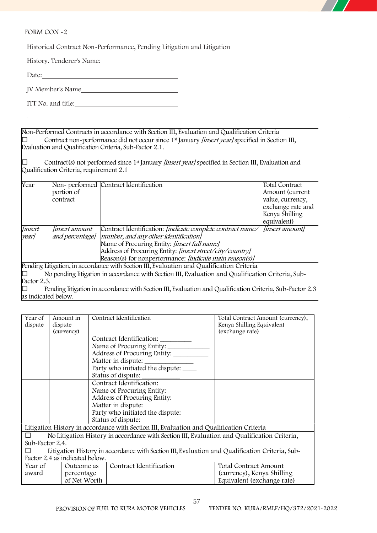**FORM CON -2**

Historical Contract Non-Performance, Pending Litigation and Litigation

History. Tenderer's Name:

Date: 

JV Member's Name

ITT No. and title:

Non-Performed Contracts in accordance with Section III, Evaluation and Qualification Criteria Contract non-performance did not occur since 1st January *[insert year]* specified in Section III, Evaluation and Qualification Criteria, Sub-Factor 2.1.

□ Contract(s) not performed since 1<sup>st</sup> January *[insert year]* specified in Section III, Evaluation and Qualification Criteria, requirement 2.1

| Year           | portion of          | Non- performed Contract Identification                                                                   | Total Contract<br>Amount (current |
|----------------|---------------------|----------------------------------------------------------------------------------------------------------|-----------------------------------|
|                |                     |                                                                                                          |                                   |
|                | contract            |                                                                                                          | value, currency,                  |
|                |                     |                                                                                                          | exchange rate and                 |
|                |                     |                                                                                                          | Kenya Shilling                    |
|                |                     |                                                                                                          | equivalent)                       |
| <i>linsert</i> | linsert amount      | Contract Identification: [indicate complete contract name/                                               | <i>linsert amountl</i>            |
| yearl          | and percentage]     | number, and any other identification]                                                                    |                                   |
|                |                     | Name of Procuring Entity: [insert full name]                                                             |                                   |
|                |                     | Address of Procuring Entity: [insert street/city/country]                                                |                                   |
|                |                     | Reason(s) for nonperformance: [indicate main reason(s)]                                                  |                                   |
|                |                     | Pending Litigation, in accordance with Section III, Evaluation and Qualification Criteria                |                                   |
| IП             |                     | No pending litigation in accordance with Section III, Evaluation and Qualification Criteria, Sub-        |                                   |
| Factor 2.3.    |                     |                                                                                                          |                                   |
| г              |                     | Pending litigation in accordance with Section III, Evaluation and Qualification Criteria, Sub-Factor 2.3 |                                   |
|                |                     |                                                                                                          |                                   |
|                | as indicated below. |                                                                                                          |                                   |

| Year of         | Amount in                      | Contract Identification                                                                        | Total Contract Amount (currency),            |
|-----------------|--------------------------------|------------------------------------------------------------------------------------------------|----------------------------------------------|
| dispute         | dispute                        |                                                                                                | Kenya Shilling Equivalent<br>(exchange rate) |
|                 | (currency)                     | Contract Identification:                                                                       |                                              |
|                 |                                |                                                                                                |                                              |
|                 |                                | Name of Procuring Entity:                                                                      |                                              |
|                 |                                | Address of Procuring Entity:                                                                   |                                              |
|                 |                                |                                                                                                |                                              |
|                 |                                | Party who initiated the dispute:                                                               |                                              |
|                 |                                | Status of dispute: ______________                                                              |                                              |
|                 |                                | Contract Identification:                                                                       |                                              |
|                 |                                | Name of Procuring Entity:                                                                      |                                              |
|                 |                                | Address of Procuring Entity:                                                                   |                                              |
|                 |                                | Matter in dispute:                                                                             |                                              |
|                 |                                | Party who initiated the dispute:                                                               |                                              |
|                 |                                | Status of dispute:                                                                             |                                              |
|                 |                                | Litigation History in accordance with Section III, Evaluation and Qualification Criteria       |                                              |
|                 |                                | No Litigation History in accordance with Section III, Evaluation and Qualification Criteria,   |                                              |
| Sub-Factor 2.4. |                                |                                                                                                |                                              |
|                 |                                | Litigation History in accordance with Section III, Evaluation and Qualification Criteria, Sub- |                                              |
|                 | Factor 2.4 as indicated below. |                                                                                                |                                              |
| Year of         | Outcome as                     | Contract Identification                                                                        | Total Contract Amount                        |
| award           | percentage                     |                                                                                                | (currency), Kenya Shilling                   |
|                 | of Net Worth                   |                                                                                                | Equivalent (exchange rate)                   |

57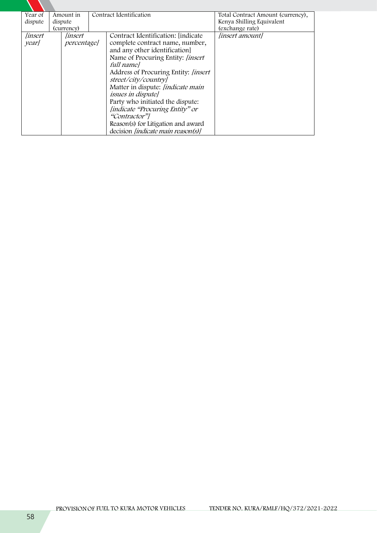| Year of        | Amount in          | Contract Identification                    | Total Contract Amount (currency), |
|----------------|--------------------|--------------------------------------------|-----------------------------------|
| dispute        | dispute            |                                            | Kenya Shilling Equivalent         |
|                | (currency)         |                                            | (exchange rate)                   |
| <i>finsert</i> | <i>linsert</i>     | Contract Identification: [indicate]        | <i>linsert amountl</i>            |
| year/          | <i>percentage]</i> | complete contract name, number,            |                                   |
|                |                    | and any other identification]              |                                   |
|                |                    | Name of Procuring Entity: <i>[insert</i> ] |                                   |
|                |                    | full namel                                 |                                   |
|                |                    | Address of Procuring Entity: [insert       |                                   |
|                |                    | street/city/country]                       |                                   |
|                |                    | Matter in dispute: <i>[indicate main</i> ] |                                   |
|                |                    | <i>issues in disputel</i>                  |                                   |
|                |                    | Party who initiated the dispute:           |                                   |
|                |                    | [indicate "Procuring Entity" or            |                                   |
|                |                    | "Contractor"                               |                                   |
|                |                    | Reason(s) for Litigation and award         |                                   |
|                |                    | decision <i>[indicate main reason(s)]</i>  |                                   |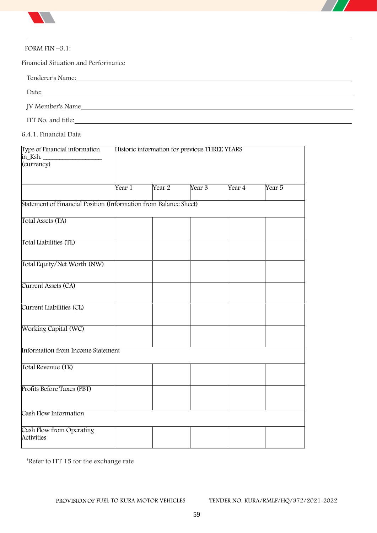



### **FORM FIN –3.1:**

**Financial Situation and Performance**

Tenderer's Name:

Date:

JV Member's Name

ITT No. and title:

**6.4.1. Financial Data**

| Type of Financial information<br>in_Ksh.                         | Historic information for previous THREE YEARS |                   |        |        |                   |  |
|------------------------------------------------------------------|-----------------------------------------------|-------------------|--------|--------|-------------------|--|
| (currency)                                                       |                                               |                   |        |        |                   |  |
|                                                                  | Year 1                                        | Year <sub>2</sub> | Year 3 | Year 4 | Year <sub>5</sub> |  |
| Statement of Financial Position (Information from Balance Sheet) |                                               |                   |        |        |                   |  |
| Total Assets (TA)                                                |                                               |                   |        |        |                   |  |
| Total Liabilities (TL)                                           |                                               |                   |        |        |                   |  |
| Total Equity/Net Worth (NW)                                      |                                               |                   |        |        |                   |  |
| Current Assets (CA)                                              |                                               |                   |        |        |                   |  |
| Current Liabilities (CL)                                         |                                               |                   |        |        |                   |  |
| Working Capital (WC)                                             |                                               |                   |        |        |                   |  |
| Information from Income Statement                                |                                               |                   |        |        |                   |  |
| Total Revenue (TR)                                               |                                               |                   |        |        |                   |  |
| Profits Before Taxes (PBT)                                       |                                               |                   |        |        |                   |  |
| Cash Flow Information                                            |                                               |                   |        |        |                   |  |
| Cash Flow from Operating<br><b>Activities</b>                    |                                               |                   |        |        |                   |  |

\*Refer to ITT 15 for the exchange rate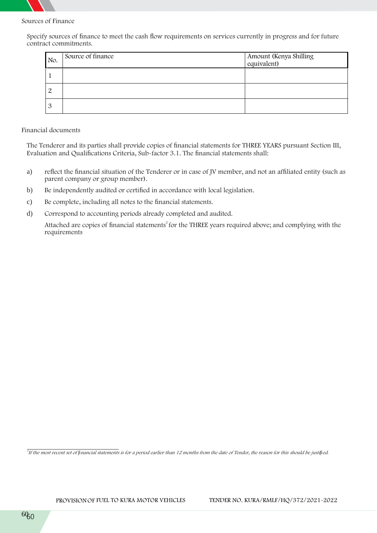

**Sources of Finance**

Specify sources of finance to meet the cash flow requirements on services currently in progress and for future contract commitments.

| No. | Source of finance | Amount (Kenya Shilling<br>equivalent) |
|-----|-------------------|---------------------------------------|
|     |                   |                                       |
|     |                   |                                       |
|     |                   |                                       |

### **Financial documents**

The Tenderer and its parties shall provide copies of financial statements for THREE YEARS pursuant Section III, Evaluation and Qualifications Criteria, Sub-factor 3.1. The financial statements shall:

- a) reflect the financial situation of the Tenderer or in case of JV member, and not an affiliated entity (such as parent company or group member).
- b) Be independently audited or certified in accordance with local legislation.
- c) Be complete, including all notes to the financial statements.
- d) Correspond to accounting periods already completed and audited.

Attached are copies of financial statements<sup>2</sup> for the THREE years required above; and complying with the requirements

*2 If the most recent set of financial statements is for a period earlier than 12 months from the date of Tender, the reason for this should be justified.*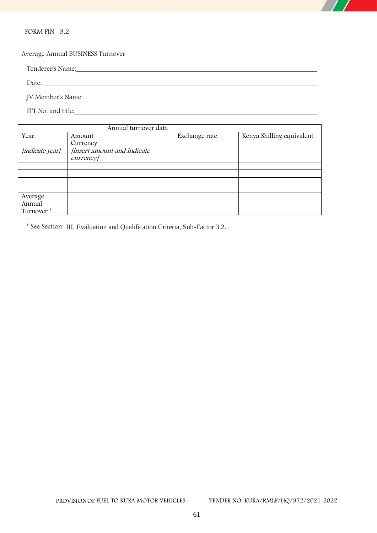

**FORM FIN –3.2:**

**Average Annual BUSINESS Turnover**

Tenderer's Name:

Date: when the contract of the contract of the contract of the contract of the contract of the contract of the contract of the contract of the contract of the contract of the contract of the contract of the contract of the JV Member's Name

ITT No. and title:

|                       | Annual turnover data        |               |                           |
|-----------------------|-----------------------------|---------------|---------------------------|
| Year                  | Amount                      | Exchange rate | Kenya Shilling equivalent |
|                       | Currency                    |               |                           |
| [indicate year]       | [insert amount and indicate |               |                           |
|                       | <i>currency</i>             |               |                           |
|                       |                             |               |                           |
|                       |                             |               |                           |
|                       |                             |               |                           |
|                       |                             |               |                           |
| Average               |                             |               |                           |
| Annual                |                             |               |                           |
| Turnover <sup>*</sup> |                             |               |                           |

\* See Section III, Evaluation and Qualification Criteria, Sub-Factor 3.2.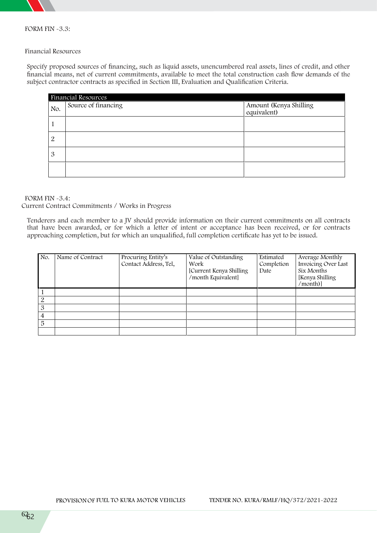

**FORM FIN -3.3:**

### **Financial Resources**

Specify proposed sources of financing, such as liquid assets, unencumbered real assets, lines of credit, and other financial means, net of current commitments, available to meet the total construction cash flow demands of the subject contractor contracts as specified in Section III, Evaluation and Qualification Criteria.

|     | <b>Financial Resources</b> |                                       |  |  |  |  |
|-----|----------------------------|---------------------------------------|--|--|--|--|
| No. | Source of financing        | Amount (Kenya Shilling<br>equivalent) |  |  |  |  |
|     |                            |                                       |  |  |  |  |
| 2   |                            |                                       |  |  |  |  |
| 3   |                            |                                       |  |  |  |  |
|     |                            |                                       |  |  |  |  |

**FORM FIN -3.4: Current Contract Commitments / Works in Progress**

Tenderers and each member to a JV should provide information on their current commitments on all contracts that have been awarded, or for which a letter of intent or acceptance has been received, or for contracts approaching completion, but for which an unqualified, full completion certificate has yet to be issued.

| No. | Name of Contract | Procuring Entity's<br>Contact Address, Tel, | Value of Outstanding<br>Work<br>[Current Kenya Shilling<br>/month Equivalent] | Estimated<br>Completion<br>Date | Average Monthly<br>Invoicing Over Last<br>Six Months<br>[Kenya Shilling<br>/month)] |
|-----|------------------|---------------------------------------------|-------------------------------------------------------------------------------|---------------------------------|-------------------------------------------------------------------------------------|
|     |                  |                                             |                                                                               |                                 |                                                                                     |
| 2   |                  |                                             |                                                                               |                                 |                                                                                     |
| 3   |                  |                                             |                                                                               |                                 |                                                                                     |
| 4   |                  |                                             |                                                                               |                                 |                                                                                     |
| 5   |                  |                                             |                                                                               |                                 |                                                                                     |
|     |                  |                                             |                                                                               |                                 |                                                                                     |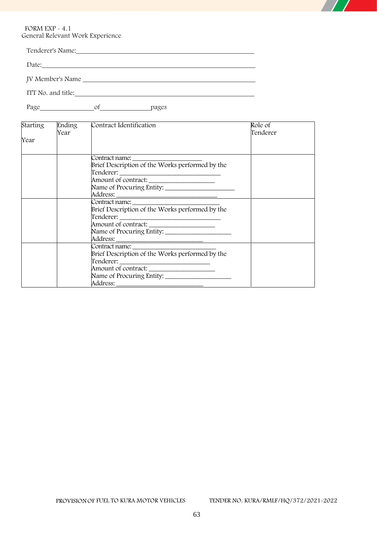**FORM EXP - 4.1 General Relevant Work Experience**

| Tenderer's Name:   |  |  |
|--------------------|--|--|
|                    |  |  |
| JV Member's Name   |  |  |
| ITT No. and title: |  |  |

Page of pages

| <b>Starting</b> | Ending | Contract Identification                         | Role of  |
|-----------------|--------|-------------------------------------------------|----------|
|                 | Year   |                                                 | Tenderer |
| Year            |        |                                                 |          |
|                 |        |                                                 |          |
|                 |        |                                                 |          |
|                 |        |                                                 |          |
|                 |        |                                                 |          |
|                 |        | Amount of contract: _____________________       |          |
|                 |        |                                                 |          |
|                 |        |                                                 |          |
|                 |        |                                                 |          |
|                 |        | Brief Description of the Works performed by the |          |
|                 |        |                                                 |          |
|                 |        | Amount of contract: ______________________      |          |
|                 |        |                                                 |          |
|                 |        |                                                 |          |
|                 |        |                                                 |          |
|                 |        | Brief Description of the Works performed by the |          |
|                 |        |                                                 |          |
|                 |        |                                                 |          |
|                 |        |                                                 |          |
|                 |        |                                                 |          |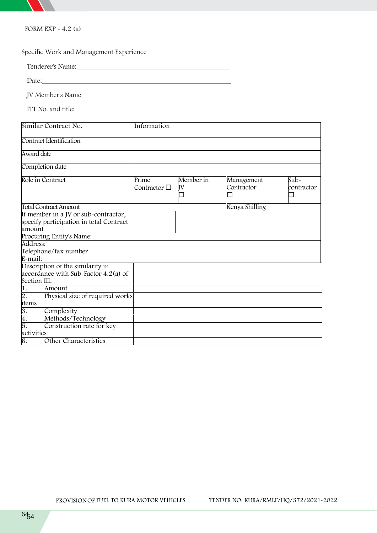

**FORM EXP - 4.2 (a)**

**Specific Work and Management Experience**

Tenderer's Name:

Date:

JV Member's Name

ITT No. and title:

| Similar Contract No.                    | Information           |                 |                          |                      |
|-----------------------------------------|-----------------------|-----------------|--------------------------|----------------------|
| Contract Identification                 |                       |                 |                          |                      |
| Award date                              |                       |                 |                          |                      |
| Completion date                         |                       |                 |                          |                      |
| Role in Contract                        | Prime<br>Contractor □ | Member in<br>JV | Management<br>Contractor | $Sub-$<br>contractor |
| <b>Total Contract Amount</b>            |                       |                 | Kenya Shilling           |                      |
| If member in a JV or sub-contractor,    |                       |                 |                          |                      |
| specify participation in total Contract |                       |                 |                          |                      |
| amount                                  |                       |                 |                          |                      |
| Procuring Entity's Name:                |                       |                 |                          |                      |
| Address:                                |                       |                 |                          |                      |
| Telephone/fax number                    |                       |                 |                          |                      |
| E-mail:                                 |                       |                 |                          |                      |
| Description of the similarity in        |                       |                 |                          |                      |
| accordance with Sub-Factor 4.2(a) of    |                       |                 |                          |                      |
| Section III:                            |                       |                 |                          |                      |
| 1.<br>Amount                            |                       |                 |                          |                      |
| Physical size of required works<br>2.   |                       |                 |                          |                      |
| items                                   |                       |                 |                          |                      |
| 3.<br>Complexity                        |                       |                 |                          |                      |
| 4.<br>Methods/Technology                |                       |                 |                          |                      |
| 5.<br>Construction rate for key         |                       |                 |                          |                      |
| activities                              |                       |                 |                          |                      |
| 6.<br>Other Characteristics             |                       |                 |                          |                      |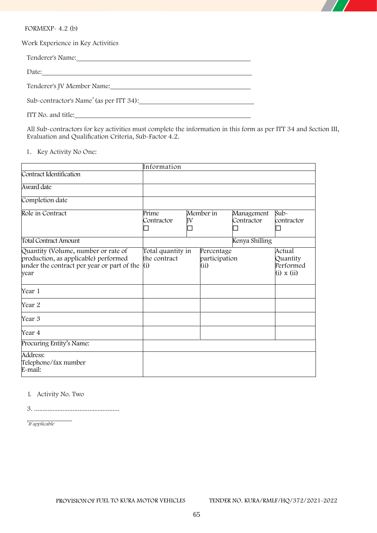

**FORMEXP- 4.2 (b)**

**Work Experience in Key Activities**

| Tenderer's Name: Tenderer's Name:                                                                              |
|----------------------------------------------------------------------------------------------------------------|
|                                                                                                                |
| Tenderer's JV Member Name: Manual Manual Manual Manual Manual Manual Manual Manual Manual Manual Manual Manual |
| Sub-contractor's Name <sup>3</sup> (as per ITT 34):                                                            |
| ITT No. and title:                                                                                             |

All Sub-contractors for key activities must complete the information in this form as per ITT 34 and Section III, Evaluation and Qualification Criteria, Sub-Factor 4.2.

## **1. Key Activity No One:**

|                                                                                                                                   | Information                              |    |                                     |                          |                                                      |
|-----------------------------------------------------------------------------------------------------------------------------------|------------------------------------------|----|-------------------------------------|--------------------------|------------------------------------------------------|
| Contract Identification                                                                                                           |                                          |    |                                     |                          |                                                      |
| Award date                                                                                                                        |                                          |    |                                     |                          |                                                      |
| Completion date                                                                                                                   |                                          |    |                                     |                          |                                                      |
| Role in Contract                                                                                                                  | Prime<br>Contractor                      | ΙV | Member in                           | Management<br>Contractor | $Sub-$<br>contractor                                 |
| <b>Total Contract Amount</b>                                                                                                      |                                          |    |                                     | Kenya Shilling           |                                                      |
| Quantity (Volume, number or rate of<br>production, as applicable) performed<br>under the contract per year or part of the<br>year | Total quantity in<br>the contract<br>(i) |    | Percentage<br>participation<br>(ii) |                          | Actual<br>Quantity<br>Performed<br>$(i) \times (ii)$ |
| Year 1                                                                                                                            |                                          |    |                                     |                          |                                                      |
| Year 2                                                                                                                            |                                          |    |                                     |                          |                                                      |
| Year 3                                                                                                                            |                                          |    |                                     |                          |                                                      |
| Year 4                                                                                                                            |                                          |    |                                     |                          |                                                      |
| Procuring Entity's Name:                                                                                                          |                                          |    |                                     |                          |                                                      |
| Address:<br>Telephone/fax number<br>E-mail:                                                                                       |                                          |    |                                     |                          |                                                      |

**1.** Activity No. Two

3. ...................................................

*3 If applicable*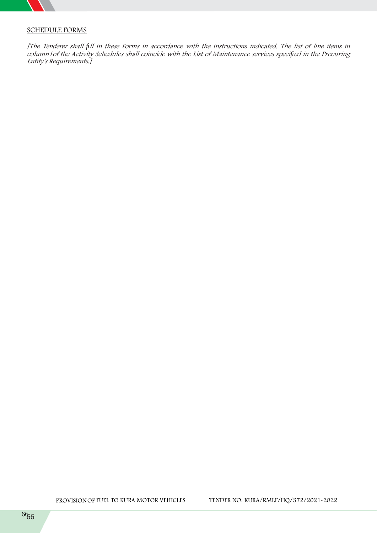

# **SCHEDULE FORMS**

[The Tenderer shall fill in these Forms in accordance with the instructions indicated. The list of line items in *column1of the Activity Schedules shall coincide with the List of Maintenance services specified in the Procuring Entity's Requirements.]*

**PROVISIONOF FUEL TO KURA MOTOR VEHICLES TENDER NO. KURA/RMLF/HQ/372/2021-2022**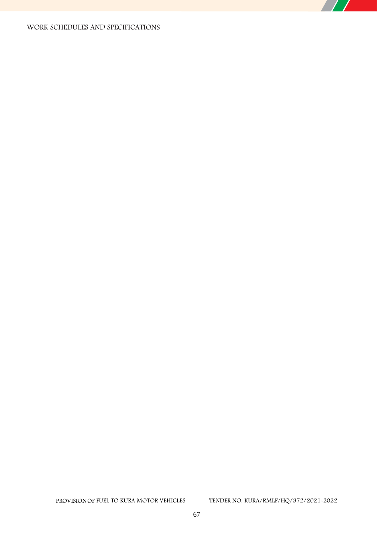## **WORK SCHEDULES AND SPECIFICATIONS**

 $\overline{\phantom{a}}$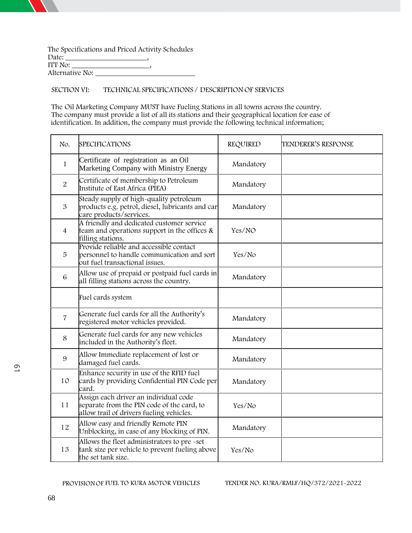**The Specifications and Priced Activity Schedules Date: \_\_\_\_\_\_\_\_\_\_\_\_\_\_\_\_\_\_\_\_\_\_, ITT No: \_\_\_\_\_\_\_\_\_\_\_\_\_\_\_\_\_\_\_\_\_, Alternative No: \_\_\_\_\_\_\_\_\_\_\_\_\_\_\_\_\_\_\_\_\_\_\_\_\_\_\_**

**SECTION VI: TECHNICAL SPECIFICATIONS / DESCRIPTION OF SERVICES**

The Oil Marketing Company **MUST** have **Fueling Stations** in all towns across the country. The company must provide a list of all its stations and their geographical location for ease of identification. In addition, the company must provide the following technical information;

|                     | No.            | <b>SPECIFICATIONS</b>                                                                                                           | REQUIRED  | TENDERER'S RESPONSE |
|---------------------|----------------|---------------------------------------------------------------------------------------------------------------------------------|-----------|---------------------|
| $\overline{\omega}$ | $\mathbf{1}$   | Certificate of registration as an Oil<br>Marketing Company with Ministry Energy                                                 | Mandatory |                     |
|                     | $\overline{2}$ | Certificate of membership to Petroleum<br>Institute of East Africa (PIEA)                                                       | Mandatory |                     |
|                     | 3              | Steady supply of high-quality petroleum<br>products e.g. petrol, diesel, lubricants and car<br>care products/services.          | Mandatory |                     |
|                     | $\overline{4}$ | A friendly and dedicated customer service<br>team and operations support in the offices $\&$<br>filling stations.               | Yes/NO    |                     |
|                     | 5              | Provide reliable and accessible contact<br>personnel to handle communication and sort<br>out fuel transactional issues.         | Yes/No    |                     |
|                     | $\,6\,$        | Allow use of prepaid or postpaid fuel cards in<br>all filling stations across the country.                                      | Mandatory |                     |
|                     |                | Fuel cards system                                                                                                               |           |                     |
|                     | $\overline{7}$ | Generate fuel cards for all the Authority's<br>registered motor vehicles provided.                                              | Mandatory |                     |
|                     | 8              | Generate fuel cards for any new vehicles<br>included in the Authority's fleet.                                                  | Mandatory |                     |
|                     | 9              | Allow Immediate replacement of lost or<br>damaged fuel cards.                                                                   | Mandatory |                     |
|                     | 10             | Enhance security in use of the RFID fuel<br>cards by providing Confidential PIN Code per<br>card.                               | Mandatory |                     |
|                     | 11             | Assign each driver an individual code<br>separate from the PIN code of the card, to<br>allow trail of drivers fueling vehicles. | Yes/No    |                     |
|                     | 12             | Allow easy and friendly Remote PIN<br>Unblocking, in case of any blocking of PIN.                                               | Mandatory |                     |
|                     | 13             | Allows the fleet administrators to pre-set<br>tank size per vehicle to prevent fueling above<br>the set tank size.              | Yes/No    |                     |

**PROVISIONOF FUEL TO KURA MOTOR VEHICLES TENDER NO. KURA/RMLF/HQ/372/2021-2022**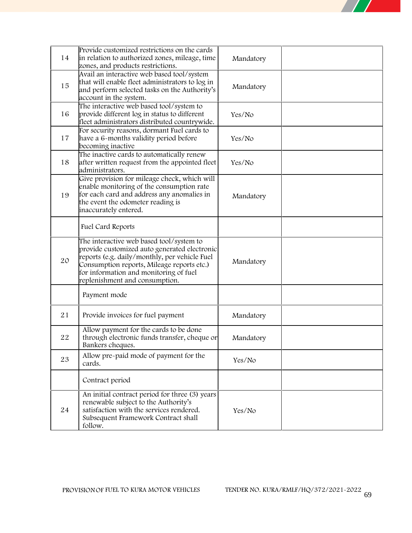

| 14 | Provide customized restrictions on the cards<br>in relation to authorized zones, mileage, time<br>zones, and products restrictions.                                                                                                                                 | Mandatory |  |
|----|---------------------------------------------------------------------------------------------------------------------------------------------------------------------------------------------------------------------------------------------------------------------|-----------|--|
| 15 | Avail an interactive web based tool/system<br>that will enable fleet administrators to log in<br>and perform selected tasks on the Authority's<br>account in the system.                                                                                            | Mandatory |  |
| 16 | The interactive web based tool/system to<br>provide different log in status to different<br>fleet administrators distributed countrywide.                                                                                                                           | Yes/No    |  |
| 17 | For security reasons, dormant Fuel cards to<br>have a 6-months validity period before<br>becoming inactive                                                                                                                                                          | Yes/No    |  |
| 18 | The inactive cards to automatically renew<br>after written request from the appointed fleet<br>administrators.                                                                                                                                                      | Yes/No    |  |
| 19 | Give provision for mileage check, which will<br>enable monitoring of the consumption rate<br>for each card and address any anomalies in<br>the event the odometer reading is<br>inaccurately entered.                                                               | Mandatory |  |
|    | Fuel Card Reports                                                                                                                                                                                                                                                   |           |  |
| 20 | The interactive web based tool/system to<br>provide customized auto generated electronic<br>reports (e.g. daily/monthly, per vehicle Fuel<br>Consumption reports, Mileage reports etc.)<br>for information and monitoring of fuel<br>replenishment and consumption. | Mandatory |  |
|    | Payment mode                                                                                                                                                                                                                                                        |           |  |
| 21 | Provide invoices for fuel payment                                                                                                                                                                                                                                   | Mandatory |  |
| 22 | Allow payment for the cards to be done<br>through electronic funds transfer, cheque or<br>Bankers cheques.                                                                                                                                                          | Mandatory |  |
| 23 | Allow pre-paid mode of payment for the<br>cards.                                                                                                                                                                                                                    | Yes/No    |  |
|    | Contract period                                                                                                                                                                                                                                                     |           |  |
| 24 | An initial contract period for three (3) years<br>renewable subject to the Authority's<br>satisfaction with the services rendered.<br>Subsequent Framework Contract shall<br>follow.                                                                                | Yes/No    |  |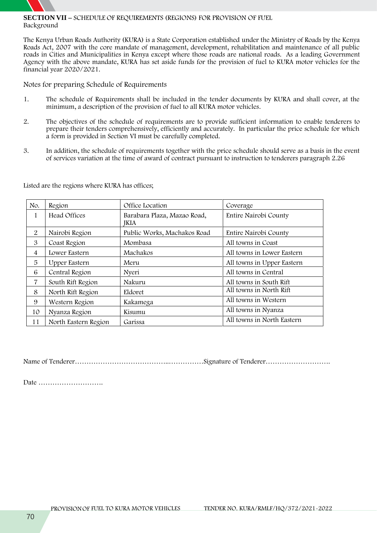

### **SECTION VII – SCHEDULE OF REQUIREMENTS (REGIONS) FOR PROVISION OF FUEL Background**

The Kenya Urban Roads Authority (KURA) is a State Corporation established under the Ministry of Roads by the Kenya Roads Act, 2007 with the core mandate of management, development, rehabilitation and maintenance of all public roads in Cities and Municipalities in Kenya except where those roads are national roads. As a leading Government Agency with the above mandate, KURA has set aside funds for the provision of fuel to KURA motor vehicles for the financial year 2020/2021.

**Notes for preparing Schedule of Requirements**

- 1. The schedule of Requirements shall be included in the tender documents by KURA and shall cover, at the minimum, a description of the provision of fuel to all KURA motor vehicles.
- 2. The objectives of the schedule of requirements are to provide sufficient information to enable tenderers to prepare their tenders comprehensively, efficiently and accurately. In particular the price schedule for which a form is provided in Section VI must be carefully completed.
- 3. In addition, the schedule of requirements together with the price schedule should serve as a basis in the event of services variation at the time of award of contract pursuant to instruction to tenderers paragraph 2.26

**No. Region Office Location Coverage** 1 | Head Offices | Barabara Plaza, Mazao Road, JKIA Entire Nairobi County 2 Nairobi Region Public Works, Machakos Road Entire Nairobi County 3 | Coast Region | Mombasa | All towns in Coast 4 Lower Eastern Machakos All towns in Lower Eastern 5 Upper Eastern Meru All towns in Upper Eastern 6 | Central Region | Nyeri | All towns in Central 7 South Rift Region Nakuru All towns in South Rift 8 North Rift Region Eldoret All towns in North Rift 9 | Western Region | Kakamega | All towns in Western 10 | Nyanza Region | Kisumu | All towns in Nyanza 11 North Eastern Region Garissa All towns in North Eastern

Listed are the regions where KURA has offices;

Name of Tenderer…………………………………..……………Signature of Tenderer……………………….

Date ……………………….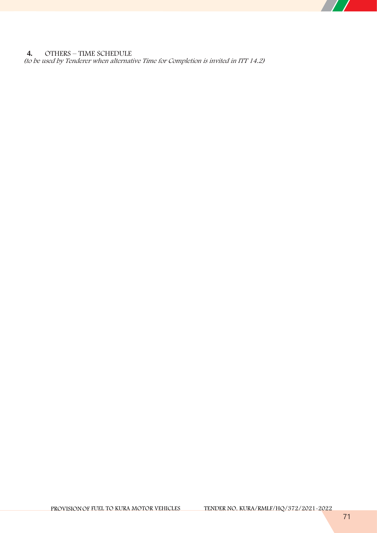**4. OTHERS – TIME SCHEDULE** *(to be used by Tenderer when alternative Time for Completion is invited in ITT 14.2)*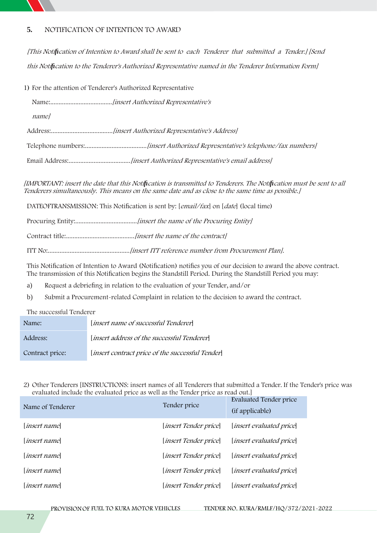

## **5. NOTIFICATION OF INTENTION TO AWARD**

*[This Notification of Intention to Award shall be sent to each Tenderer that submitted a Tender.] [Send this Notification to the Tenderer's Authorized Representative named in the Tenderer Information Form]*

1) For the attention of Tenderer's Authorized Representative

Name:.....................................*[insert Authorized Representative's*

*name]*

Address:.....................................*[insert Authorized Representative's Address]*

Telephone numbers:.....................................*[insert Authorized Representative's telephone/fax numbers]*

Email Address:.....................................*[insert Authorized Representative's email address]*

[IMPORTANT: insert the date that this Notification is transmitted to Tenderers. The Notification must be sent to all *Tenderers simultaneously. This means on the same date and as close to the same time as possible.]*

**DATEOFTRANSMISSION**: This Notification is sent by: [*email/fax*] on [*date*] (local time)

**Procuring Entity:**.....................................*[insert the name of the Procuring Entity]*

**Contract title:**.........................................*[insert the name of the contract]*

**ITT No:**.................................................*[insert ITT reference number from Procurement Plan].*

This Notification of Intention to Award (Notification) notifies you of our decision to award the above contract. The transmission of this Notification begins the Standstill Period. During the Standstill Period you may:

- a) Request a debriefing in relation to the evaluation of your Tender, and/or
- b) Submit a Procurement-related Complaint in relation to the decision to award the contract.

**The successful Tenderer**

| Name:           | [insert name of successful Tenderer]             |
|-----------------|--------------------------------------------------|
| Address:        | [insert address of the successful Tenderer]      |
| Contract price: | [insert contract price of the successful Tender] |

**2) Other Tenderers [INSTRUCTIONS: insert names of all Tenderers that submitted a Tender. If the Tender's price was evaluated include the evaluated price as well as the Tender price as read out.]**

| Name of Tenderer   | Tender price                   | Evaluated Tender price<br>(if applicable) |
|--------------------|--------------------------------|-------------------------------------------|
| <i>insert name</i> | [ <i>insert Tender price</i> ] | [ <i>insert evaluated price</i> ]         |
| <i>insert name</i> | [ <i>insert Tender price</i> ] | <i>linsert evaluated price</i>            |
| <i>insert name</i> | <i>[insert Tender price]</i>   | [ <i>insert evaluated price</i> ]         |
| <i>insert name</i> | [ <i>insert Tender price</i> ] | [ <i>insert evaluated price</i> ]         |
| <i>insert name</i> | <i>[insert Tender price]</i>   | [ <i>insert evaluated price</i> ]         |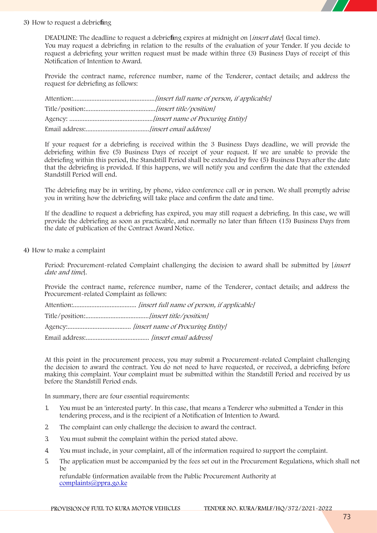

#### **3) How to request a debriefing**

**DEADLINE: The deadline to request a debriefing expires at midnight on [***insert date***] (local time).** You may request a debriefing in relation to the results of the evaluation of your Tender. If you decide to request a debriefing your written request must be made within three (3) Business Days of receipt of this Notification of Intention to Award.

Provide the contract name, reference number, name of the Tenderer, contact details; and address the request for debriefing as follows:

If your request for a debriefing is received within the 3 Business Days deadline, we will provide the debriefing within five (5) Business Days of receipt of your request. If we are unable to provide the debriefing within this period, the Standstill Period shall be extended by five (5) Business Days after the date that the debriefing is provided. If this happens, we will notify you and confirm the date that the extended Standstill Period will end.

The debriefing may be in writing, by phone, video conference call or in person. We shall promptly advise you in writing how the debriefing will take place and confirm the date and time.

If the deadline to request a debriefing has expired, you may still request a debriefing. In this case, we will provide the debriefing as soon as practicable, and normally no later than fifteen (15) Business Days from the date of publication of the Contract Award Notice.

**4) How to make a complaint**

**Period: Procurement-related Complaint challenging the decision to award shall be submitted by [***insert date and time***].**

Provide the contract name, reference number, name of the Tenderer, contact details; and address the Procurement-related Complaint as follows:

**Attention**:...................................... *[insert full name of person, if applicable]*

**Title/position**:......................................*[insert title/position]*

**Agency**:...................................... *[insert name of Procuring Entity]*

**Email address**:...................................... *[insert email address]*

At this point in the procurement process, you may submit a Procurement-related Complaint challenging the decision to award the contract. You do not need to have requested, or received, a debriefing before making this complaint. Your complaint must be submitted within the Standstill Period and received by us before the Standstill Period ends.

In summary, there are four essential requirements:

- 1. You must be an 'interested party'. In this case, that means a Tenderer who submitted a Tender in this tendering process, and is the recipient of a Notification of Intention to Award.
- 2. The complaint can only challenge the decision to award the contract.
- 3. You must submit the complaint within the period stated above.
- 4. You must include, in your complaint, all of the information required to support the complaint.
- 5. The application must be accompanied by the fees set out in the Procurement Regulations, which shall not  $h$ <sup> $\theta$ </sup>

refundable (information available from the Public Procurement Authority at complaints@ppra.go.ke

**PROVISIONOF FUEL TO KURA MOTOR VEHICLES TENDER NO. KURA/RMLF/HQ/372/2021-2022**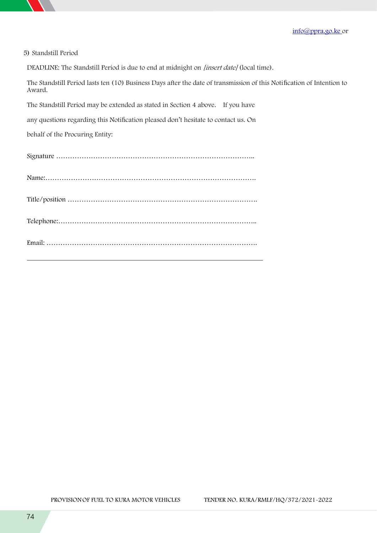

|  |  | 5) Standstill Period |  |
|--|--|----------------------|--|
|--|--|----------------------|--|

**DEADLINE: The Standstill Period is due to end at midnight on** *[insert date]* **(local time).**

The Standstill Period lasts ten (10) Business Days after the date of transmission of this Notification of Intention to Award.

The Standstill Period may be extended as stated in Section 4 above. If you have

any questions regarding this Notification pleased don't hesitate to contact us. On

behalf of the Procuring Entity: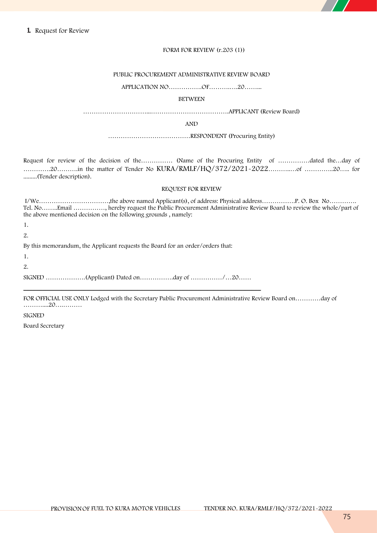#### **FORM FOR REVIEW (r.203 (1))**

#### **PUBLIC PROCUREMENT ADMINISTRATIVE REVIEW BOARD**

#### **APPLICATION NO…………….OF……….….20……...**

#### **BETWEEN**

**…………………………...……………………………….APPLICANT (Review Board)**

**AND**

**…………………………………RESPONDENT (Procuring Entity)**

Request for review of the decision of the…………… (Name of the Procuring Entity of ……………dated the…day of ………….20……….in the matter of Tender No **KURA/RMLF/HQ/372/2021-2022**………..…of …………..20….. for .........(Tender description).

#### **REQUEST FOR REVIEW**

I/We……………………………,the above named Applicant(s), of address: Physical address…………….P. O. Box No…………. Tel. No……..Email ……………, hereby request the Public Procurement Administrative Review Board to review the whole/part of the above mentioned decision on the following grounds , namely:

1.

2.

By this memorandum, the Applicant requests the Board for an order/orders that:

1.

2.

SIGNED ……………….(Applicant) Dated on…………….day of ……………/…20……

**\_\_\_\_\_\_\_\_\_\_\_\_\_\_\_\_\_\_\_\_\_\_\_\_\_\_\_\_\_\_\_\_\_\_\_\_\_\_\_\_\_\_\_\_\_\_\_\_\_\_\_\_\_\_\_\_\_\_\_\_\_\_\_\_\_\_\_\_\_\_\_\_\_\_\_**

FOR OFFICIAL USE ONLY Lodged with the Secretary Public Procurement Administrative Review Board on…………day of ………....20….………

**SIGNED**

**Board Secretary**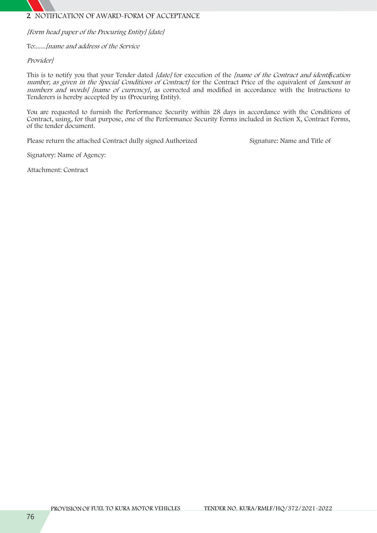# **2. NOTIFICATION OF AWARD-FORM OF ACCEPTANCE**

*[Form head paper of the Procuring Entity] [date]*

To:......*[name and address of the Service*

*Provider]*

This is to notify you thatyour Tender dated *[date]* for execution of the *[name of the Contract and identification number, as given in the Special Conditions of Contract]* for the Contract Price of the equivalent of *[amount in numbers and words] [name of currency]*, as corrected and modified in accordance with the Instructions to Tenderers is hereby accepted by us (Procuring Entity).

You are requested to furnish the Performance Security within 28 days in accordance with the Conditions of Contract, using, for that purpose, one of the Performance Security Forms included in Section X, Contract Forms, of the tender document.

Please return the attached Contract dully signed Authorized Signature: Name and Title of

Signatory: Name of Agency:

Attachment: Contract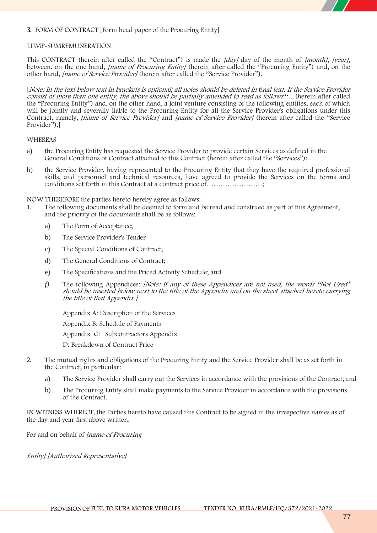

# **3. FORM OF CONTRACT [Form head paper of the Procuring Entity]**

#### **LUMP-SUMREMUNERATION**

This CONTRACT (herein after called the "Contract") is made the [day] day of the month of [month], [year], between, on the one hand, [name of Procuring Entity] (herein after called the "Procuring Entity") and, on the other hand, *[name of Service Provider]* (herein after called the "Service Provider").

[*Note: In the text below text in brackets is optional; all notes should be deleted in final text*. *If the Service Provider consist of more than one entity, the above should be partially amended to read as follows:*"…(herein after called the "Procuring Entity") and, on the other hand, a joint venture consisting of the following entities, each of which will be jointly and severally liable to the Procuring Entity for all the Service Provider's obligations under this Contract, namely, *[name of Service Provider]* and *[name of Service Provider]* (herein after called the "Service Provider<sup>"</sup>).

#### WHEREAS

- a) the Procuring Entity has requested the Service Provider to provide certain Services as defined in the General Conditions of Contract attached to this Contract (herein after called the "Services");
- b) the Service Provider, having represented to the Procuring Entity that they have the required professional skills, and personnel and technical resources, have agreed to provide the Services on the terms and conditions set forth in this Contract at a contract price of……………………;

NOW THEREFORE the parties hereto hereby agree as follows:

- 1. The following documents shall be deemed to form and be read and construed as part of this Agreement, and the priority of the documents shall be as follows:
	- a) The Form of Acceptance;
	- b) The Service Provider's Tender
	- c) The Special Conditions of Contract;
	- d) The General Conditions of Contract;
	- e) The Specifications and the Priced Activity Schedule; and
	- *f)* The following Appendices: *[Note: If any of these Appendices are not used, the words "Not Used" should be inserted below next to the title of the Appendix and on the sheet attached hereto carrying the title of that Appendix.]*

Appendix A: Description of the Services

Appendix B: Schedule of Payments

Appendix C: Subcontractors Appendix

D: Breakdown of Contract Price

- 2. The mutual rights and obligations of the Procuring Entity and the Service Provider shall be as set forth in the Contract, in particular:
	- a) The Service Provider shall carry out the Services in accordance with the provisions of the Contract; and
	- b) The Procuring Entity shall make payments to the Service Provider in accordance with the provisions of the Contract.

IN WITNESS WHEREOF, the Parties hereto have caused this Contract to be signed in the irrespective names as of the day and year first above written.

For and on behalf of *[name of Procuring*

*Entity] [Authorized Representative]*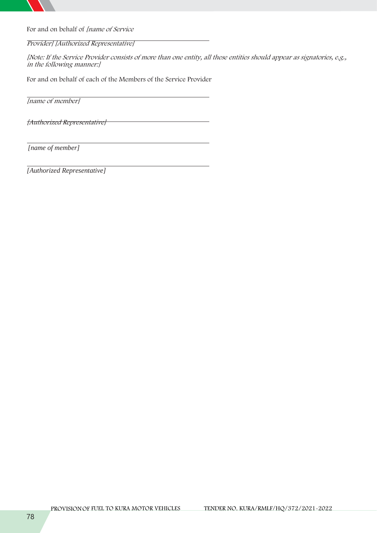

For and on behalf of *[name of Service*

## *Provider] [Authorized Representative]*

[Note: If the Service Provider consists of more than one entity, all these entities should appear as signatories, e.g., *in the following manner:]*

For and on behalf of each of the Members of the Service Provider

*[name of member]*

*[Authorized Representative]*

*[name of member]*

*[Authorized Representative]*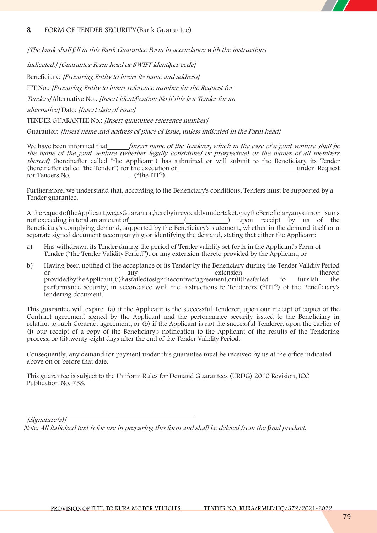# **8. FORM OF TENDER SECURITY**(Bank Guarantee)

*[The bank shall fill in this Bank Guarantee Form in accordance with the instructions*

*indicated.] [Guarantor Form head or SWIFT identifier code]*

**Beneficiary:** *[Procuring Entity to insert its name and address]*

**ITT No.:** *[Procuring Entity to insert reference number for the Request for*

*Tenders]* **Alternative No***.: [Insert identification No if this is a Tender for an*

*alternative]* **Date:** *[Insert date of issue]*

**TENDER GUARANTEE No.:** *[Insert guarantee reference number]*

**Guarantor:** *[Insert name and address of place of issue, unless indicated in the Form head]*

We have been informed that *[insert name of the Tenderer, which in the case of <sup>a</sup> joint venture shall be the name of the joint venture (whether legally constituted or prospective) or the names of all members thereof]* (hereinafter called "the Applicant") has submitted or will submit to the Beneficiary its Tender (hereinafter called "the Tender") for the execution of under Request for Tenders No.  $($ "the ITT").

Furthermore, we understand that, according to the Beneficiary's conditions, Tenders must be supported by a Tender guarantee.

AttherequestoftheApplicant,we,asGuarantor,herebyirrevocablyundertaketopaytheBeneficiaryanysumor sums not exceeding in total an amount of () upon receipt by us of the  $\Box$  upon receipt by us of the Beneficiary's complying demand, supported by the Beneficiary's statement, whether in the demand itself or a separate signed document accompanying or identifying the demand, stating that either the Applicant:

- a) Has withdrawn its Tender during the period of Tender validity set forth in the Applicant's Form of Tender ("the Tender Validity Period"), or any extension thereto provided by the Applicant; or
- b) Having been notified of the acceptance of its Tender by the Beneficiary during the Tender Validity Period or<br>extension extension thereto or any extension thereto providedbytheApplicant,(i)hasfailedtosignthecontractagreement,or(ii)hasfailed to furnish the performance security, in accordance with the Instructions to Tenderers ("ITT") of the Beneficiary's tendering document.

This guarantee will expire: (a) if the Applicant is the successful Tenderer, upon our receipt of copies of the Contract agreement signed by the Applicant and the performance security issued to the Beneficiary in relation to such Contract agreement; or (b) if the Applicant is not the successful Tenderer, upon the earlier of (i) our receipt of a copy of the Beneficiary's notification to the Applicant of the results of the Tendering process; or (ii)twenty-eight days after the end of the Tender Validity Period.

Consequently, any demand for payment under this guarantee must be received by us at the office indicated above on or before that date.

This guarantee is subject to the Uniform Rules for Demand Guarantees (URDG) 2010 Revision, ICC Publication No. 758.

*[Signature(s)] Note: All italicized text is for use in preparing this form and shall be deleted from the final product.*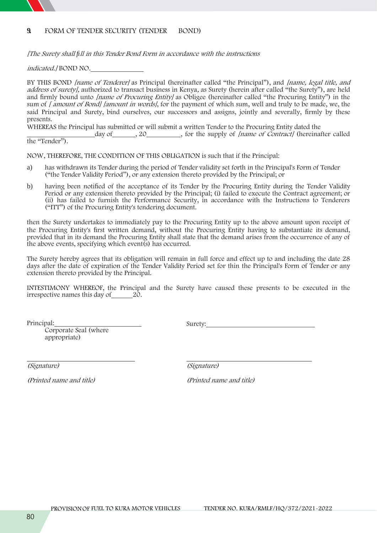# **9. FORM OF TENDER SECURITY (TENDER BOND)**

*[The Surety shall fill in this Tender Bond Form in accordance with the instructions*

*indicated.]* BOND NO.

BY THIS BOND *[name of Tenderer]* as Principal (hereinafter called "the Principal"), and *[name, legal title, and address of surety],* **authorized to transact business in Kenya***,* as Surety (herein after called "the Surety"), are held and firmly bound unto *[name of Procuring Entity]* as Obligee (hereinafter called "the Procuring Entity") in the sum of *[ amount of Bond] [amount in words]*, for the payment of which sum,well and truly to be made, we, the said Principal and Surety, bind ourselves, our successors and assigns, jointly and severally, firmly by these presents.

WHEREAS the Principal has submitted or will submit a written Tender to the Procuring Entity dated the

day of , 20 , for the supply of *[name of Contract]* (hereinafter called the "Tender").

NOW, THEREFORE, THE CONDITION OF THIS OBLIGATION is such that if the Principal:

- a) has withdrawn its Tender during the period of Tender validity set forth in the Principal's Form of Tender ("the Tender Validity Period"), or any extension thereto provided by the Principal; or
- b) having been notified of the acceptance of its Tender by the Procuring Entity during the Tender Validity Period or any extension thereto provided by the Principal; (i) failed to execute the Contract agreement; or (ii) has failed to furnish the Performance Security, in accordance with the Instructions to Tenderers ("ITT") of the Procuring Entity's tendering document.

then the Surety undertakes to immediately pay to the Procuring Entity up to the above amount upon receipt of the Procuring Entity's first written demand, without the Procuring Entity having to substantiate its demand, provided that in its demand the Procuring Entity shall state that the demand arises from the occurrence of any of the above events, specifying which event(s) has occurred.

The Surety hereby agrees that its obligation will remain in full force and effect up to and including the date 28 days after the date of expiration of the Tender Validity Period set for thin the Principal's Form of Tender or any extension thereto provided by the Principal.

INTESTIMONY WHEREOF, the Principal and the Surety have caused these presents to be executed in the irrespective names this day of 20.

Principal:

Corporate Seal (where appropriate)

Surety:

*(Printed name and title) (Printed name and title)*

*(Signature) (Signature)*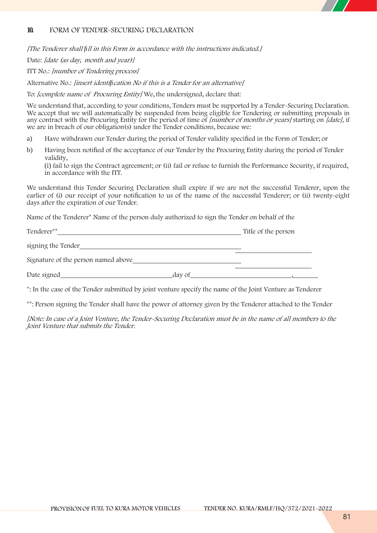

# **10. FORM OF TENDER-SECURING DECLARATION**

*[The Tenderer shall fill in this Form in accordance with the instructions indicated.]*

Date: *[date (as day, month and year)]*

ITT No.: *[number of Tendering process]*

Alternative No.: *[insert identification No if this is <sup>a</sup> Tender for an alternative]*

To: *[complete name of Procuring Entity]* We, the undersigned, declare that:

We understand that, according to your conditions, Tenders must be supported by a Tender-Securing Declaration. We accept that we will automatically be suspended from being eligible for Tendering or submitting proposals in any contract with the Procuring Entity for the period of time of *[number of months or years]* starting on *[date],* if we are in breach of our obligation(s) under the Tender conditions, because we:

- a) Have withdrawn our Tender during the period of Tender validity specified in the Form of Tender; or
- b) Having been notified of the acceptance of our Tender by the Procuring Entity during the period of Tender validity,

(i) fail to sign the Contract agreement; or (ii) fail or refuse to furnish the Performance Security, if required, in accordance with the ITT.

We understand this Tender Securing Declaration shall expire if we are not the successful Tenderer, upon the earlier of (i) our receipt of your notification to us of the name of the successful Tenderer; or (ii) twenty-eight days after the expiration of our Tender.

Name of the Tenderer**\*** Name of the person duly authorized to sign the Tender on behalf of the

| Tenderer**                          | Title of the person |
|-------------------------------------|---------------------|
| signing the Tender                  |                     |
| Signature of the person named above |                     |

Date signed day of  $\alpha$ 

**\***: In the case of the Tender submitted by joint venture specify the name of the Joint Venture as Tenderer

\*\*: Person signing the Tender shall have the power of attorney given by the Tenderer attached to the Tender

*[Note: In case of a Joint Venture, the Tender-Securing Declaration must be in the name of all members to the Joint Venture that submits the Tender.*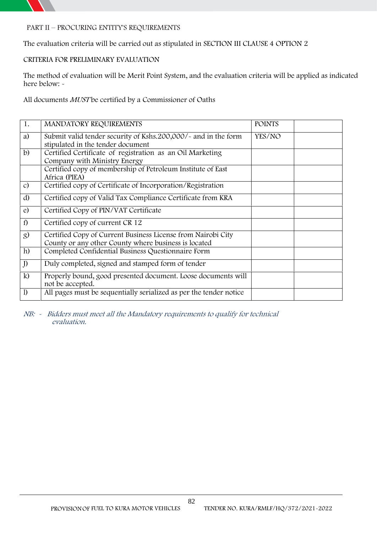

# **PART II – PROCURING ENTITY'S REQUIREMENTS**

**The evaluation criteria will be carried out as stipulated in SECTION III CLAUSE 4 OPTION 2**

# **CRITERIA FOR PRELIMINARY EVALUATION**

The method of evaluation will be Merit Point System, and the evaluation criteria will be applied as indicated here below:  $\sim$ 

**All documents** *MUST* **be certified by a Commissioner of Oaths**

| 1.            | MANDATORY REQUIREMENTS                                                                                               | <b>POINTS</b> |
|---------------|----------------------------------------------------------------------------------------------------------------------|---------------|
| a)            | Submit valid tender security of Kshs.200,000/- and in the form<br>stipulated in the tender document                  | YES/NO        |
| $\mathbf{b}$  | Certified Certificate of registration as an Oil Marketing<br>Company with Ministry Energy                            |               |
|               | Certified copy of membership of Petroleum Institute of East<br>Africa (PIEA)                                         |               |
| $\mathcal{C}$ | Certified copy of Certificate of Incorporation/Registration                                                          |               |
| d)            | Certified copy of Valid Tax Compliance Certificate from KRA                                                          |               |
| e)            | Certified Copy of PIN/VAT Certificate                                                                                |               |
| f)            | Certified copy of current CR 12                                                                                      |               |
| <sub>8</sub>  | Certified Copy of Current Business License from Nairobi City<br>County or any other County where business is located |               |
| h)            | Completed Confidential Business Questionnaire Form                                                                   |               |
| J             | Duly completed, signed and stamped form of tender                                                                    |               |
| $\mathbf{k}$  | Properly bound, good presented document. Loose documents will<br>not be accepted.                                    |               |
| $\mathbf{I}$  | All pages must be sequentially serialized as per the tender notice                                                   |               |

*NB: - Bidders must meet all the Mandatory requirements to qualify for technical evaluation.*

82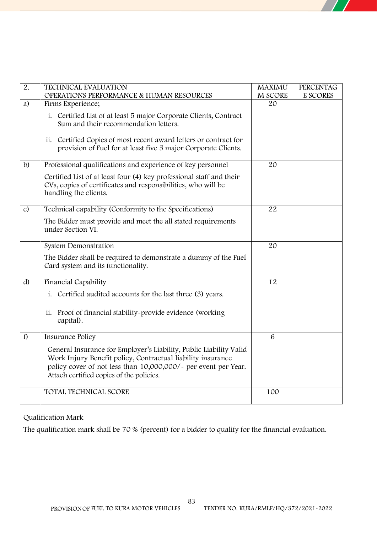| $\overline{2}$ . | <b>TECHNICAL EVALUATION</b><br>OPERATIONS PERFORMANCE & HUMAN RESOURCES                                                                                                                                                                         | <b>MAXIMU</b><br>M SCORE | <b>PERCENTAG</b><br>E SCORES |
|------------------|-------------------------------------------------------------------------------------------------------------------------------------------------------------------------------------------------------------------------------------------------|--------------------------|------------------------------|
| a)               | Firms Experience;                                                                                                                                                                                                                               | 20                       |                              |
|                  | i. Certified List of at least 5 major Corporate Clients, Contract<br>Sum and their recommendation letters.                                                                                                                                      |                          |                              |
|                  | Certified Copies of most recent award letters or contract for<br>ii.<br>provision of Fuel for at least five 5 major Corporate Clients.                                                                                                          |                          |                              |
| $\mathbf{b}$     | Professional qualifications and experience of key personnel                                                                                                                                                                                     | 20                       |                              |
|                  | Certified List of at least four (4) key professional staff and their<br>CVs, copies of certificates and responsibilities, who will be<br>handling the clients.                                                                                  |                          |                              |
| $\mathcal{C}$    | Technical capability (Conformity to the Specifications)                                                                                                                                                                                         | 22                       |                              |
|                  | The Bidder must provide and meet the all stated requirements<br>under Section VI.                                                                                                                                                               |                          |                              |
|                  | System Demonstration                                                                                                                                                                                                                            | 20                       |                              |
|                  | The Bidder shall be required to demonstrate a dummy of the Fuel<br>Card system and its functionality.                                                                                                                                           |                          |                              |
| d)               | Financial Capability                                                                                                                                                                                                                            | 12                       |                              |
|                  | i. Certified audited accounts for the last three (3) years.                                                                                                                                                                                     |                          |                              |
|                  | Proof of financial stability-provide evidence (working<br>ii.<br>capital).                                                                                                                                                                      |                          |                              |
| f)               | Insurance Policy                                                                                                                                                                                                                                | $6\phantom{1}6$          |                              |
|                  | General Insurance for Employer's Liability, Public Liability Valid<br>Work Injury Benefit policy, Contractual liability insurance<br>policy cover of not less than 10,000,000/- per event per Year.<br>Attach certified copies of the policies. |                          |                              |
|                  | TOTAL TECHNICAL SCORE                                                                                                                                                                                                                           | 100                      |                              |

**Qualification Mark**

The qualification mark shall be **70 %** (**percent)** for a bidder to qualify for the financial evaluation.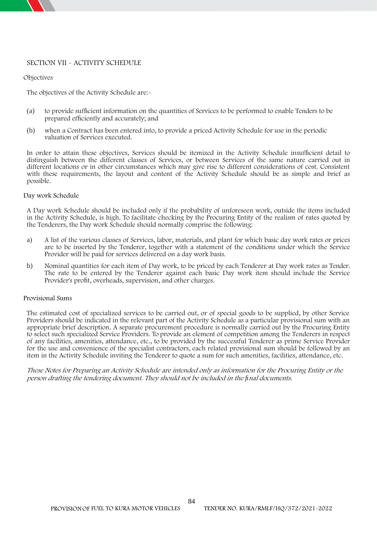## **SECTION VII - ACTIVITY SCHEDULE**

**Objectives**

The objectives of the Activity Schedule are:-

- (a) to provide sufficient information on the quantities of Services to be performed to enable Tenders to be prepared efficiently and accurately; and
- (b) when a Contract has been entered into, to provide a priced Activity Schedule for use in the periodic valuation of Services executed.

In order to attain these objectives, Services should be itemized in the Activity Schedule insufficient detail to distinguish between the different classes of Services, or between Services of the same nature carried out in different locations or in other circumstances which may give rise to different considerations of cost. Consistent with these requirements, the layout and content of the Activity Schedule should be as simple and brief as possible.

#### **Day work Schedule**

A Day work Schedule should be included only if the probability of unforeseen work, outside the items included in the Activity Schedule, is high. To facilitate checking by the Procuring Entity of the realism of rates quoted by the Tenderers, the Day work Schedule should normally comprise the following:

- a) A list of the various classes of Services, labor, materials, and plant for which basic day work rates or prices are to be inserted by the Tenderer, together with a statement of the conditions under which the Service Provider will be paid for services delivered on a day work basis.
- b) Nominal quantities for each item of Day work, to be priced by each Tenderer at Day work rates as Tender. The rate to be entered by the Tenderer against each basic Day work item should include the Service Provider's profit, overheads, supervision, and other charges.

#### **Provisional Sums**

The estimated cost of specialized services to be carried out, or of special goods to be supplied, by other Service Providers should be indicated in the relevant part of the Activity Schedule as a particular provisional sum with an appropriate brief description. A separate procurement procedure is normally carried out by the Procuring Entity to select such specialized Service Providers. To provide an element of competition among the Tenderers in respect of any facilities, amenities, attendance, etc., to be provided by the successful Tenderer as prime Service Provider for the use and convenience of the specialist contractors, each related provisional sum should be followed by an item in the Activity Schedule inviting the Tenderer to quote a sum for such amenities, facilities, attendance, etc.

*These Notes for Preparing an Activity Schedule are intended only as information for the Procuring Entity or the person drafting the tendering document. They should not be included in the final documents.*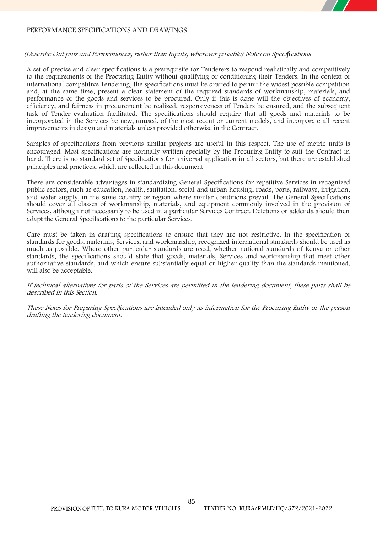# **PERFORMANCE SPECIFICATIONS AND DRAWINGS**

#### *(Describe Out puts and Performances, rather than Inputs, wherever possible) Notes on Specifications*

A set of precise and clear specifications is a prerequisite for Tenderers to respond realistically and competitively to the requirements of the Procuring Entity without qualifying or conditioning their Tenders. In the context of international competitive Tendering, the specifications must be drafted to permit the widest possible competition and, at the same time, present a clear statement of the required standards of workmanship, materials, and performance of the goods and services to be procured. Only if this is done will the objectives of economy, efficiency, and fairness in procurement be realized, responsiveness of Tenders be ensured, and the subsequent task of Tender evaluation facilitated. The specifications should require that all goods and materials to be incorporated in the Services be new, unused, of the most recent or current models, and incorporate all recent improvements in design and materials unless provided otherwise in the Contract.

Samples of specifications from previous similar projects are useful in this respect. The use of metric units is encouraged. Most specifications are normally written specially by the Procuring Entity to suit the Contract in hand. There is no standard set of Specifications for universal application in all sectors, but there are established principles and practices, which are reflected in this document

There are considerable advantages in standardizing General Specifications for repetitive Services in recognized public sectors, such as education, health, sanitation, social and urban housing, roads, ports, railways, irrigation, and water supply, in the same country or region where similar conditions prevail. The General Specifications should cover all classes of workmanship, materials, and equipment commonly involved in the provision of Services, although not necessarily to be used in a particular Services Contract. Deletions or addenda should then adapt the General Specifications to the particular Services.

Care must be taken in drafting specifications to ensure that they are not restrictive. In the specification of standards for goods, materials, Services, and workmanship, recognized international standards should be used as much as possible. Where other particular standards are used, whether national standards of Kenya or other standards, the specifications should state that goods, materials, Services and workmanship that meet other authoritative standards, and which ensure substantially equal or higher quality than the standards mentioned, will also be acceptable.

If technical alternatives for parts of the Services are permitted in the tendering document, these parts shall be *described in this Section.*

*These Notes for Preparing Specifications are intended only as information for the Procuring Entity or the person drafting the tendering document.*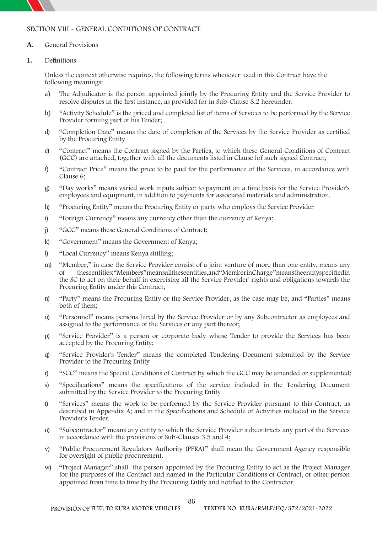# **SECTION VIII - GENERAL CONDITIONS OF CONTRACT**

#### **A. General Provisions**

### **1. Definitions**

Unless the context otherwise requires, the following terms whenever used in this Contract have the following meanings:

- a) The Adjudicator is the person appointed jointly by the Procuring Entity and the Service Provider to resolve disputes in the first instance, as provided for in Sub-Clause 8.2 hereunder.
- b) "Activity Schedule" is the priced and completed list of items of Services to be performed by the Service Provider forming part of his Tender;
- d) "Completion Date" means the date of completion of the Services by the Service Provider as certified by the Procuring Entity
- e) "Contract" means the Contract signed by the Parties, to which these General Conditions of Contract (GCC) are attached, together with all the documents listed in Clause1of such signed Contract;
- f) "Contract Price" means the price to be paid for the performance of the Services, in accordance with Clause 6;
- g) "Day works" means varied work inputs subject to payment on a time basis for the Service Provider's employees and equipment, in addition to payments for associated materials and administration.
- h) "Procuring Entity" means the Procuring Entity or party who employs the Service Provider
- i) "Foreign Currency" means any currency other than the currency of Kenya;
- j) "GCC" means these General Conditions of Contract;
- k) "Government" means the Government of Kenya;
- l) "Local Currency" means Kenya shilling;
- m) "Member," in case the Service Provider consist of a joint venture of more than one entity, means any of theseentities;"Members"meansalltheseentities,and"MemberinCharge"meanstheentityspecifiedin the SC to act on their behalf in exercising all the Service Provider' rights and obligations towards the Procuring Entity under this Contract;
- n) "Party" means the Procuring Entity or the Service Provider, as the case may be, and "Parties" means both of them;
- o) "Personnel" means persons hired by the Service Provider or by any Subcontractor as employees and assigned to the performance of the Services or any part thereof;
- p) "Service Provider" is a person or corporate body whose Tender to provide the Services has been accepted by the Procuring Entity;
- q) "Service Provider's Tender" means the completed Tendering Document submitted by the Service Provider to the Procuring Entity
- r) "SCC" means the Special Conditions of Contract by which the GCC may be amended or supplemented;
- s) "Specifications" means the specifications of the service included in the Tendering Document submitted by the Service Provider to the Procuring Entity
- t) "Services" means the work to be performed by the Service Provider pursuant to this Contract, as described in Appendix A; and in the Specifications and Schedule of Activities included in the Service Provider's Tender.
- u) "Subcontractor" means any entity to which the Service Provider subcontracts any part of the Services in accordance with the provisions of Sub-Clauses 3.5 and 4;
- v) "Public Procurement Regulatory Authority (PPRA)" shall mean the Government Agency responsible for oversight of public procurement.
- w) "Project Manager" shall the person appointed by the Procuring Entity to act as the Project Manager for the purposes of the Contract and named in the Particular Conditions of Contract, or other person appointed from time to time by the Procuring Entity and notified to the Contractor.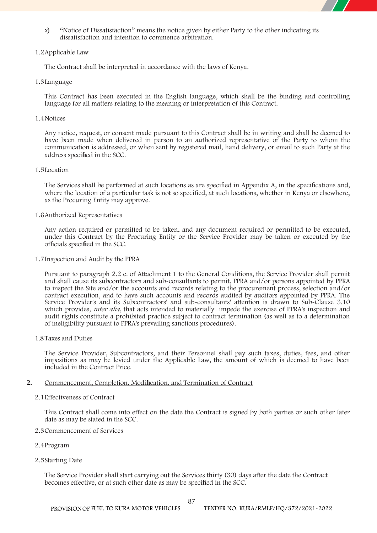

x) "Notice of Dissatisfaction" means the notice given by either Party to the other indicating its dissatisfaction and intention to commence arbitration.

#### **1.2Applicable Law**

The Contract shall be interpreted in accordance with the laws of Kenya**.**

#### **1.3Language**

This Contract has been executed in the English language**,** which shall be the binding and controlling language for all matters relating to the meaning or interpretation of this Contract.

#### **1.4Notices**

Any notice, request, or consent made pursuant to this Contract shall be in writing and shall be deemed to have been made when delivered in person to an authorized representative of the Party to whom the communication is addressed, or when sentby registered mail, hand delivery, or email to such Party at the address **specified in the SCC.**

#### **1.5Location**

The Services shall be performed at such locations as are specified in Appendix A, in the specifications and, where the location of a particular task is not so specified, at such locations, whether in Kenya or elsewhere, as the Procuring Entity may approve.

#### **1.6Authorized Representatives**

Any action required or permitted to be taken, and any document required or permitted to be executed, under this Contract by the Procuring Entity or the Service Provider may be taken or executed by the officials **specified in the SCC.**

#### **1.7Inspection and Audit by the PPRA**

Pursuant to paragraph 2.2 e. of Attachment 1 to the General Conditions, the Service Provider shall permit and shall cause its subcontractors and sub-consultants to permit, PPRA and/or persons appointed by PPRA to inspect the Site and/or the accounts and records relating to the procurement process, selection and/or contract execution, and to have such accounts and records audited by auditors appointed by PPRA. The Service Provider's and its Subcontractors' and sub-consultants' attention is drawn to Sub-Clause 3.10 which provides, *inter alia*, that acts intended to materially impede the exercise of PPRA's inspection and audit rights constitute a prohibited practice subject to contract termination (as well as to a determination of ineligibility pursuant to PPRA's prevailing sanctions procedures).

#### **1.8Taxes and Duties**

The Service Provider, Subcontractors, and their Personnel shall pay such taxes, duties, fees, and other impositions as may be levied under the Applicable Law, the amount of which is deemed to have been included in the Contract Price.

### **2. Commencement, Completion, Modification, and Termination of Contract**

#### **2.1Effectiveness of Contract**

This Contract shall come into effect on the date the Contract is signed by both parties or such other later date as may be **stated in the SCC.**

#### **2.3Commencement of Services**

### **2.4Program**

### **2.5Starting Date**

The Service Provider shall start carrying out the Services thirty (30) days after the date the Contract becomes effective, or at such other date as may be **specified in the SCC.**

87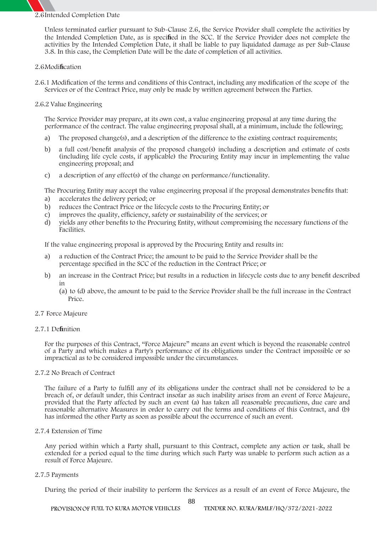# **2.6Intended Completion Date**

Unless terminated earlier pursuant to Sub-Clause 2.6, the Service Provider shall complete the activities by the Intended Completion Date, as is **specified in the SCC.** If the Service Provider does not complete the activities by the Intended Completion Date, it shall be liable to pay liquidated damage as per Sub-Clause 3.8. In this case, the Completion Date will be the date of completion of all activities.

#### **2.6Modification**

2.6.1 Modification of the terms and conditions of this Contract, including any modification of the scope of the Services or of the Contract Price, may only be made by written agreement between the Parties.

#### **2.6.2 Value Engineering**

The Service Provider may prepare, at its own cost, a value engineering proposal at any time during the performance of the contract. The value engineering proposal shall, at a minimum, include the following;

- a) The proposed change(s), and a description of the difference to the existing contract requirements;
- b) a full cost/benefit analysis of the proposed change(s) including a description and estimate of costs (including life cycle costs, if applicable) the Procuring Entity may incur in implementing the value engineering proposal; and
- c) a description of any effect(s) of the change on performance/functionality.

The Procuring Entity may accept the value engineering proposal if the proposal demonstrates benefits that:

- a) accelerates the delivery period; or
- b) reduces the Contract Price or the lifecycle costs to the Procuring Entity; or
- c) improves the quality, efficiency, safety or sustainability of the services; or
- d) yields any other benefits to the Procuring Entity, without compromising the necessary functions of the Facilities.

If the value engineering proposal is approved by the Procuring Entity and results in:

- a) a reduction of the Contract Price; the amount to be paid to the Service Provider shall be the percentage specified in the SCC of the reduction in the Contract Price; or
- b) an increase in the Contract Price; but results in a reduction in lifecycle costs due to any benefit described in
	- (a) to (d) above, the amount to be paid to the Service Provider shall be the full increase in the Contract Price.
- **2.7 Force Majeure**

### **2.7.1 Definition**

For the purposes of this Contract, "Force Majeure" means an event which is beyond the reasonable control of a Party and which makes a Party's performance of its obligations under the Contract impossible or so impractical as to be considered impossible under the circumstances.

### **2.7.2 No Breach of Contract**

The failure of a Party to fulfill any of its obligations under the contract shall not be considered to be a breach of, or default under, this Contract insofar as such inability arises from an event of Force Majeure, provided that the Party affected by such an event (a) has taken all reasonable precautions, due care and reasonable alternative Measures in order to carry out the terms and conditions of this Contract, and (b) has informed the other Party as soon as possible about the occurrence of such an event.

#### **2.7.4 Extension of Time**

Any period within which a Party shall, pursuant to this Contract, complete any action or task, shall be extended for a period equal to the time during which such Party was unable to perform such action as a result of Force Majeure.

#### **2.7.5 Payments**

During the period of their inability to perform the Services as a result of an event of Force Majeure, the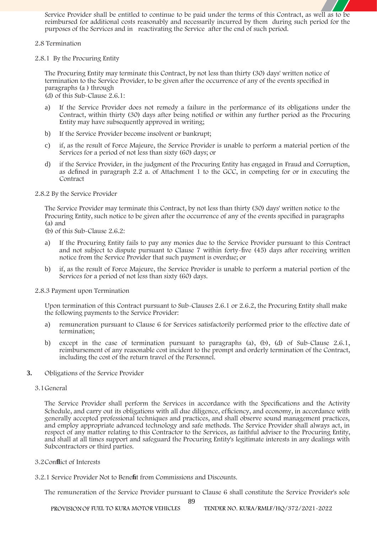Service Provider shall be entitled to continue to be paid under the terms of this Contract, as well as to be reimbursed for additional costs reasonably and necessarily incurred by them during such period for the purposes of the Services and in reactivating the Service after the end of such period.

#### **2.8 Termination**

**2.8.1 By the Procuring Entity**

The Procuring Entity may terminate this Contract, by not less than thirty (30) days' written notice of termination to the Service Provider, to be given after the occurrence of any of the events specified in paragraphs (a ) through

(d) of this Sub-Clause 2.6.1:

- a) If the Service Provider does not remedy a failure in the performance of its obligations under the Contract, within thirty (30) days after being notified or within any further period as the Procuring Entity may have subsequently approved in writing;
- b) If the Service Provider become insolvent or bankrupt;
- c) if, as the result of Force Majeure, the Service Provider is unable to perform a material portion of the Services for a period of not less than sixty (60) days; or
- d) if the Service Provider, in the judgment of the Procuring Entity has engaged in Fraud and Corruption, as defined in paragraph 2.2 a. of Attachment 1 to the GCC, in competing for or in executing the Contract

#### **2.8.2 By the Service Provider**

The Service Provider may terminate this Contract, by not less than thirty (30) days' written notice to the Procuring Entity, such notice to be given after the occurrence of any of the events specified in paragraphs (a) and

- (b) of this Sub-Clause 2.6.2:
- a) If the Procuring Entity fails to pay any monies due to the Service Provider pursuant to this Contract and not subject to dispute pursuant to Clause 7 within forty-five (45) days after receiving written notice from the Service Provider that such payment is overdue; or
- b) if, as the result of Force Majeure, the Service Provider is unable to perform a material portion of the Services for a period of not less than sixty (60) days.

### **2.8.3 Payment upon Termination**

Upon termination of this Contract pursuant to Sub-Clauses 2.6.1 or 2.6.2, the Procuring Entity shall make the following payments to the Service Provider:

- a) remuneration pursuant to Clause 6 for Services satisfactorily performed prior to the effective date of termination;
- b) except in the case of termination pursuant to paragraphs (a), (b), (d) of Sub-Clause 2.6.1, reimbursement of any reasonable cost incident to the prompt and orderly termination of the Contract, including the cost of the return travel of the Personnel.
- **3. Obligations of the Service Provider**

#### **3.1General**

The Service Provider shall perform the Services in accordance with the Specifications and the Activity Schedule, and carry out its obligations with all due diligence, efficiency, and economy, in accordance with generally accepted professional techniques and practices, and shall observe sound management practices, and employ appropriate advanced technology and safe methods. The Service Provider shall always act, in respect of any matter relating to this Contractor to the Services, as faithful adviser to the Procuring Entity, and shall at all times support and safeguard the Procuring Entity's legitimate interests in any dealings with Subcontractors or third parties.

### **3.2Conflict of Interests**

**3.2.1 Service Provider Not to Benefit from Commissions and Discounts.**

The remuneration of the Service Provider pursuant to Clause 6 shall constitute the Service Provider's sole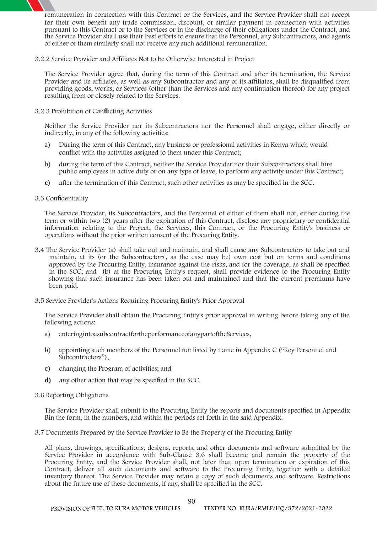remuneration in connection with this Contract or the Services, and the Service Provider shall not accept for their own benefit any trade commission, discount, or similar payment in connection with activities pursuant to this Contract or to the Services or in the discharge of their obligations under the Contract, and the Service Provider shall use their best efforts to ensure that the Personnel, any Subcontractors, and agents of either of them similarly shall not receive any such additional remuneration.

**3.2.2 Service Provider and Affiliates Not to be Otherwise Interested in Project**

The Service Provider agree that, during the term of this Contract and after its termination, the Service Provider and its affiliates, as well as any Subcontractor and any of its affiliates, shall be disqualified from providing goods, works, or Services (other than the Services and any continuation thereof) for any project resulting from or closely related to the Services.

**3.2.3 Prohibition of Conflicting Activities**

Neither the Service Provider nor its Subcontractors nor the Personnel shall engage, either directly or indirectly, in any of the following activities:

- a) During the term of this Contract, any business or professional activities in Kenya which would conflict with the activities assigned to them under this Contract;
- b) during the term of this Contract, neither the Service Provider nor their Subcontractors shall hire public employees in active duty or on any type of leave, to perform any activity under this Contract;
- **c)** after the termination of this Contract, such other activities as may be **specified in the SCC.**

#### **3.3 Confidentiality**

The Service Provider, its Subcontractors, and the Personnel of either of them shall not, either during the term or within two (2) years after the expiration of this Contract, disclose any proprietary or confidential information relating to the Project, the Services, this Contract, or the Procuring Entity's business or operations without the prior written consent of the Procuring Entity.

- **3.4 The Service Provider** (a) shall take out and maintain, and shall cause any Subcontractors to take out and maintain, at its (or the Subcontractors', as the case may be) own cost but on terms and conditions approved by the Procuring Entity, insurance against the risks, and for the coverage, as shall be **specified in the SCC;** and (b) at the Procuring Entity's request, shall provide evidence to the Procuring Entity showing that such insurance has been taken out and maintained and that the current premiums have been paid.
- **3.5 Service Provider's Actions Requiring Procuring Entity's Prior Approval**

The Service Provider shall obtain the Procuring Entity's prior approval in writing before taking any of the following actions:

- a) enteringintoasubcontractfortheperformanceofanypartoftheServices,
- b) appointing such members of the Personnel not listed by name in Appendix C ("Key Personnel and Subcontractors"),
- c) changing the Program of activities; and
- **d)** any other action that may be **specified in the SCC.**

#### **3.6 Reporting Obligations**

The Service Provider shall submit to the Procuring Entity the reports and documents specified in Appendix Bin the form, in the numbers, and within the periods set forth in the said Appendix.

**3.7 Documents Prepared by the Service Provider to Be the Property of the Procuring Entity**

All plans, drawings, specifications, designs, reports, and other documents and software submitted by the Service Provider in accordance with Sub-Clause 3.6 shall become and remain the property of the Procuring Entity, and the Service Provider shall, not later than upon termination or expiration of this Contract, deliver all such documents and software to the Procuring Entity, together with a detailed inventory thereof. The Service Provider may retain a copy of such documents and software. Restrictions about the future use of these documents, if any, shall be **specified in the SCC.**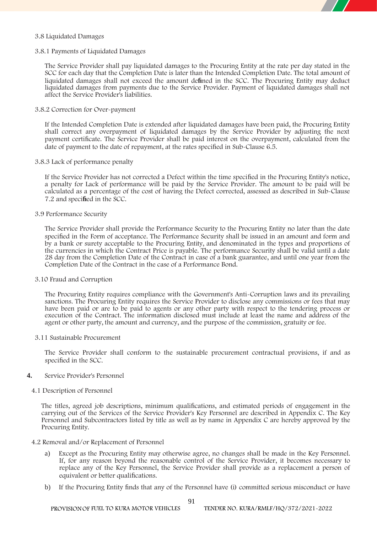#### **3.8 Liquidated Damages**

#### **3.8.1 Payments of Liquidated Damages**

The Service Provider shall pay liquidated damages to the Procuring Entity at the rate per day **stated in the SCC** for each day that the Completion Date is later than the Intended Completion Date. The total amount of liquidated damages shall not exceed the amount **defined in the SCC.** The Procuring Entity may deduct liquidated damages from payments due to the Service Provider. Payment of liquidated damages shall not affect the Service Provider's liabilities.

#### **3.8.2 Correction for Over-payment**

If the Intended Completion Date is extended after liquidated damages have been paid, the Procuring Entity shall correct any overpayment of liquidated damages by the Service Provider by adjusting the next payment certificate. The Service Provider shall be paid interest on the overpayment, calculated from the date of payment to the date of repayment, at the rates specified in Sub-Clause 6.5.

#### **3.8.3 Lack of performance penalty**

If the Service Provider has not corrected a Defect within the time specified in the Procuring Entity's notice, a penalty for Lack of performance will be paid by the Service Provider. The amount to be paid will be calculated as a percentage of the cost of having the Defect corrected, assessed as described in Sub-Clause 7.2 and **specified in the SCC.**

#### **3.9 Performance Security**

The Service Provider shall provide the Performance Security to the Procuring Entity no later than the date specified in the Form of acceptance. The Performance Security shall be issued in an amount and form and by a bank or surety acceptable to the Procuring Entity, and denominated in the types and proportions of the currencies in which the Contract Price is payable. The performance Security shall be valid until a date 28 day from the Completion Date of the Contract in case of a bank guarantee, and until one year from the Completion Date of the Contract in the case of a Performance Bond.

#### **3.10 Fraud and Corruption**

The Procuring Entity requires compliance with the Government's Anti-Corruption laws and its prevailing sanctions. The Procuring Entity requires the Service Provider to disclose any commissions or fees that may have been paid or are to be paid to agents or any other party with respect to the tendering process or execution of the Contract. The information disclosed must include at least the name and address of the agent or other party, the amount and currency, and the purpose of the commission, gratuity or fee.

#### **3.11 Sustainable Procurement**

The Service Provider shall conform to the sustainable procurement contractual provisions, if and as specified in the SCC.

### **4. Service Provider's Personnel**

#### **4.1 Description of Personnel**

The titles, agreed job descriptions, minimum qualifications, and estimated periods of engagement in the carrying out of the Services of the Service Provider's Key Personnel are described in Appendix C. The Key Personnel and Subcontractors listed by title as well as by name in Appendix C are hereby approved by the Procuring Entity.

#### **4.2 Removal and/or Replacement of Personnel**

- a) Except as the Procuring Entity may otherwise agree, no changes shall be made in the Key Personnel. If, for any reason beyond the reasonable control of the Service Provider, it becomes necessary to replace any of the Key Personnel, the Service Provider shall provide as a replacement a person of equivalent or better qualifications.
- b) If the Procuring Entity finds that any of the Personnel have (i) committed serious misconduct or have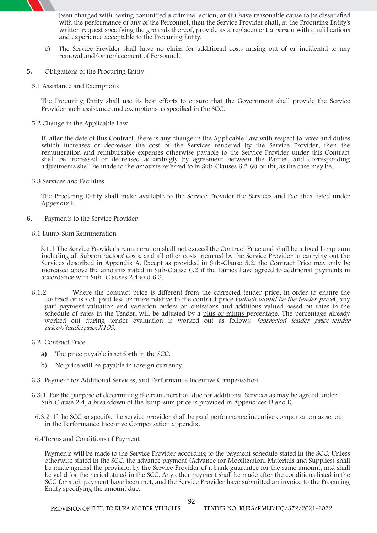

- c) The Service Provider shall have no claim for additional costs arising out of or incidental to any removal and/or replacement of Personnel.
- **5. Obligations of the Procuring Entity**
	- **5.1 Assistance and Exemptions**

The Procuring Entity shall use its best efforts to ensure that the Government shall provide the Service Provider such assistance and exemptions as **specified in the SCC.**

**5.2 Change in the Applicable Law**

If, after the date of this Contract, there is any change in the Applicable Law with respect to taxes and duties which increases or decreases the cost of the Services rendered by the Service Provider, then the remuneration and reimbursable expenses otherwise payable to the Service Provider under this Contract shall be increased or decreased accordingly by agreement between the Parties, and corresponding adjustments shall be made to the amounts referred to in Sub-Clauses 6.2 (a)or (b), as the case may be.

**5.3 Services and Facilities**

The Procuring Entity shall make available to the Service Provider the Services and Facilities listed under Appendix F.

- **6. Payments to the Service Provider**
	- **6.1 Lump-Sum Remuneration**

6.1.1 The Service Provider's remuneration shall not exceed the Contract Price and shall be a fixed lump-sum including all Subcontractors' costs, and all other costs incurred by the Service Provider in carrying out the Services described in Appendix A. Except as provided in Sub-Clause 5.2, the Contract Price may only be increased above the amounts stated in Sub-Clause 6.2 if the Parties have agreed to additional payments in accordance with Sub- Clauses 2.4 and 6.3.

- 6.1.2 Where the contract price is different from the corrected tender price, in order to ensure the contract or is not paid less or more relative to the contract price (*which would be the tender price*), any part payment valuation and variation orders on omissions and additions valued based on rates in the schedule of rates in the Tender, will be adjusted by a plus or minus percentage. The percentage already worked out during tender evaluation isworked out as follows: *(corrected tender price-tender price)/tenderpriceX100*.
- **6.2 Contract Price**
	- **a)** The price payable is **set forth in the SCC.**
	- b) No price will be payable in foreign currency.
- **6.3 Payment for Additional Services, and Performance Incentive Compensation**
- 6.3.1 For the purpose of determining the remuneration due for additional Services as may be agreed under Sub-Clause 2.4, a breakdown of the lump-sum price is provided in Appendices D and E.
- **6.3.2 If the SCC so specify,** the service provider shall be paid performance incentive compensation as set out in the Performance Incentive Compensation appendix.
- **6.4Terms and Conditions of Payment**

Payments will be made to the Service Provider according to the payment schedule **stated in the SCC. Unless otherwise stated in the SCC**, the advance payment (Advance for Mobilization, Materials and Supplies) shall be made against the provision by the Service Provider of a bank guarantee for the same amount, and shall be valid for the period **stated in the SCC.** Any other payment shall be made after the conditions **listed in the SCC** for such payment have been met, and the Service Provider have submitted an invoice to the Procuring Entity specifying the amount due.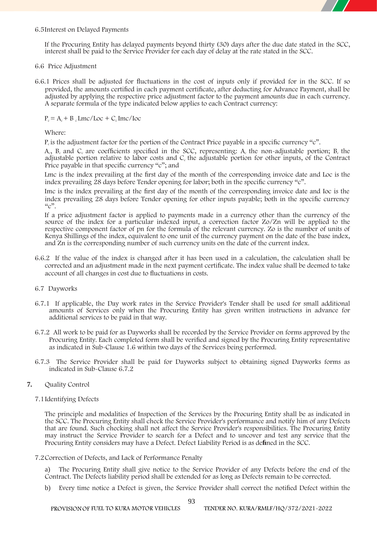

#### **6.5Interest on Delayed Payments**

If the Procuring Entity has delayed payments beyond thirty (30) days after the due date stated in the SCC, interest shall be paid to the Service Provider for each day of delay at the rate stated in **the SCC**.

- **6.6 Price Adjustment**
- 6.6.1 Prices shall be adjusted for fluctuations in the cost of inputs only if **provided for in the SCC.** If so provided, the amounts certified in each payment certificate, after deducting for Advance Payment, shall be adjusted by applying the respective price adjustment factor to the payment amounts due in each currency. A separate formula of the type indicated below applies to each Contract currency:

 $P_c = A_c + B_c$  **Lmc/Loc** +  $C_c$  **Imc/Ioc** 

Where:

 $P_c$  is the adjustment factor for the portion of the Contract Price payable in a specific currency "c".

 $A_c$ ,  $B_c$  and  $C_c$  are coefficients specified in the SCC, representing: A<sub>c</sub> the non-adjustable portion; B<sub>c</sub> the adjustable portion relative to labor costs and  $C<sub>c</sub>$  the adjustable portion for other inputs, of the Contract Price payable in that specific currency "c"; and

Lmc is the index prevailing at the first day of the month of the corresponding invoice date and Loc is the index prevailing 28 days before Tender opening for labor; both in the specific currency "c".

Imc is the index prevailing at the first day of the month of the corresponding invoice date and Ioc is the index prevailing 28 days before Tender opening for other inputs payable; both in the specific currency  $\mathcal{C}^{(2)}$ 

If a price adjustment factor is applied to payments made in a currency other than the currency of the source of the index for a particular indexed input, a correction factor Zo/Zn will be applied to the respective component factor of pn for the formula of the relevant currency. Zo is the number of units of Kenya Shillings of the index, equivalent to one unit of the currency payment on the date of the base index, and Zn is the corresponding number of such currency units on the date of the current index.

- 6.6.2 If the value of the index is changed after it has been used in a calculation, the calculation shall be corrected and an adjustment made in the next payment certificate. The index value shall be deemed to take account of all changes in cost due to fluctuations in costs.
- **6.7 Dayworks**
- 6.7.1 If applicable, the Day work rates in the Service Provider's Tender shall be used for small additional amounts of Services only when the Procuring Entity has given written instructions in advance for additional services to be paid in that way.
- 6.7.2 All work to be paid for as Dayworks shall be recorded by the Service Provider on forms approved by the Procuring Entity. Each completed form shall be verified and signed by the Procuring Entity representative as indicated in Sub-Clause 1.6 within two days of the Services being performed.
- 6.7.3 The Service Provider shall be paid for Dayworks subject to obtaining signed Dayworks forms as indicated in Sub-Clause 6.7.2
- **7. Quality Control**
	- **7.1Identifying Defects**

The principle and modalities of Inspection of the Services by the Procuring Entity shall be as **indicated in the SCC.** The Procuring Entity shall check the Service Provider's performance and notify him of any Defects that are found. Such checking shall not affect the Service Provider's responsibilities. The Procuring Entity may instruct the Service Provider to search for a Defect and to uncover and test any service that the Procuring Entity considers may have a Defect. Defect Liability Period is as **defined in the SCC**.

**7.2Correction of Defects, and Lack of Performance Penalty**

a) The Procuring Entity shall give notice to the Service Provider of any Defects before the end of the Contract. The Defects liability period shall be extended for as long as Defects remain to be corrected.

b) Every time notice a Defect is given, the Service Provider shall correct the notified Defect within the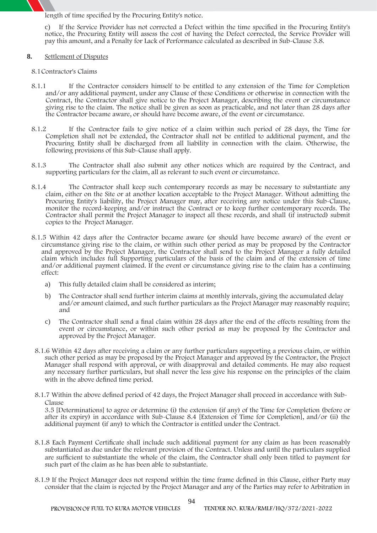length of time specified by the Procuring Entity's notice.

c) If the Service Provider has not corrected a Defect within the time specified in the Procuring Entity's notice, the Procuring Entity will assess the cost of having the Defect corrected, the Service Provider will pay this amount, and a Penalty for Lack of Performance calculated as described in Sub-Clause 3.8.

#### **8. Settlement of Disputes**

#### **8.1Contractor's Claims**

- 8.1.1 If the Contractor considers himself to be entitled to any extension of the Time for Completion and/or any additional payment, under any Clause of these Conditions or otherwise in connection with the Contract, the Contractor shall give notice to the Project Manager, describing the event or circumstance giving rise to the claim. The notice shall be given as soon as practicable, and not later than 28 days after the Contractor became aware, or should have become aware, of the event or circumstance.
- 8.1.2 If the Contractor fails to give notice of a claim within such period of 28 days, the Time for Completion shall not be extended, the Contractor shall not be entitled to additional payment, and the Procuring Entity shall be discharged from all liability in connection with the claim. Otherwise, the following provisions of this Sub-Clause shall apply.
- 8.1.3 The Contractor shall also submit any other notices which are required by the Contract, and supporting particulars for the claim, all as relevant to such event or circumstance.
- 8.1.4 The Contractor shall keep such contemporary records as may be necessary to substantiate any claim, either on the Site or at another location acceptable to the Project Manager. Without admitting the Procuring Entity's liability, the Project Manager may, after receiving any notice under this Sub-Clause, monitor the record-keeping and/or instruct the Contract or to keep further contemporary records. The Contractor shall permit the Project Manager to inspect all these records, and shall (if instructed) submit copies to the Project Manager.
- 8.1.5 Within 42 days after the Contractor became aware (or should have become aware) of the event or circumstance giving rise to the claim, or within such other period asmay be proposed by the Contractor and approved by the Project Manager, the Contractor shall send to the Project Manager a fully detailed claim which includes full Supporting particulars of the basis of the claim and of the extension of time and/or additional payment claimed. If the event or circumstance giving rise to the claim has a continuing effect:
	- a) This fully detailed claim shall be considered as interim;
	- b) The Contractor shall send further interim claims at monthly intervals, giving the accumulated delay and/or amount claimed, and such further particulars as the Project Manager may reasonably require; and
	- c) The Contractor shall send a final claim within 28 days after the end of the effects resulting from the event or circumstance, or within such other period as may be proposed by the Contractor and approved by the Project Manager.
- 8.1.6 Within 42 days after receiving a claim or any further particulars supporting a previous claim, or within such other period as may be proposed by the Project Manager and approved by the Contractor, the Project Manager shall respond with approval, or with disapproval and detailed comments. He may also request any necessary further particulars, but shall never the less give his response on the principles of the claim with in the above defined time period.
- 8.1.7 Within the above defined period of 42 days, the Project Manager shall proceed in accordance with Sub-Clause

3.5 [Determinations] to agree or determine (i) the extension (if any) of the Time for Completion (before or after its expiry) in accordance with Sub-Clause 8.4 [Extension of Time for Completion], and/or (ii) the additional payment (if any) to which the Contractor is entitled under the Contract.

- 8.1.8 Each Payment Certificate shall include such additional payment for any claim as has been reasonably substantiated as due under the relevant provision of the Contract. Unless and until the particulars supplied are sufficient to substantiate the whole of the claim, the Contractor shall only been titled to payment for such part of the claim as he has been able to substantiate.
- 8.1.9 If the Project Manager does not respond within the time frame defined in this Clause, either Party may consider that the claim is rejected by the Project Manager and any of the Parties may refer to Arbitration in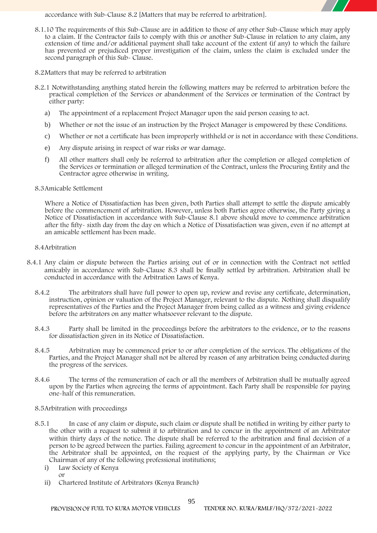accordance with Sub-Clause 8.2 [Matters that may be referred to arbitration].

- 8.1.10 The requirements of this Sub-Clause are in addition to those of any other Sub-Clause which may apply to a claim. If the Contractor fails to comply with this or another Sub-Clause in relation to any claim, any extension of time and/or additional payment shall take account of the extent (if any) to which the failure has prevented or prejudiced proper investigation of the claim, unless the claim is excluded under the second paragraph of this Sub- Clause.
- **8.2Matters that may be referred to arbitration**
- **8.2.1** Notwithstanding anything stated herein the following matters may be referred to arbitration before the practical completion of the Services or abandonment of the Services or termination of the Contract by either party:
	- a) The appointment of a replacement Project Manager upon the said person ceasing to act.
	- b) Whether or not the issue of an instruction by the Project Manager is empowered by these Conditions.
	- c) Whether or not a certificate has been improperly withheld or is not in accordance with these Conditions.
	- e) Any dispute arising in respect of war risks or war damage.
	- f) All other matters shall only be referred to arbitration after the completion or alleged completion of the Services or termination or alleged termination of the Contract, unless the Procuring Entity and the Contractor agree otherwise in writing.

#### **8.3Amicable Settlement**

Where a Notice of Dissatisfaction has been given, both Parties shall attempt to settle the dispute amicably before the commencement of arbitration. However, unless both Parties agree otherwise, the Party giving a Notice of Dissatisfaction in accordance with Sub-Clause 8.1 above should move to commence arbitration after the fifty- sixth day from the day on which a Notice of Dissatisfaction was given, even if no attempt at an amicable settlement has been made.

#### **8.4Arbitration**

- 8.4.1 Any claim or dispute between the Parties arising out of or in connection with the Contract not settled amicably in accordance with Sub-Clause 8.3 shall be finally settled by arbitration. Arbitration shall be conducted in accordance with the Arbitration Laws of Kenya.
	- 8.4.2 The arbitrators shall have full power to open up, review and revise any certificate, determination, instruction, opinion or valuation of the Project Manager, relevant to the dispute. Nothing shall disqualify representatives of the Parties and the Project Manager from being called as a witness and giving evidence before the arbitrators on any matter whatsoever relevant to the dispute.
	- 8.4.3 Party shall be limited in the proceedings before the arbitrators to the evidence, or to the reasons for dissatisfaction given in its Notice of Dissatisfaction.
	- 8.4.5 Arbitration may be commenced prior to or after completion of the services. The obligations of the Parties, and the Project Manager shall not be altered by reason of any arbitration being conducted during the progress of the services.
	- 8.4.6 The terms of the remuneration of each or all the members of Arbitration shall be mutually agreed upon by the Parties when agreeing the terms of appointment. Each Party shall be responsible for paying one-half of this remuneration.
	- **8.5Arbitration with proceedings**
	- 8.5.1 In case of any claim or dispute, such claim or dispute shall be notified in writing by either party to the other with a request to submit it to arbitration and to concur in the appointment of an Arbitrator within thirty days of the notice. The dispute shall be referred to the arbitration and final decision of a person to be agreed between the parties. Failing agreement to concur in the appointment of an Arbitrator, the Arbitrator shall be appointed, on the request of the applying party, by the Chairman or Vice Chairman of any of the following professional institutions;
		- i) Law Society of Kenya or
		- ii) Chartered Institute of Arbitrators (Kenya Branch)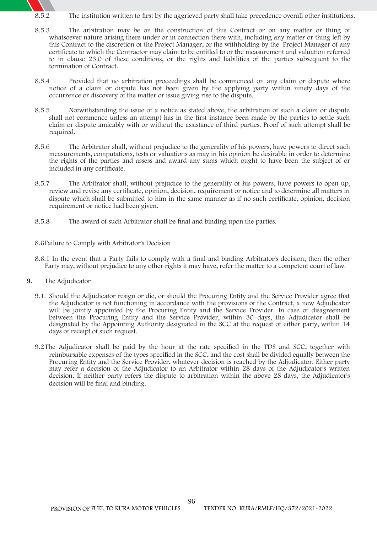- 8.5.2 The institution written to first by the aggrieved party shall take precedence overall other institutions.
- 8.5.3 The arbitration may be on the construction of this Contract or on any matter or thing of whatsoever nature arising there under or in connection there with, including any matter or thing left by this Contract to the discretion of the Project Manager, or the withholding by the Project Manager of any certificate to which the Contractor may claim to be entitled to or the measurement and valuation referred to in clause 23.0 of these conditions, or the rights and liabilities of the parties subsequent to the termination of Contract.
- 8.5.4 Provided that no arbitration proceedings shall be commenced on any claim or dispute where notice of a claim or dispute has not been given by the applying party within ninety days of the occurrence or discovery of the matter or issue giving rise to the dispute.
- 8.5.5 Notwithstanding the issue of a notice as stated above, the arbitration of such a claim or dispute shall not commence unless an attempt has in the first instance been made by the parties to settle such claim or dispute amicably with or without the assistance of third parties. Proof of such attempt shall be required.
- 8.5.6 The Arbitrator shall, without prejudice to the generality of his powers, have powers to direct such measurements, computations, tests or valuations as may in his opinion be desirable in order to determine the rights of the parties and assess and award any sums which ought to have been the subject of or included in any certificate.
- 8.5.7 The Arbitrator shall, without prejudice to the generality of his powers, have powers to open up, review and revise any certificate, opinion, decision, requirement or notice and to determine all matters in dispute which shall be submitted to him in the same manner as if no such certificate, opinion, decision requirement or notice had been given.
- 8.5.8 The award of such Arbitrator shall be final and binding upon the parties.

**8.6Failure to Comply with Arbitrator's Decision**

- 8.6.1 In the event that a Party fails to comply with a final and binding Arbitrator's decision, then the other Party may, without prejudice to any other rights it may have, refer the matter to a competent court of law.
- **9. The Adjudicator**
	- 9.1. Should the Adjudicator resign or die, or should the Procuring Entity and the Service Provider agree that the Adjudicator is not functioning in accordance with the provisions of the Contract, a new Adjudicator will be jointly appointed by the Procuring Entity and the Service Provider. In case of disagreement between the Procuring Entity and the Service Provider, within 30 days, the Adjudicator shall be designated by the Appointing Authority **designated in the SCC** at the request of either party, within 14 days of receipt of such request.
	- 9.2The Adjudicator shall be paid by the hour at the rate **specified in the TDS and SCC,** together with reimbursable expenses of the types **specified in the SCC**, and the cost shall be divided equally between the Procuring Entity and the Service Provider, whatever decision is reached by the Adjudicator. Either party may refer a decision of the Adjudicator to an Arbitrator within 28 days of the Adjudicator's written decision. If neither party refers the dispute to arbitration within the above 28 days, the Adjudicator's decision will be final and binding.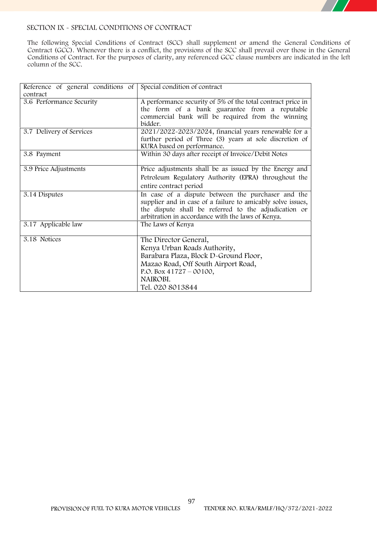

# **SECTION IX - SPECIAL CONDITIONS OF CONTRACT**

The following Special Conditions of Contract (SCC) shall supplement or amend the General Conditions of Contract (GCC). Whenever there is a conflict, the provisions of the SCC shall prevail over those in the General Conditions of Contract. For the purposes of clarity, any referenced GCC clause numbers are indicated in the left column of the SCC.

| Reference of general conditions of<br>contract | Special condition of contract                                                                                                                                                                                                  |
|------------------------------------------------|--------------------------------------------------------------------------------------------------------------------------------------------------------------------------------------------------------------------------------|
| 3.6 Performance Security                       | A performance security of 5% of the total contract price in<br>the form of a bank guarantee from a reputable<br>commercial bank will be required from the winning<br>bidder.                                                   |
| 3.7 Delivery of Services                       | 2021/2022-2023/2024, financial years renewable for a<br>further period of Three (3) years at sole discretion of<br>KURA based on performance.                                                                                  |
| 3.8 Payment                                    | Within 30 days after receipt of Invoice/Debit Notes                                                                                                                                                                            |
| 3.9 Price Adjustments                          | Price adjustments shall be as issued by the Energy and<br>Petroleum Regulatory Authority (EPRA) throughout the<br>entire contract period                                                                                       |
| 3.14 Disputes                                  | In case of a dispute between the purchaser and the<br>supplier and in case of a failure to amicably solve issues,<br>the dispute shall be referred to the adjudication or<br>arbitration in accordance with the laws of Kenya. |
| 3.17 Applicable law                            | The Laws of Kenya                                                                                                                                                                                                              |
| 3.18 Notices                                   | The Director General,<br>Kenya Urban Roads Authority,<br>Barabara Plaza, Block D-Ground Floor,<br>Mazao Road, Off South Airport Road,<br>P.O. Box $41727 - 00100$ ,<br>NAIROBI.<br>Tel. 020 8013844                            |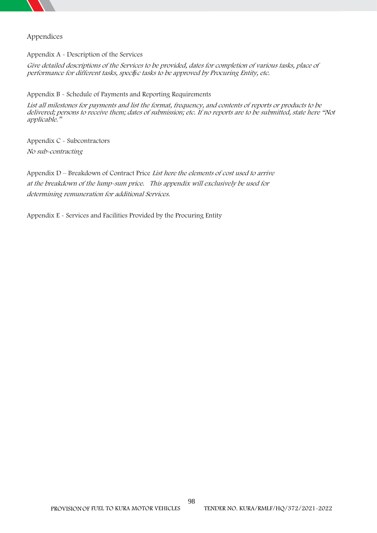

# **Appendices**

**Appendix A - Description of the Services**

Give detailed descriptions of the Services to be provided, dates for completion of various tasks, place of *performance for different tasks, specifi<sup>c</sup> tasks to be approved by Procuring Entity, etc.*

**Appendix B - Schedule of Payments and Reporting Requirements**

*List all milestones for payments and list the format, frequency, and contents of reports or products to be delivered; persons to receive them; dates of submission; etc. If no reports are to be submitted, state here "Not applicable."*

**Appendix C - Subcontractors** *No sub-contracting*

**Appendix D – Breakdown of Contract Price** *List here the elements of cost used to arrive at the breakdown of the lump-sum price. This appendix will exclusively be used for determining remuneration for additional Services.*

**Appendix E - Services and Facilities Provided by the Procuring Entity**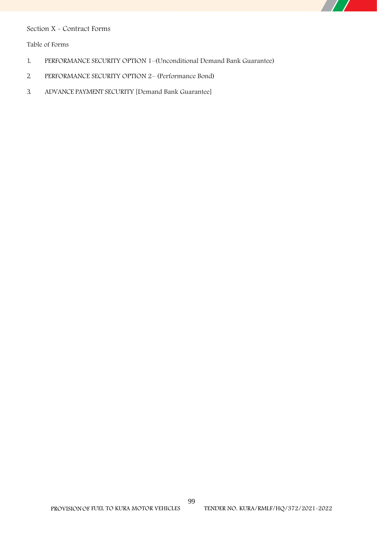# **Section X - Contract Forms**

**Table of Forms**

- 1. PERFORMANCE SECURITY OPTION 1–(Unconditional Demand Bank Guarantee)
- 2. PERFORMANCE SECURITY OPTION 2–(Performance Bond)
- 3. ADVANCE PAYMENT SECURITY [Demand Bank Guarantee]

 $\overline{\phantom{a}}$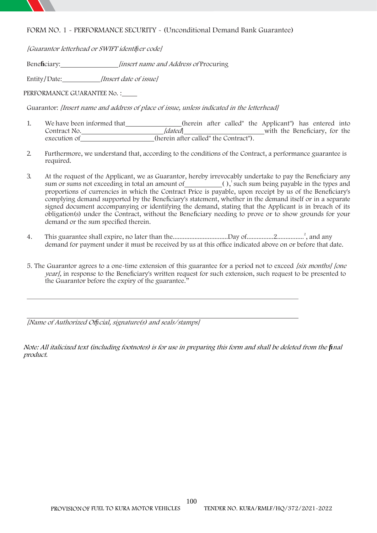

# **FORM NO. 1 - PERFORMANCE SECURITY - (Unconditional Demand Bank Guarantee)**

*[Guarantor letterhead or SWIFT identifier code]*

**Beneficiary:** *[insert name and Address of* Procuring

Entity*]* **Date:** *[Insert date of issue]*

**PERFORMANCE GUARANTEE No. :**

**Guarantor:** *[Insert name and address of place of issue, unless indicated in the letterhead]*

- 1. We have been informed that\_\_\_\_\_\_\_\_\_\_\_\_\_\_(herein after called" the Applicant") has entered into Contract No. *Materiana Contract No. <i>alated [dated*] *Material* with the Beneficiary, for the execution of *(herein after called" the Contract"*).
- 2. Furthermore, we understand that, according to the conditions of the Contract, a performance guarantee is required.
- 3. At the request of the Applicant, we as Guarantor, hereby irrevocably undertake to pay the Beneficiary any sum or sums not exceeding in total an amount of  $()$ , such sum being payable in the types and proportions of currencies in which the Contract Price is payable, upon receipt by us of the Beneficiary's complying demand supported by the Beneficiary's statement, whether in the demand itself or in a separate signed document accompanying or identifying the demand, stating that the Applicant is in breach of its obligation(s) under the Contract, without the Beneficiary needing to prove or to show grounds for your demand or the sum specified therein.
- 4. This guarantee shall expire, no later than the ... mail and may be main and any set all any and any demand for payment under it must be received by us at this office indicated above on or before that date.
- 5. The Guarantor agrees to a one-time extension of this guarantee for a period not to exceed *[six months] [one year],* in response to the Beneficiary's written request for such extension, such request to be presented to the Guarantor before the expiry of the guarantee."

*[Name of Authorized Official, signature(s) and seals/stamps]*

*Note: All italicized text (including footnotes) is for use in preparing this form and shall be deleted from the final product.*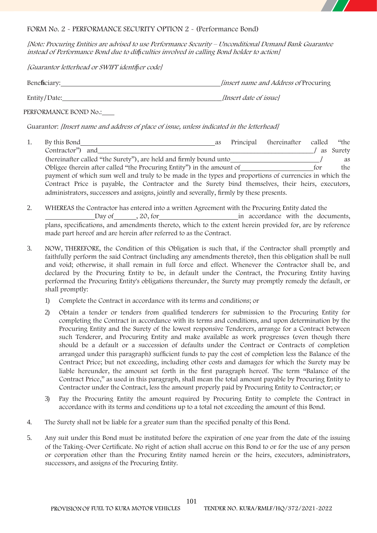

# **FORM No. 2 - PERFORMANCE SECURITY OPTION 2 - (Performance Bond)**

*[Note: Procuring Entities are advised to use Performance Security – Unconditional Demand Bank Guarantee instead of Performance Bond due to difficulties involved in calling Bond holder to action]*

*[Guarantor letterhead or SWIFT identifier code]*

| Beneficiary: | <i>linsert name and Address of Procuring</i> |
|--------------|----------------------------------------------|
| Entity/Date: | <i>Insert date of issuel</i>                 |

**PERFORMANCE BOND No.:**

**Guarantor:** *[Insert name and address of place of issue, unless indicated in the letterhead]*

- 1. By this Bond as Principal (hereinafter called "the Contractor") and  $\qquad$  as Surety (hereinafter called "the Surety"), are held and firmly bound unto *]* as Obligee (herein after called "the Procuring Entity") in the amount of for the payment of which sum well and truly to be made in the types and proportions of currencies in which the Contract Price is payable, the Contractor and the Surety bind themselves, their heirs, executors, administrators, successors and assigns, jointly and severally, firmly by these presents.
- 2. WHEREAS the Contractor has entered into a written Agreement with the Procuring Entity dated the Day of , 20, for in accordance with the documents, plans, specifications, and amendments thereto, which to the extent herein provided for, are by reference made part hereof and are herein after referred to as the Contract.
- 3. NOW, THEREFORE, the Condition of this Obligation is such that, if the Contractor shall promptly and faithfully perform the said Contract (including any amendments thereto), then this obligation shall be null and void; otherwise, it shall remain in full force and effect. Whenever the Contractor shall be, and declared by the Procuring Entity to be, in default under the Contract, the Procuring Entity having performed the Procuring Entity's obligations thereunder, the Surety may promptly remedy the default, or shall promptly:
	- 1) Complete the Contract in accordance with its terms and conditions; or
	- 2) Obtain a tender or tenders from qualified tenderers for submission to the Procuring Entity for completing the Contract in accordance with its terms and conditions, and upon determination by the Procuring Entity and the Surety of the lowest responsive Tenderers, arrange for a Contract between such Tenderer, and Procuring Entity and make available as work progresses (even though there should be a default or a succession of defaults under the Contract or Contracts of completion arranged under this paragraph) sufficient funds to pay the cost of completion less the Balance of the Contract Price; but not exceeding, including other costs and damages for which the Surety may be liable hereunder, the amount set forth in the first paragraph hereof. The term "Balance of the Contract Price," as used in this paragraph, shall mean the total amount payable by Procuring Entity to Contractor under the Contract, less the amount properly paid by Procuring Entity to Contractor; or
	- 3) Pay the Procuring Entity the amount required by Procuring Entity to complete the Contract in accordance with its terms and conditions up to a total not exceeding the amount of this Bond.
- 4. The Surety shall not be liable for a greater sum than the specified penalty of this Bond.
- 5. Any suit under this Bond must be instituted before the expiration of one year from the date of the issuing of the Taking-Over Certificate. No right of action shall accrue on this Bond to or for the use of any person or corporation other than the Procuring Entity named herein or the heirs, executors, administrators, successors, and assigns of the Procuring Entity.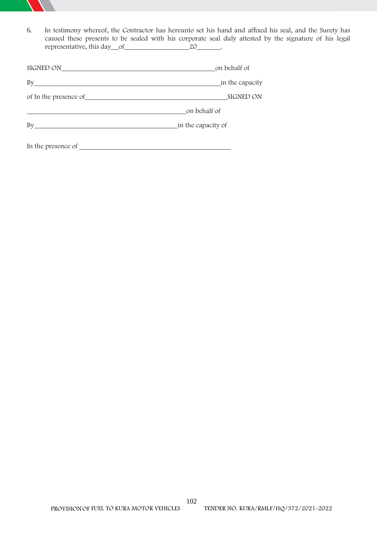

6. In testimony whereof, the Contractor has hereunto set his hand and affixed his seal, and the Surety has caused these presents to be sealed with his corporate seal duly attested by the signature of his legal representative, this day of 20 .

| SIGNED ON                                              | on behalf of       |  |  |
|--------------------------------------------------------|--------------------|--|--|
| By                                                     | in the capacity    |  |  |
|                                                        | <b>SIGNED ON</b>   |  |  |
|                                                        | on behalf of       |  |  |
| By<br><u> 1989 - Johann Stein, syntysk politiker (</u> | in the capacity of |  |  |
|                                                        |                    |  |  |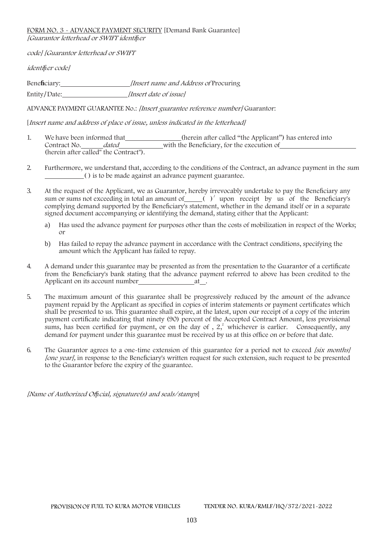### **FORM NO. 3 - ADVANCE PAYMENT SECURITY [Demand Bank Guarantee]** *[Guarantor letterhead or SWIFT identifier*

*code] [Guarantor letterhead or SWIFT*

*identifier code]*

**Beneficiary:** *[Insert name and Address of* Procuring Entity*]* **Date:** *[Insert date of issue]*

**ADVANCE PAYMENT GUARANTEE No.:** *[Insert guarantee reference number]* **Guarantor:**

**[***Insert name and address of place of issue, unless indicated in the letterhead]*

- 1. We have been informed that \_\_\_\_\_\_\_\_\_\_\_\_\_\_(herein after called "the Applicant") has entered into Contract No. *dated* date-value with the Beneficiary, for the execution of (herein after called" the Contract").
- 2. Furthermore, we understand that, according to the conditions of the Contract, an advance payment in the sum ( ) is to be made against an advance payment guarantee.
- 3. At the request of the Applicant, we as Guarantor, hereby irrevocably undertake to pay the Beneficiary any sum or sums not exceeding in total an amount of  $\_\_$   $\)$ <sup> $1$ </sup> upon receipt by us of the Beneficiary's complying demand supported by the Beneficiary's statement, whether in the demand itself or in a separate signed document accompanying or identifying the demand, stating either that the Applicant:
	- a) Has used the advance payment for purposes other than the costs of mobilization in respect of the Works; or
	- b) Has failed to repay the advance payment in accordance with the Contract conditions, specifying the amount which the Applicant has failed to repay.
- 4. A demand under this guarantee may be presented as from the presentation to the Guarantor of a certificate from the Beneficiary's bank stating that the advance payment referred to above has been credited to the Applicant on its account number  $\overrightarrow{a}$  at .
- 5. The maximum amount of this guarantee shall be progressively reduced by the amount of the advance payment repaid by the Applicant as specified in copies of interim statements or payment certificates which shall be presented to us. This guarantee shall expire, at the latest, upon our receipt of a copy of the interim payment certificate indicating that ninety (90) percent of the Accepted Contract Amount, less provisional sums, has been certified for payment, or on the day of  $, 2<sup>2</sup>$  whichever is earlier. Consequently, any demand for payment under this guarantee must be received by us at this office on or before that date.
- 6. The Guarantor agrees to a one-time extension of this guarantee for a period not to exceed *[six months] [one year]*, in response to the Beneficiary's written request for such extension, such request to be presented to the Guarantor before the expiry of the guarantee.

*[Name of Authorized Official, signature(s) and seals/stamps*]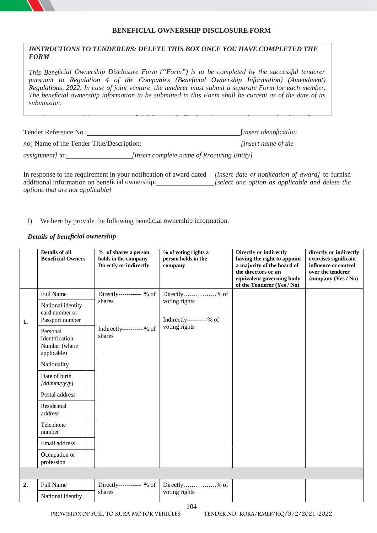# **BENEFICIAL OWNERSHIP DISCLOSURE FORM**

# *INSTRUCTIONS TO TENDERERS: DELETE THIS BOX ONCE YOU HAVE COMPLETED THE FORM*

*This Beneficial Ownership Disclosure Form ("Form") is to be completed by the successful tenderer pursuant to Regulation 4 of the Companies (Beneficial Ownership Information) (Amendment) Regulations, 2022. In case of joint venture, the tenderer must submit a separate Form for each member. The beneficial ownership information to be submitted in this Form shall be current as of the date of its submission.*

Tender Reference No.: [*insert identification or controls the legal person (tenderer) or arrangements or a natural person on whose behalf a transaction is conducted, and includes those persons who exercise ultimate effective control over a legal person*

*no*] Name of the Tender Title/Description: *<i>[insert name of the* 

*assignment]* to: *[insert complete name of Procuring Entity]*

In response to the requirement in your notification of award dated *[insert date of notification of award]* to furnish additional information on beneficial ownership: *[select one option as applicable and delete the options that are not applicable]*

*For the purposes of this Form, a Beneficial Owner of a Tenderer is any natural person who ultimately owns*

# I) We here by provide the following beneficial ownership information.

# *Details of beneficial ownership*

|    | <b>Details of all</b><br><b>Beneficial Owners</b>          | % of shares a person<br>holds in the company<br>Directly or indirectly | % of voting rights a<br>person holds in the<br>company | Directly or indirectly<br>having the right to appoint<br>a majority of the board of<br>the directors or an<br>equivalent governing body<br>of the Tenderer (Yes / No) | directly or indirectly<br>exercises significant<br>influence or control<br>over the tenderer<br>/company (Yes / No) |
|----|------------------------------------------------------------|------------------------------------------------------------------------|--------------------------------------------------------|-----------------------------------------------------------------------------------------------------------------------------------------------------------------------|---------------------------------------------------------------------------------------------------------------------|
|    | <b>Full Name</b>                                           | Directly------------ % of                                              | Directly% of                                           |                                                                                                                                                                       |                                                                                                                     |
| 1. | National identity<br>card number or<br>Passport number     | shares                                                                 | voting rights<br>Indirectly----------% of              |                                                                                                                                                                       |                                                                                                                     |
|    | Personal<br>Identification<br>Number (where<br>applicable) | Indirectly---------- % of<br>shares                                    | voting rights                                          |                                                                                                                                                                       |                                                                                                                     |
|    | Nationality                                                |                                                                        |                                                        |                                                                                                                                                                       |                                                                                                                     |
|    | Date of birth<br>[dd/mm/yyyy]                              |                                                                        |                                                        |                                                                                                                                                                       |                                                                                                                     |
|    | Postal address                                             |                                                                        |                                                        |                                                                                                                                                                       |                                                                                                                     |
|    | Residential<br>address                                     |                                                                        |                                                        |                                                                                                                                                                       |                                                                                                                     |
|    | Telephone<br>number                                        |                                                                        |                                                        |                                                                                                                                                                       |                                                                                                                     |
|    | Email address                                              |                                                                        |                                                        |                                                                                                                                                                       |                                                                                                                     |
|    | Occupation or<br>profession                                |                                                                        |                                                        |                                                                                                                                                                       |                                                                                                                     |
|    |                                                            |                                                                        |                                                        |                                                                                                                                                                       |                                                                                                                     |
| 2. | <b>Full Name</b>                                           | Directly----------- % of                                               | Directly% of                                           |                                                                                                                                                                       |                                                                                                                     |
|    | National identity                                          | shares                                                                 | voting rights                                          |                                                                                                                                                                       |                                                                                                                     |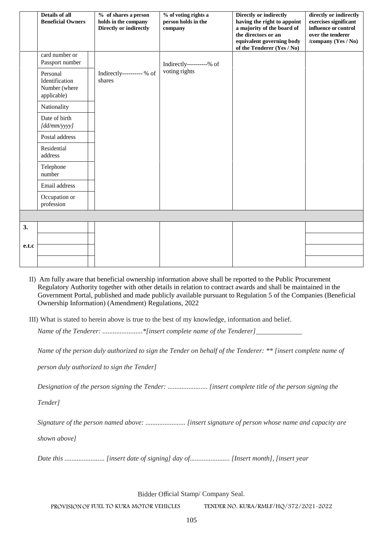|       | <b>Details of all</b><br><b>Beneficial Owners</b>          | % of shares a person<br>holds in the company<br>Directly or indirectly | % of voting rights a<br>person holds in the<br>company | Directly or indirectly<br>having the right to appoint<br>a majority of the board of<br>the directors or an<br>equivalent governing body<br>of the Tenderer (Yes / No) | directly or indirectly<br>exercises significant<br>influence or control<br>over the tenderer<br>/company (Yes / No) |
|-------|------------------------------------------------------------|------------------------------------------------------------------------|--------------------------------------------------------|-----------------------------------------------------------------------------------------------------------------------------------------------------------------------|---------------------------------------------------------------------------------------------------------------------|
|       | card number or<br>Passport number                          |                                                                        | Indirectly----------% of                               |                                                                                                                                                                       |                                                                                                                     |
|       | Personal<br>Identification<br>Number (where<br>applicable) | Indirectly----------% of<br>shares                                     | voting rights                                          |                                                                                                                                                                       |                                                                                                                     |
|       | Nationality                                                |                                                                        |                                                        |                                                                                                                                                                       |                                                                                                                     |
|       | Date of birth<br>[dd/mm/yyyy]                              |                                                                        |                                                        |                                                                                                                                                                       |                                                                                                                     |
|       | Postal address                                             |                                                                        |                                                        |                                                                                                                                                                       |                                                                                                                     |
|       | Residential<br>address                                     |                                                                        |                                                        |                                                                                                                                                                       |                                                                                                                     |
|       | Telephone<br>number                                        |                                                                        |                                                        |                                                                                                                                                                       |                                                                                                                     |
|       | Email address                                              |                                                                        |                                                        |                                                                                                                                                                       |                                                                                                                     |
|       | Occupation or<br>profession                                |                                                                        |                                                        |                                                                                                                                                                       |                                                                                                                     |
|       |                                                            |                                                                        |                                                        |                                                                                                                                                                       |                                                                                                                     |
| 3.    |                                                            |                                                                        |                                                        |                                                                                                                                                                       |                                                                                                                     |
|       |                                                            |                                                                        |                                                        |                                                                                                                                                                       |                                                                                                                     |
| e.t.c |                                                            |                                                                        |                                                        |                                                                                                                                                                       |                                                                                                                     |
|       |                                                            |                                                                        |                                                        |                                                                                                                                                                       |                                                                                                                     |

- II) Am fully aware that beneficial ownership information above shall be reported to the Public Procurement Regulatory Authority together with other details in relation to contract awards and shall be maintained in the Government Portal, published and made publicly available pursuant to Regulation 5 of the Companies (Beneficial Ownership Information) (Amendment) Regulations, 2022
- III) What is stated to herein above is true to the best of my knowledge, information and belief.

*Name of the Tenderer: .......................\*[insert complete name of the Tenderer]*

*Name of the person duly authorized to sign the Tender on behalf of the Tenderer: \*\* [insert complete name of*

*person duly authorized to sign the Tender]*

*Designation of the person signing the Tender: ....................... [insert complete title of the person signing the*

*Tender]*

*Signature of the person named above: ....................... [insert signature of person whose name and capacity are*

*shown above]*

*Date this ....................... [insert date of signing] day of....................... [Insert month], [insert year*

Bidder Official Stamp/ Company Seal.

**PROVISIONOF FUEL TO KURA MOTOR VEHICLES TENDER NO. KURA/RMLF/HQ/372/2021-2022**